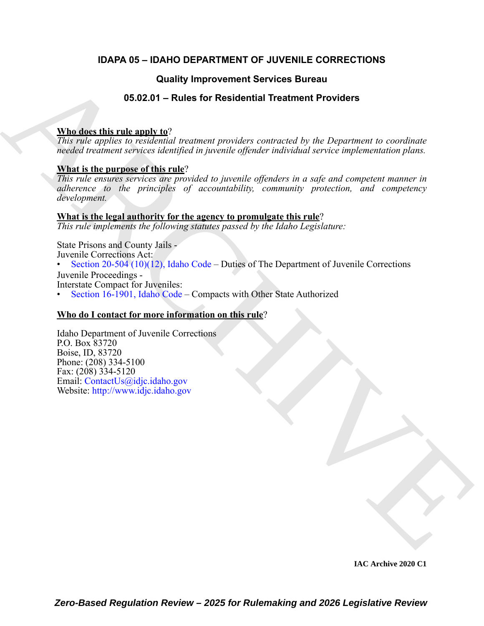### **IDAPA 05 – IDAHO DEPARTMENT OF JUVENILE CORRECTIONS**

### **Quality Improvement Services Bureau**

### **05.02.01 – Rules for Residential Treatment Providers**

### **Who does this rule apply to**?

*This rule applies to residential treatment providers contracted by the Department to coordinate needed treatment services identified in juvenile offender individual service implementation plans.*

### **What is the purpose of this rule**?

*This rule ensures services are provided to juvenile offenders in a safe and competent manner in adherence to the principles of accountability, community protection, and competency development.*

#### **What is the legal authority for the agency to promulgate this rule**?

*This rule implements the following statutes passed by the Idaho Legislature:*

**Cuality Improvement Services Bureau<br>
Boston and details in the Constitution of the Department Providers**<br>
This relation is considered treational treations provider constants of the Department to extra<br>
This relation cons State Prisons and County Jails - Juvenile Corrections Act: • Section 20-504 (10)(12), Idaho Code – Duties of The Department of Juvenile Corrections Juvenile Proceedings -

Interstate Compact for Juveniles:

• Section 16-1901, Idaho Code – Compacts with Other State Authorized

### **Who do I contact for more information on this rule**?

Idaho Department of Juvenile Corrections P.O. Box 83720 Boise, ID, 83720 Phone: (208) 334-5100 Fax: (208) 334-5120 Email: ContactUs@idjc.idaho.gov Website: http://www.idjc.idaho.gov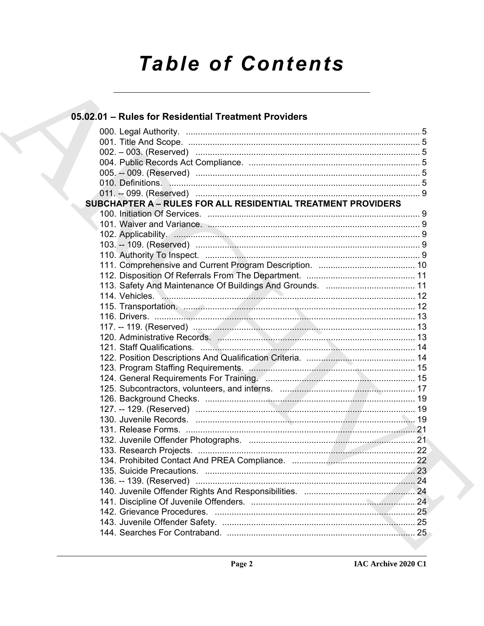# **Table of Contents**

### 05.02.01 - Rules for Residential Treatment Providers

|  | SUBCHAPTER A - RULES FOR ALL RESIDENTIAL TREATMENT PROVIDERS                                                               |  |
|--|----------------------------------------------------------------------------------------------------------------------------|--|
|  |                                                                                                                            |  |
|  |                                                                                                                            |  |
|  |                                                                                                                            |  |
|  |                                                                                                                            |  |
|  |                                                                                                                            |  |
|  |                                                                                                                            |  |
|  |                                                                                                                            |  |
|  |                                                                                                                            |  |
|  |                                                                                                                            |  |
|  |                                                                                                                            |  |
|  |                                                                                                                            |  |
|  |                                                                                                                            |  |
|  |                                                                                                                            |  |
|  |                                                                                                                            |  |
|  |                                                                                                                            |  |
|  |                                                                                                                            |  |
|  | 124. General Requirements For Training. <b>Manual Accord Contract Contract Contract Contract Contract Contract Control</b> |  |
|  |                                                                                                                            |  |
|  |                                                                                                                            |  |
|  |                                                                                                                            |  |
|  |                                                                                                                            |  |
|  |                                                                                                                            |  |
|  |                                                                                                                            |  |
|  |                                                                                                                            |  |
|  |                                                                                                                            |  |
|  |                                                                                                                            |  |
|  |                                                                                                                            |  |
|  |                                                                                                                            |  |
|  |                                                                                                                            |  |
|  |                                                                                                                            |  |
|  |                                                                                                                            |  |
|  |                                                                                                                            |  |
|  |                                                                                                                            |  |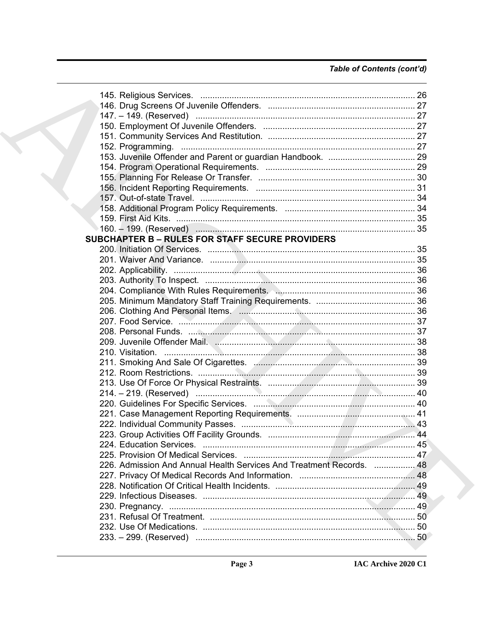### Table of Contents (cont'd)

|  | <b>SUBCHAPTER B - RULES FOR STAFF SECURE PROVIDERS</b>                                                        |  |
|--|---------------------------------------------------------------------------------------------------------------|--|
|  |                                                                                                               |  |
|  |                                                                                                               |  |
|  |                                                                                                               |  |
|  |                                                                                                               |  |
|  |                                                                                                               |  |
|  |                                                                                                               |  |
|  |                                                                                                               |  |
|  |                                                                                                               |  |
|  |                                                                                                               |  |
|  |                                                                                                               |  |
|  |                                                                                                               |  |
|  |                                                                                                               |  |
|  |                                                                                                               |  |
|  |                                                                                                               |  |
|  |                                                                                                               |  |
|  |                                                                                                               |  |
|  |                                                                                                               |  |
|  |                                                                                                               |  |
|  |                                                                                                               |  |
|  |                                                                                                               |  |
|  |                                                                                                               |  |
|  | 226. Admission And Annual Health Services And Treatment Records.  48                                          |  |
|  |                                                                                                               |  |
|  |                                                                                                               |  |
|  |                                                                                                               |  |
|  |                                                                                                               |  |
|  |                                                                                                               |  |
|  |                                                                                                               |  |
|  | 233. – 299. (Reserved) material metatromana en el producto de la construcción de la construcción de la constr |  |
|  |                                                                                                               |  |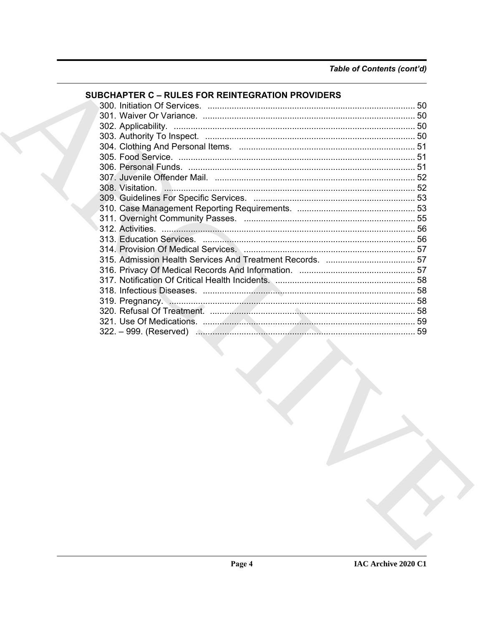| <b>SUBCHAPTER C - RULES FOR REINTEGRATION PROVIDERS</b> |  |
|---------------------------------------------------------|--|
|                                                         |  |
|                                                         |  |
|                                                         |  |
|                                                         |  |
|                                                         |  |
|                                                         |  |
|                                                         |  |
|                                                         |  |
|                                                         |  |
|                                                         |  |
|                                                         |  |
|                                                         |  |
|                                                         |  |
|                                                         |  |
|                                                         |  |
|                                                         |  |
|                                                         |  |
|                                                         |  |
|                                                         |  |
|                                                         |  |
|                                                         |  |
|                                                         |  |
|                                                         |  |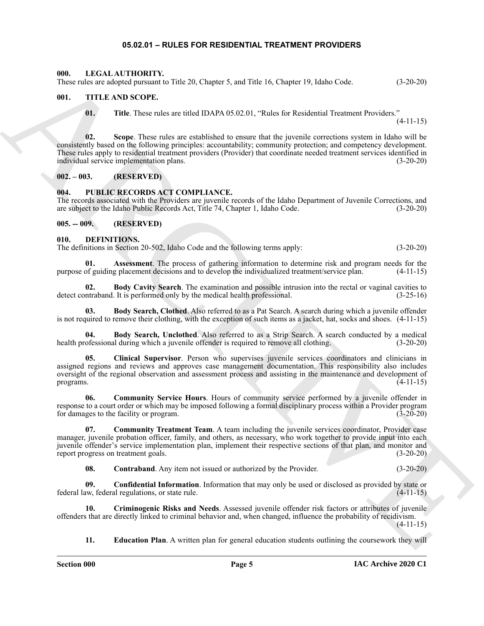#### **05.02.01 – RULES FOR RESIDENTIAL TREATMENT PROVIDERS**

#### <span id="page-4-18"></span><span id="page-4-1"></span><span id="page-4-0"></span>**000. LEGAL AUTHORITY.**

These rules are adopted pursuant to Title 20, Chapter 5, and Title 16, Chapter 19, Idaho Code. (3-20-20)

#### <span id="page-4-2"></span>**001. TITLE AND SCOPE.**

<span id="page-4-20"></span>**01. Title**. These rules are titled IDAPA 05.02.01, "Rules for Residential Treatment Providers."

 $(4-11-15)$ 

604. ITELA ARCHITECTIVE Tela 26. Chapter 5, and Tela 16. Chapter 5, kida 6 chapter 1, kida 6 chapter 1, kida 6 chapter 1, kida 6 chapter 1, kida 6 chapter 1, kida 6 chapter 1, kida 6 chapter 1, kida 6 chapter 1, kida 6 ch **02. Scope**. These rules are established to ensure that the juvenile corrections system in Idaho will be consistently based on the following principles: accountability; community protection; and competency development. These rules apply to residential treatment providers (Provider) that coordinate needed treatment services identified in individual service implementation plans. (3-20-20)

<span id="page-4-3"></span>**002. – 003. (RESERVED)**

#### <span id="page-4-19"></span><span id="page-4-4"></span>**004. PUBLIC RECORDS ACT COMPLIANCE.**

The records associated with the Providers are juvenile records of the Idaho Department of Juvenile Corrections, and are subject to the Idaho Public Records Act, Title 74, Chapter 1, Idaho Code. (3-20-20)

<span id="page-4-5"></span>**005. -- 009. (RESERVED)**

#### <span id="page-4-7"></span><span id="page-4-6"></span>**010. DEFINITIONS.**

The definitions in Section 20-502, Idaho Code and the following terms apply: (3-20-20)

<span id="page-4-8"></span>**01. Assessment**. The process of gathering information to determine risk and program needs for the purpose of guiding placement decisions and to develop the individualized treatment/service plan. (4-11-15)

<span id="page-4-9"></span>**02. Body Cavity Search**. The examination and possible intrusion into the rectal or vaginal cavities to ntraband. It is performed only by the medical health professional. (3-25-16) detect contraband. It is performed only by the medical health professional.

<span id="page-4-10"></span>**03. Body Search, Clothed**. Also referred to as a Pat Search. A search during which a juvenile offender is not required to remove their clothing, with the exception of such items as a jacket, hat, socks and shoes. (4-11-15)

<span id="page-4-11"></span>**04. Body Search, Unclothed**. Also referred to as a Strip Search. A search conducted by a medical of essional during which a juvenile offender is required to remove all clothing. (3-20-20) health professional during which a juvenile offender is required to remove all clothing.

<span id="page-4-12"></span>**05. Clinical Supervisor**. Person who supervises juvenile services coordinators and clinicians in assigned regions and reviews and approves case management documentation. This responsibility also includes oversight of the regional observation and assessment process and assisting in the maintenance and development of programs. (4-11-15) programs.  $(4-11-15)$ 

<span id="page-4-13"></span>**06. Community Service Hours**. Hours of community service performed by a juvenile offender in response to a court order or which may be imposed following a formal disciplinary process within a Provider program for damages to the facility or program. (3-20-20) for damages to the facility or program.

**07. Community Treatment Team**. A team including the juvenile services coordinator, Provider case manager, juvenile probation officer, family, and others, as necessary, who work together to provide input into each juvenile offender's service implementation plan, implement their respective sections of that plan, and monitor and report progress on treatment goals. (3-20-20) report progress on treatment goals.

<span id="page-4-16"></span><span id="page-4-15"></span><span id="page-4-14"></span>**08. Contraband**. Any item not issued or authorized by the Provider. (3-20-20)

**09. Confidential Information**. Information that may only be used or disclosed as provided by state or federal law, federal regulations, or state rule. (4-11-15)

**10. Criminogenic Risks and Needs**. Assessed juvenile offender risk factors or attributes of juvenile offenders that are directly linked to criminal behavior and, when changed, influence the probability of recidivism. (4-11-15)

<span id="page-4-17"></span>**11. Education Plan**. A written plan for general education students outlining the coursework they will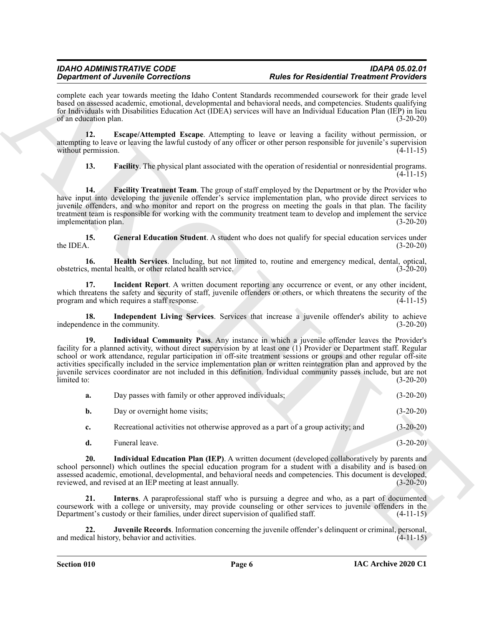complete each year towards meeting the Idaho Content Standards recommended coursework for their grade level based on assessed academic, emotional, developmental and behavioral needs, and competencies. Students qualifying for Individuals with Disabilities Education Act (IDEA) services will have an Individual Education Plan (IEP) in lieu of an education plan. (3-20-20)

**12. Escape/Attempted Escape**. Attempting to leave or leaving a facility without permission, or attempting to leave or leaving the lawful custody of any officer or other person responsible for juvenile's supervision without permission. (4-11-15)

<span id="page-5-2"></span><span id="page-5-1"></span><span id="page-5-0"></span>**13. Facility**. The physical plant associated with the operation of residential or nonresidential programs. (4-11-15)

**14. Facility Treatment Team**. The group of staff employed by the Department or by the Provider who have input into developing the juvenile offender's service implementation plan, who provide direct services to juvenile offenders, and who monitor and report on the progress on meeting the goals in that plan. The facility treatment team is responsible for working with the community treatment team to develop and implement the service<br>implementation plan. (3-20-20) implementation plan.

<span id="page-5-3"></span>**15.** General Education Student. A student who does not qualify for special education services under the IDEA.  $(3-20-20)$ the IDEA.  $(3-20-20)$ 

<span id="page-5-4"></span>**16. Health Services**. Including, but not limited to, routine and emergency medical, dental, optical, obstetrics, mental health, or other related health service.

<span id="page-5-5"></span>**17. Incident Report**. A written document reporting any occurrence or event, or any other incident, which threatens the safety and security of staff, juvenile offenders or others, or which threatens the security of the program and which requires a staff response. (4-11-15)

<span id="page-5-7"></span><span id="page-5-6"></span>**18. Independent Living Services**. Services that increase a juvenile offender's ability to achieve independence in the community. (3-20-20)

**Experiment of Archives Concernent and The Use Content School systems of Archives Treatmonth Projection Content<br>
System and the two-state methods in the content of the content of the content of the state in the content of 19. Individual Community Pass**. Any instance in which a juvenile offender leaves the Provider's facility for a planned activity, without direct supervision by at least one (1) Provider or Department staff. Regular school or work attendance, regular participation in off-site treatment sessions or groups and other regular off-site activities specifically included in the service implementation plan or written reintegration plan and approved by the juvenile services coordinator are not included in this definition. Individual community passes include, but are not limited to: (3-20-20)

| a. | Day passes with family or other approved individuals;                             | $(3-20-20)$ |
|----|-----------------------------------------------------------------------------------|-------------|
| b. | Day or overnight home visits;                                                     | $(3-20-20)$ |
|    | Recreational activities not otherwise approved as a part of a group activity; and | $(3-20-20)$ |

<span id="page-5-9"></span><span id="page-5-8"></span>**d.** Funeral leave. (3-20-20)

**20. Individual Education Plan (IEP)**. A written document (developed collaboratively by parents and school personnel) which outlines the special education program for a student with a disability and is based on assessed academic, emotional, developmental, and behavioral needs and competencies. This document is developed, reviewed, and revised at an IEP meeting at least annually. (3-20-20) reviewed, and revised at an IEP meeting at least annually.

**21. Interns**. A paraprofessional staff who is pursuing a degree and who, as a part of documented coursework with a college or university, may provide counseling or other services to juvenile offenders in the Department's custody or their families, under direct supervision of qualified staff. (4-11-15)

<span id="page-5-10"></span>**22. Juvenile Records**. Information concerning the juvenile offender's delinquent or criminal, personal, and medical history, behavior and activities. (4-11-15)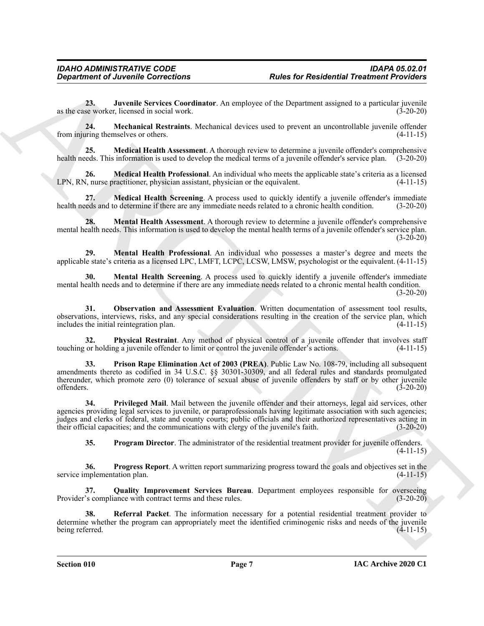<span id="page-6-0"></span>**23. Juvenile Services Coordinator**. An employee of the Department assigned to a particular juvenile as the case worker, licensed in social work. (3-20-20)

<span id="page-6-1"></span>**24. Mechanical Restraints**. Mechanical devices used to prevent an uncontrollable juvenile offender from injuring themselves or others. (4-11-15)

<span id="page-6-2"></span>**25. Medical Health Assessment**. A thorough review to determine a juvenile offender's comprehensive health needs. This information is used to develop the medical terms of a juvenile offender's service plan. (3-20-20)

<span id="page-6-3"></span>**26. Medical Health Professional**. An individual who meets the applicable state's criteria as a licensed LPN, RN, nurse practitioner, physician assistant, physician or the equivalent. (4-11-15)

<span id="page-6-4"></span>**27. Medical Health Screening**. A process used to quickly identify a juvenile offender's immediate health needs and to determine if there are any immediate needs related to a chronic health condition. (3-20-20)

<span id="page-6-5"></span>**28. Mental Health Assessment**. A thorough review to determine a juvenile offender's comprehensive mental health needs. This information is used to develop the mental health terms of a juvenile offender's service plan.  $(3-20-20)$ 

<span id="page-6-6"></span>**29. Mental Health Professional**. An individual who possesses a master's degree and meets the applicable state's criteria as a licensed LPC, LMFT, LCPC, LCSW, LMSW, psychologist or the equivalent. (4-11-15)

<span id="page-6-7"></span>**30. Mental Health Screening**. A process used to quickly identify a juvenile offender's immediate mental health needs and to determine if there are any immediate needs related to a chronic mental health condition. (3-20-20)

<span id="page-6-8"></span>**31. Observation and Assessment Evaluation**. Written documentation of assessment tool results, observations, interviews, risks, and any special considerations resulting in the creation of the service plan, which includes the initial reintegration plan. (4-11-15)

<span id="page-6-9"></span>**32. Physical Restraint**. Any method of physical control of a juvenile offender that involves staff touching or holding a juvenile offender to limit or control the juvenile offender's actions. (4-11-15)

<span id="page-6-10"></span>**33. Prison Rape Elimination Act of 2003 (PREA)**. Public Law No. 108-79, including all subsequent amendments thereto as codified in 34 U.S.C. §§ 30301-30309, and all federal rules and standards promulgated thereunder, which promote zero (0) tolerance of sexual abuse of juvenile offenders by staff or by other juvenile offenders. (3-20-20)

**Department of Javoisine Corrections**<br> **Alter for Residential Treations Providers**<br>
An alternative collection of the collection of the collection of the Department singular is a particular process of the simulation of the **34. Privileged Mail**. Mail between the juvenile offender and their attorneys, legal aid services, other agencies providing legal services to juvenile, or paraprofessionals having legitimate association with such agencies; judges and clerks of federal, state and county courts; public officials and their authorized representatives acting in their official capacities; and the communications with clergy of the juvenile's faith. (3-20-20)

<span id="page-6-14"></span><span id="page-6-13"></span><span id="page-6-12"></span><span id="page-6-11"></span>**35. Program Director**. The administrator of the residential treatment provider for juvenile offenders.  $(4-11-15)$ 

**36. Progress Report**. A written report summarizing progress toward the goals and objectives set in the service implementation plan. (4-11-15)

**37. Quality Improvement Services Bureau**. Department employees responsible for overseeing Provider's compliance with contract terms and these rules. (3-20-20)

<span id="page-6-15"></span>**38. Referral Packet**. The information necessary for a potential residential treatment provider to determine whether the program can appropriately meet the identified criminogenic risks and needs of the juvenile<br>being referred. (4-11-15) being referred.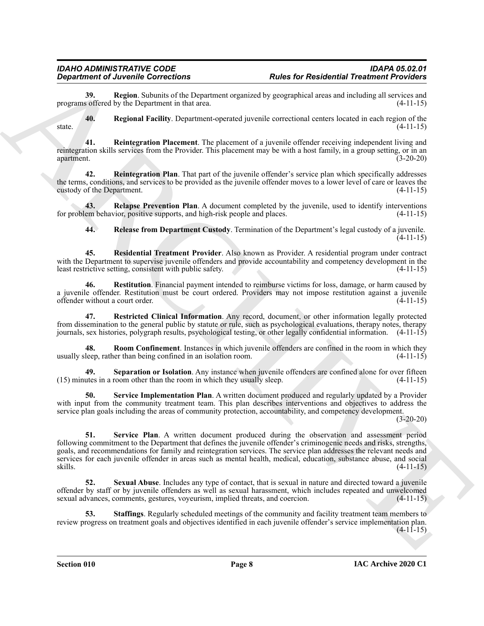<span id="page-7-0"></span>**39.** Region. Subunits of the Department organized by geographical areas and including all services and s offered by the Department in that area. (4-11-15) programs offered by the Department in that area.

<span id="page-7-1"></span>**40. Regional Facility**. Department-operated juvenile correctional centers located in each region of the state.  $(4-11-15)$ 

<span id="page-7-2"></span>**41. Reintegration Placement**. The placement of a juvenile offender receiving independent living and reintegration skills services from the Provider. This placement may be with a host family, in a group setting, or in an apartment. (3-20-20)

<span id="page-7-3"></span>**42. Reintegration Plan**. That part of the juvenile offender's service plan which specifically addresses the terms, conditions, and services to be provided as the juvenile offender moves to a lower level of care or leaves the custody of the Department. (4-11-15) custody of the Department.

**43. Relapse Prevention Plan**. A document completed by the juvenile, used to identify interventions for problem behavior, positive supports, and high-risk people and places. (4-11-15)

<span id="page-7-7"></span><span id="page-7-6"></span><span id="page-7-5"></span><span id="page-7-4"></span>**44. Release from Department Custody**. Termination of the Department's legal custody of a juvenile. (4-11-15)

**45. Residential Treatment Provider**. Also known as Provider. A residential program under contract with the Department to supervise juvenile offenders and provide accountability and competency development in the least restrictive setting, consistent with public safety. (4-11-15)

**46. Restitution**. Financial payment intended to reimburse victims for loss, damage, or harm caused by a juvenile offender. Restitution must be court ordered. Providers may not impose restitution against a juvenile offender without a court order. (4-11-15)

<span id="page-7-8"></span>**47. Restricted Clinical Information**. Any record, document, or other information legally protected from dissemination to the general public by statute or rule, such as psychological evaluations, therapy notes, therapy journals, sex histories, polygraph results, psychological testing, or other legally confidential information. (4-11-15)

<span id="page-7-9"></span>**48. Room Confinement**. Instances in which juvenile offenders are confined in the room in which they usually sleep, rather than being confined in an isolation room. (4-11-15)

<span id="page-7-10"></span>**49. Separation or Isolation**. Any instance when juvenile offenders are confined alone for over fifteen (15) minutes in a room other than the room in which they usually sleep. (4-11-15)

<span id="page-7-12"></span><span id="page-7-11"></span>**50. Service Implementation Plan**. A written document produced and regularly updated by a Provider with input from the community treatment team. This plan describes interventions and objectives to address the service plan goals including the areas of community protection, accountability, and competency development.

(3-20-20)

**Experimented According to Controlling The Controlling Theoretical Presidential President President President President President President President President President President President President President President P 51. Service Plan**. A written document produced during the observation and assessment period following commitment to the Department that defines the juvenile offender's criminogenic needs and risks, strengths, goals, and recommendations for family and reintegration services. The service plan addresses the relevant needs and services for each juvenile offender in areas such as mental health, medical, education, substance abuse, and social skills. (4-11-15)

<span id="page-7-13"></span>**52. Sexual Abuse**. Includes any type of contact, that is sexual in nature and directed toward a juvenile offender by staff or by juvenile offenders as well as sexual harassment, which includes repeated and unwelcomed sexual advances, comments, gestures, voyeurism, implied threats, and coercion. (4-11-15)

<span id="page-7-14"></span>**53. Staffings**. Regularly scheduled meetings of the community and facility treatment team members to review progress on treatment goals and objectives identified in each juvenile offender's service implementation plan. (4-11-15)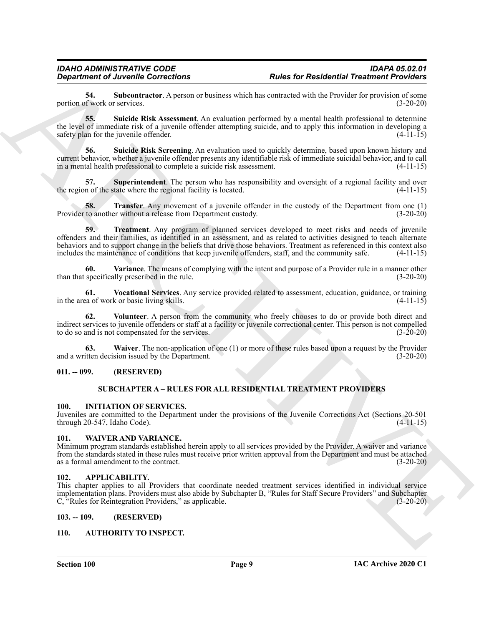<span id="page-8-9"></span>**54.** Subcontractor. A person or business which has contracted with the Provider for provision of some of work or services. (3-20-20) portion of work or services.

<span id="page-8-10"></span>**55. Suicide Risk Assessment**. An evaluation performed by a mental health professional to determine the level of immediate risk of a juvenile offender attempting suicide, and to apply this information in developing a safety plan for the juvenile offender. (4-11-15)

<span id="page-8-11"></span>**56. Suicide Risk Screening**. An evaluation used to quickly determine, based upon known history and current behavior, whether a juvenile offender presents any identifiable risk of immediate suicidal behavior, and to call in a mental health professional to complete a suicide risk assessment. (4-11-15)

<span id="page-8-12"></span>**57.** Superintendent. The person who has responsibility and oversight of a regional facility and over n of the state where the regional facility is located. (4-11-15) the region of the state where the regional facility is located.

<span id="page-8-14"></span><span id="page-8-13"></span>**58. Transfer**. Any movement of a juvenile offender in the custody of the Department from one (1) to another without a release from Department custody. (3-20-20) Provider to another without a release from Department custody.

**Equivalent of Alexandre Sometimes**<br> **ARCHIVE CONVENTION CONSULTS (EXECUTED ARCHIVE SUPPORT OF ALEXANDED CONSULTS (EXECUTED ARCHIVE SUPPORT)**<br>
ARCHIVE SUPPORT (EXECUTED ARCHIVE SUPPORT OF ALEXANDED CONSULTS (EXECUTED ARCH **59. Treatment**. Any program of planned services developed to meet risks and needs of juvenile offenders and their families, as identified in an assessment, and as related to activities designed to teach alternate behaviors and to support change in the beliefs that drive those behaviors. Treatment as referenced in this context also includes the maintenance of conditions that keep juvenile offenders, staff, and the community safe. (4-11-15)

<span id="page-8-15"></span>**60. Variance**. The means of complying with the intent and purpose of a Provider rule in a manner other than that specifically prescribed in the rule. (3-20-20)

<span id="page-8-16"></span>**61. Vocational Services**. Any service provided related to assessment, education, guidance, or training in the area of work or basic living skills. (4-11-15)

<span id="page-8-17"></span>**62. Volunteer**. A person from the community who freely chooses to do or provide both direct and indirect services to juvenile offenders or staff at a facility or juvenile correctional center. This person is not compelled to do so and is not compensated for the services. (3-20-20) to do so and is not compensated for the services.

**63. Waiver**. The non-application of one (1) or more of these rules based upon a request by the Provider and a written decision issued by the Department. (3-20-20)

#### <span id="page-8-1"></span><span id="page-8-0"></span>**011. -- 099. (RESERVED)**

#### <span id="page-8-20"></span><span id="page-8-19"></span><span id="page-8-18"></span>**SUBCHAPTER A – RULES FOR ALL RESIDENTIAL TREATMENT PROVIDERS**

#### <span id="page-8-2"></span>**100. INITIATION OF SERVICES.**

Juveniles are committed to the Department under the provisions of the Juvenile Corrections Act (Sections 20-501 through 20-547, Idaho Code).

#### <span id="page-8-21"></span><span id="page-8-3"></span>**101. WAIVER AND VARIANCE.**

Minimum program standards established herein apply to all services provided by the Provider. A waiver and variance from the standards stated in these rules must receive prior written approval from the Department and must be attached as a formal amendment to the contract. (3-20-20)

#### <span id="page-8-7"></span><span id="page-8-4"></span>**102. APPLICABILITY.**

This chapter applies to all Providers that coordinate needed treatment services identified in individual service implementation plans. Providers must also abide by Subchapter B, "Rules for Staff Secure Providers" and Subchapter C. "Rules for Reintegration Providers." as applicable. C, "Rules for Reintegration Providers," as applicable.

#### <span id="page-8-5"></span>**103. -- 109. (RESERVED)**

#### <span id="page-8-8"></span><span id="page-8-6"></span>**110. AUTHORITY TO INSPECT.**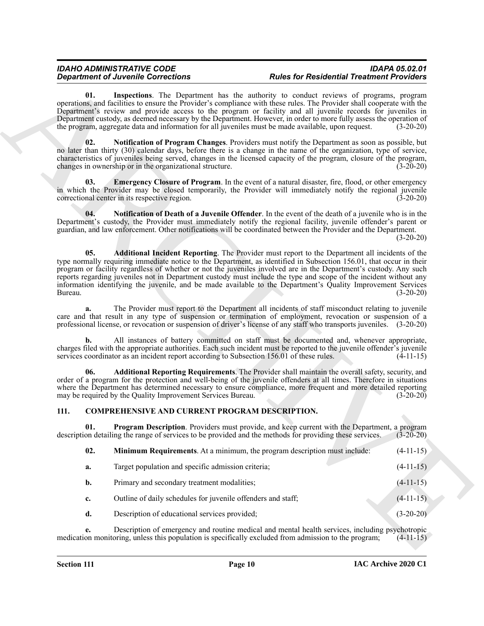#### <span id="page-9-6"></span><span id="page-9-5"></span><span id="page-9-4"></span><span id="page-9-3"></span>*IDAHO ADMINISTRATIVE CODE IDAPA 05.02.01 Rules for Residential Treatment Providers*

#### <span id="page-9-9"></span><span id="page-9-8"></span><span id="page-9-7"></span><span id="page-9-2"></span><span id="page-9-1"></span><span id="page-9-0"></span>**111. COMPREHENSIVE AND CURRENT PROGRAM DESCRIPTION.**

|                                                                                                                                                                                                                                                                                                                                                          | <b>Rules for Residential Treatment Providers</b>                                                                                                                                                                                                                                                                                                                                                                                                                                                                                                                                | <b>Department of Juvenile Corrections</b>                                                 |                |
|----------------------------------------------------------------------------------------------------------------------------------------------------------------------------------------------------------------------------------------------------------------------------------------------------------------------------------------------------------|---------------------------------------------------------------------------------------------------------------------------------------------------------------------------------------------------------------------------------------------------------------------------------------------------------------------------------------------------------------------------------------------------------------------------------------------------------------------------------------------------------------------------------------------------------------------------------|-------------------------------------------------------------------------------------------|----------------|
| $(3-20-20)$                                                                                                                                                                                                                                                                                                                                              | Inspections. The Department has the authority to conduct reviews of programs, program<br>operations, and facilities to ensure the Provider's compliance with these rules. The Provider shall cooperate with the<br>Department's review and provide access to the program or facility and all juvenile records for juveniles in<br>Department custody, as deemed necessary by the Department. However, in order to more fully assess the operation of<br>the program, aggregate data and information for all juveniles must be made available, upon request.                     |                                                                                           | 01.            |
| $(3-20-20)$                                                                                                                                                                                                                                                                                                                                              | Notification of Program Changes. Providers must notify the Department as soon as possible, but<br>no later than thirty (30) calendar days, before there is a change in the name of the organization, type of service,<br>characteristics of juveniles being served, changes in the licensed capacity of the program, closure of the program,                                                                                                                                                                                                                                    | changes in ownership or in the organizational structure.                                  | 02.            |
| $(3-20-20)$                                                                                                                                                                                                                                                                                                                                              | <b>Emergency Closure of Program.</b> In the event of a natural disaster, fire, flood, or other emergency<br>in which the Provider may be closed temporarily, the Provider will immediately notify the regional juvenile                                                                                                                                                                                                                                                                                                                                                         | correctional center in its respective region.                                             | 03.            |
| $(3-20-20)$                                                                                                                                                                                                                                                                                                                                              | <b>Notification of Death of a Juvenile Offender</b> . In the event of the death of a juvenile who is in the<br>Department's custody, the Provider must immediately notify the regional facility, juvenile offender's parent or<br>guardian, and law enforcement. Other notifications will be coordinated between the Provider and the Department.                                                                                                                                                                                                                               |                                                                                           | 04.            |
| $(3-20-20)$                                                                                                                                                                                                                                                                                                                                              | Additional Incident Reporting. The Provider must report to the Department all incidents of the<br>type normally requiring immediate notice to the Department, as identified in Subsection 156.01, that occur in their<br>program or facility regardless of whether or not the juveniles involved are in the Department's custody. Any such<br>reports regarding juveniles not in Department custody must include the type and scope of the incident without any<br>information identifying the juvenile, and be made available to the Department's Quality Improvement Services |                                                                                           | 05.<br>Bureau. |
|                                                                                                                                                                                                                                                                                                                                                          | The Provider must report to the Department all incidents of staff misconduct relating to juvenile<br>care and that result in any type of suspension or termination of employment, revocation or suspension of a<br>professional license, or revocation or suspension of driver's license of any staff who transports juveniles. (3-20-20)                                                                                                                                                                                                                                       |                                                                                           | a.             |
| $(4-11-15)$                                                                                                                                                                                                                                                                                                                                              | All instances of battery committed on staff must be documented and, whenever appropriate,<br>charges filed with the appropriate authorities. Each such incident must be reported to the juvenile offender's juvenile                                                                                                                                                                                                                                                                                                                                                            | services coordinator as an incident report according to Subsection 156.01 of these rules. | b.             |
| Additional Reporting Requirements. The Provider shall maintain the overall safety, security, and<br>order of a program for the protection and well-being of the juvenile offenders at all times. Therefore in situations<br>where the Department has determined necessary to ensure compliance, more frequent and more detailed reporting<br>$(3-20-20)$ |                                                                                                                                                                                                                                                                                                                                                                                                                                                                                                                                                                                 | may be required by the Quality Improvement Services Bureau.                               | 06.            |
|                                                                                                                                                                                                                                                                                                                                                          |                                                                                                                                                                                                                                                                                                                                                                                                                                                                                                                                                                                 | COMPREHENSIVE AND CURRENT PROGRAM DESCRIPTION.                                            | 111.           |
| $(3-20-20)$                                                                                                                                                                                                                                                                                                                                              | Program Description. Providers must provide, and keep current with the Department, a program<br>description detailing the range of services to be provided and the methods for providing these services.                                                                                                                                                                                                                                                                                                                                                                        |                                                                                           | 01.            |
| $(4-11-15)$                                                                                                                                                                                                                                                                                                                                              | Minimum Requirements. At a minimum, the program description must include:                                                                                                                                                                                                                                                                                                                                                                                                                                                                                                       |                                                                                           | 02.            |
| $(4-11-15)$                                                                                                                                                                                                                                                                                                                                              |                                                                                                                                                                                                                                                                                                                                                                                                                                                                                                                                                                                 | Target population and specific admission criteria;                                        | a.             |
| $(4-11-15)$                                                                                                                                                                                                                                                                                                                                              |                                                                                                                                                                                                                                                                                                                                                                                                                                                                                                                                                                                 | Primary and secondary treatment modalities;                                               | b.             |
| $(4-11-15)$                                                                                                                                                                                                                                                                                                                                              |                                                                                                                                                                                                                                                                                                                                                                                                                                                                                                                                                                                 | Outline of daily schedules for juvenile offenders and staff;                              | c.             |
| $(3-20-20)$                                                                                                                                                                                                                                                                                                                                              |                                                                                                                                                                                                                                                                                                                                                                                                                                                                                                                                                                                 | Description of educational services provided;                                             | d.             |
| $(4-11-15)$                                                                                                                                                                                                                                                                                                                                              | Description of emergency and routine medical and mental health services, including psychotropic<br>medication monitoring, unless this population is specifically excluded from admission to the program;                                                                                                                                                                                                                                                                                                                                                                        |                                                                                           | e.             |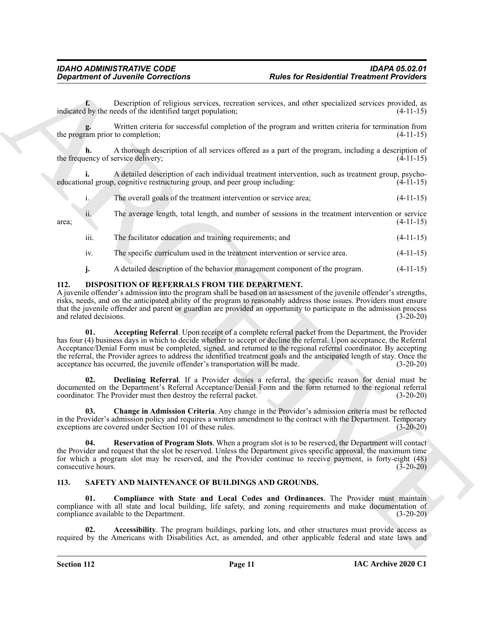**f.** Description of religious services, recreation services, and other specialized services provided, as indicated by the needs of the identified target population; (4-11-15)

**g.** Written criteria for successful completion of the program and written criteria for termination from the program prior to completion; (4-11-15)

**h.** A thorough description of all services offered as a part of the program, including a description of the frequency of service delivery; (4-11-15)

**i.** A detailed description of each individual treatment intervention, such as treatment group, psychoeducational group, cognitive restructuring group, and peer group including: (4-11-15)

i. The overall goals of the treatment intervention or service area; (4-11-15)

 $\frac{1}{4}$  area; (4-11-15)

iii. The facilitator education and training requirements; and  $(4-11-15)$ 

ii. The average length, total length, and number of sessions in the treatment intervention or service

- iv. The specific curriculum used in the treatment intervention or service area. (4-11-15)
- <span id="page-10-3"></span><span id="page-10-2"></span>**j.** A detailed description of the behavior management component of the program.  $(4-11-15)$

#### <span id="page-10-0"></span>**112. DISPOSITION OF REFERRALS FROM THE DEPARTMENT.**

A juvenile offender's admission into the program shall be based on an assessment of the juvenile offender's strengths, risks, needs, and on the anticipated ability of the program to reasonably address those issues. Providers must ensure that the juvenile offender and parent or guardian are provided an opportunity to participate in the admission process and related decisions. (3-20-20)

**Considered of Ancientale Corrections**<br> **But the Considered Provider of Residential Treatment Provider 2<br>
increases the measurement of the measurement of the properties and the properties of the properties of the second o 01. Accepting Referral**. Upon receipt of a complete referral packet from the Department, the Provider has four (4) business days in which to decide whether to accept or decline the referral. Upon acceptance, the Referral Acceptance/Denial Form must be completed, signed, and returned to the regional referral coordinator. By accepting the referral, the Provider agrees to address the identified treatment goals and the anticipated length of stay. Once the acceptance has occurred, the juvenile offender's transportation will be made. (3-20-20)

<span id="page-10-5"></span>**02. Declining Referral**. If a Provider denies a referral, the specific reason for denial must be documented on the Department's Referral Acceptance/Denial Form and the form returned to the regional referral coordinator. The Provider must then destroy the referral packet. (3-20-20)

<span id="page-10-4"></span>**03. Change in Admission Criteria**. Any change in the Provider's admission criteria must be reflected in the Provider's admission policy and requires a written amendment to the contract with the Department. Temporary exceptions are covered under Section 101 of these rules. (3-20-20)

<span id="page-10-6"></span>**04. Reservation of Program Slots**. When a program slot is to be reserved, the Department will contact the Provider and request that the slot be reserved. Unless the Department gives specific approval, the maximum time for which a program slot may be reserved, and the Provider continue to receive payment, is forty-eight (48) consecutive hours. (3-20-20)

#### <span id="page-10-7"></span><span id="page-10-1"></span>**113. SAFETY AND MAINTENANCE OF BUILDINGS AND GROUNDS.**

<span id="page-10-9"></span>**01. Compliance with State and Local Codes and Ordinances**. The Provider must maintain compliance with all state and local building, life safety, and zoning requirements and make documentation of compliance available to the Department. (3-20-20)

<span id="page-10-8"></span>**02. Accessibility**. The program buildings, parking lots, and other structures must provide access as required by the Americans with Disabilities Act, as amended, and other applicable federal and state laws and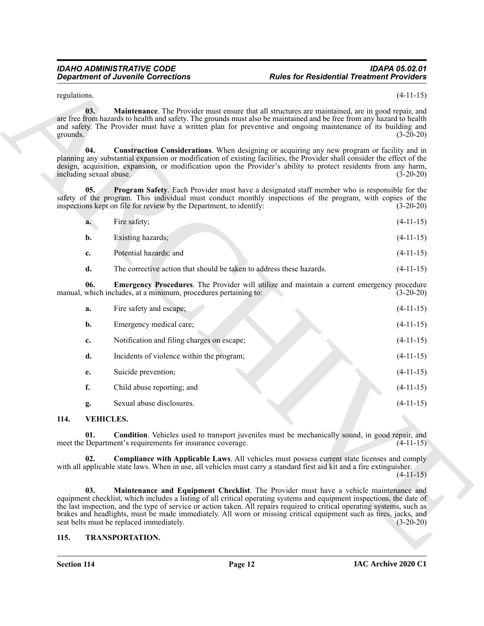<span id="page-11-5"></span><span id="page-11-3"></span><span id="page-11-2"></span>

| a. | Fire safety;                                                         | $(4-11-15)$ |
|----|----------------------------------------------------------------------|-------------|
| b. | Existing hazards;                                                    | $(4-11-15)$ |
| c. | Potential hazards; and                                               | $(4-11-15)$ |
|    | The corrective action that should be taken to address these hazards. | $(4-11-15)$ |

<span id="page-11-4"></span>

|                                | <b>Department of Juvenile Corrections</b>                            | <b>Rules for Residential Treatment Providers</b>                                                                                                                                                                                                                                                                                                                                                                                                                  |             |
|--------------------------------|----------------------------------------------------------------------|-------------------------------------------------------------------------------------------------------------------------------------------------------------------------------------------------------------------------------------------------------------------------------------------------------------------------------------------------------------------------------------------------------------------------------------------------------------------|-------------|
| regulations.                   |                                                                      |                                                                                                                                                                                                                                                                                                                                                                                                                                                                   | $(4-11-15)$ |
| 03.<br>grounds.                |                                                                      | <b>Maintenance</b> . The Provider must ensure that all structures are maintained, are in good repair, and<br>are free from hazards to health and safety. The grounds must also be maintained and be free from any hazard to health<br>and safety. The Provider must have a written plan for preventive and ongoing maintenance of its building and                                                                                                                | $(3-20-20)$ |
| 04.<br>including sexual abuse. |                                                                      | Construction Considerations. When designing or acquiring any new program or facility and in<br>planning any substantial expansion or modification of existing facilities, the Provider shall consider the effect of the<br>design, acquisition, expansion, or modification upon the Provider's ability to protect residents from any harm,                                                                                                                        | $(3-20-20)$ |
| 05.                            | inspections kept on file for review by the Department, to identify:  | <b>Program Safety.</b> Each Provider must have a designated staff member who is responsible for the<br>safety of the program. This individual must conduct monthly inspections of the program, with copies of the                                                                                                                                                                                                                                                 | $(3-20-20)$ |
| a.                             | Fire safety;                                                         |                                                                                                                                                                                                                                                                                                                                                                                                                                                                   | $(4-11-15)$ |
| b.                             | Existing hazards;                                                    |                                                                                                                                                                                                                                                                                                                                                                                                                                                                   | $(4-11-15)$ |
| c.                             | Potential hazards; and                                               |                                                                                                                                                                                                                                                                                                                                                                                                                                                                   | $(4-11-15)$ |
| d.                             | The corrective action that should be taken to address these hazards. |                                                                                                                                                                                                                                                                                                                                                                                                                                                                   | $(4-11-15)$ |
| 06.                            | manual, which includes, at a minimum, procedures pertaining to:      | Emergency Procedures. The Provider will utilize and maintain a current emergency procedure                                                                                                                                                                                                                                                                                                                                                                        | $(3-20-20)$ |
| a.                             | Fire safety and escape;                                              |                                                                                                                                                                                                                                                                                                                                                                                                                                                                   | $(4-11-15)$ |
| b.                             | Emergency medical care;                                              |                                                                                                                                                                                                                                                                                                                                                                                                                                                                   | $(4-11-15)$ |
| c.                             | Notification and filing charges on escape;                           |                                                                                                                                                                                                                                                                                                                                                                                                                                                                   | $(4-11-15)$ |
| d.                             | Incidents of violence within the program;                            |                                                                                                                                                                                                                                                                                                                                                                                                                                                                   | $(4-11-15)$ |
| e.                             | Suicide prevention;                                                  |                                                                                                                                                                                                                                                                                                                                                                                                                                                                   | $(4-11-15)$ |
| f.                             | Child abuse reporting; and                                           |                                                                                                                                                                                                                                                                                                                                                                                                                                                                   | $(4-11-15)$ |
| g.                             | Sexual abuse disclosures.                                            |                                                                                                                                                                                                                                                                                                                                                                                                                                                                   | $(4-11-15)$ |
| 114.                           | <b>VEHICLES.</b>                                                     |                                                                                                                                                                                                                                                                                                                                                                                                                                                                   |             |
| 01.                            | meet the Department's requirements for insurance coverage.           | <b>Condition.</b> Vehicles used to transport juveniles must be mechanically sound, in good repair, and                                                                                                                                                                                                                                                                                                                                                            | $(4-11-15)$ |
| 02.                            |                                                                      | <b>Compliance with Applicable Laws.</b> All vehicles must possess current state licenses and comply<br>with all applicable state laws. When in use, all vehicles must carry a standard first aid kit and a fire extinguisher.                                                                                                                                                                                                                                     | $(4-11-15)$ |
| 03.                            | seat belts must be replaced immediately.                             | Maintenance and Equipment Checklist. The Provider must have a vehicle maintenance and<br>equipment checklist, which includes a listing of all critical operating systems and equipment inspections, the date of<br>the last inspection, and the type of service or action taken. All repairs required to critical operating systems, such as<br>brakes and headlights, must be made immediately. All worn or missing critical equipment such as tires, jacks, and | $(3-20-20)$ |
| 115.                           | <b>TRANSPORTATION.</b>                                               |                                                                                                                                                                                                                                                                                                                                                                                                                                                                   |             |

#### <span id="page-11-9"></span><span id="page-11-8"></span><span id="page-11-7"></span><span id="page-11-0"></span>**114. VEHICLES.**

#### <span id="page-11-10"></span><span id="page-11-6"></span><span id="page-11-1"></span>**115. TRANSPORTATION.**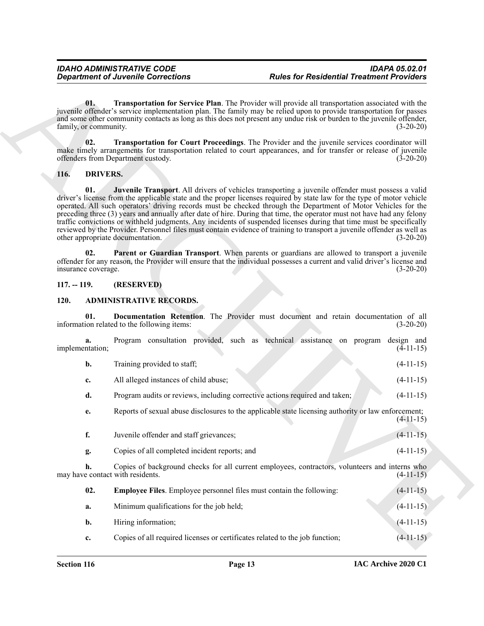### <span id="page-12-10"></span><span id="page-12-9"></span><span id="page-12-7"></span><span id="page-12-6"></span><span id="page-12-0"></span>**116. DRIVERS.**

#### <span id="page-12-8"></span><span id="page-12-1"></span>**117. -- 119. (RESERVED)**

#### <span id="page-12-5"></span><span id="page-12-4"></span><span id="page-12-3"></span><span id="page-12-2"></span>**120. ADMINISTRATIVE RECORDS.**

|      |                              | <b>Department of Juvenile Corrections</b>                                                                                                                                                                                                                                                                                                                                                                                                                                                                                                                                                                                                                                                                                                                      | <b>Rules for Residential Treatment Providers</b> |  |
|------|------------------------------|----------------------------------------------------------------------------------------------------------------------------------------------------------------------------------------------------------------------------------------------------------------------------------------------------------------------------------------------------------------------------------------------------------------------------------------------------------------------------------------------------------------------------------------------------------------------------------------------------------------------------------------------------------------------------------------------------------------------------------------------------------------|--------------------------------------------------|--|
|      | 01.<br>family, or community. | Transportation for Service Plan. The Provider will provide all transportation associated with the<br>juvenile offender's service implementation plan. The family may be relied upon to provide transportation for passes<br>and some other community contacts as long as this does not present any undue risk or burden to the juvenile offender,                                                                                                                                                                                                                                                                                                                                                                                                              | $(3-20-20)$                                      |  |
|      | 02.                          | Transportation for Court Proceedings. The Provider and the juvenile services coordinator will<br>make timely arrangements for transportation related to court appearances, and for transfer or release of juvenile<br>offenders from Department custody.                                                                                                                                                                                                                                                                                                                                                                                                                                                                                                       | $(3-20-20)$                                      |  |
| 116. | <b>DRIVERS.</b>              |                                                                                                                                                                                                                                                                                                                                                                                                                                                                                                                                                                                                                                                                                                                                                                |                                                  |  |
|      | 01.                          | Juvenile Transport. All drivers of vehicles transporting a juvenile offender must possess a valid<br>driver's license from the applicable state and the proper licenses required by state law for the type of motor vehicle<br>operated. All such operators' driving records must be checked through the Department of Motor Vehicles for the<br>preceding three (3) years and annually after date of hire. During that time, the operator must not have had any felony<br>traffic convictions or withheld judgments. Any incidents of suspended licenses during that time must be specifically<br>reviewed by the Provider. Personnel files must contain evidence of training to transport a juvenile offender as well as<br>other appropriate documentation. | $(3-20-20)$                                      |  |
|      | 02.<br>insurance coverage.   | Parent or Guardian Transport. When parents or guardians are allowed to transport a juvenile<br>offender for any reason, the Provider will ensure that the individual possesses a current and valid driver's license and                                                                                                                                                                                                                                                                                                                                                                                                                                                                                                                                        | $(3-20-20)$                                      |  |
|      | $117. - 119.$                | (RESERVED)                                                                                                                                                                                                                                                                                                                                                                                                                                                                                                                                                                                                                                                                                                                                                     |                                                  |  |
| 120. |                              | <b>ADMINISTRATIVE RECORDS.</b>                                                                                                                                                                                                                                                                                                                                                                                                                                                                                                                                                                                                                                                                                                                                 |                                                  |  |
|      | 01.                          | Documentation Retention. The Provider must document and retain documentation of all<br>information related to the following items:                                                                                                                                                                                                                                                                                                                                                                                                                                                                                                                                                                                                                             | $(3-20-20)$                                      |  |
|      | a.<br>implementation;        | Program consultation provided, such as technical assistance on program design and                                                                                                                                                                                                                                                                                                                                                                                                                                                                                                                                                                                                                                                                              | $(4-11-15)$                                      |  |
|      |                              | Training provided to staff;                                                                                                                                                                                                                                                                                                                                                                                                                                                                                                                                                                                                                                                                                                                                    | $(4-11-15)$                                      |  |
|      | b.                           |                                                                                                                                                                                                                                                                                                                                                                                                                                                                                                                                                                                                                                                                                                                                                                |                                                  |  |
|      | c.                           | All alleged instances of child abuse;                                                                                                                                                                                                                                                                                                                                                                                                                                                                                                                                                                                                                                                                                                                          | $(4-11-15)$                                      |  |
|      | d.                           | Program audits or reviews, including corrective actions required and taken;                                                                                                                                                                                                                                                                                                                                                                                                                                                                                                                                                                                                                                                                                    | $(4-11-15)$                                      |  |
|      | е.                           | Reports of sexual abuse disclosures to the applicable state licensing authority or law enforcement;                                                                                                                                                                                                                                                                                                                                                                                                                                                                                                                                                                                                                                                            | $(4-11-15)$                                      |  |
|      | f.                           | Juvenile offender and staff grievances;                                                                                                                                                                                                                                                                                                                                                                                                                                                                                                                                                                                                                                                                                                                        | $(4-11-15)$                                      |  |
|      | g.                           | Copies of all completed incident reports; and                                                                                                                                                                                                                                                                                                                                                                                                                                                                                                                                                                                                                                                                                                                  | $(4-11-15)$                                      |  |
|      | h.                           | Copies of background checks for all current employees, contractors, volunteers and interns who<br>may have contact with residents.                                                                                                                                                                                                                                                                                                                                                                                                                                                                                                                                                                                                                             | $(4-11-15)$                                      |  |
|      | 02.                          | <b>Employee Files.</b> Employee personnel files must contain the following:                                                                                                                                                                                                                                                                                                                                                                                                                                                                                                                                                                                                                                                                                    | $(4-11-15)$                                      |  |
|      | a.                           | Minimum qualifications for the job held;                                                                                                                                                                                                                                                                                                                                                                                                                                                                                                                                                                                                                                                                                                                       | $(4-11-15)$                                      |  |
|      | b.                           | Hiring information;                                                                                                                                                                                                                                                                                                                                                                                                                                                                                                                                                                                                                                                                                                                                            | $(4-11-15)$                                      |  |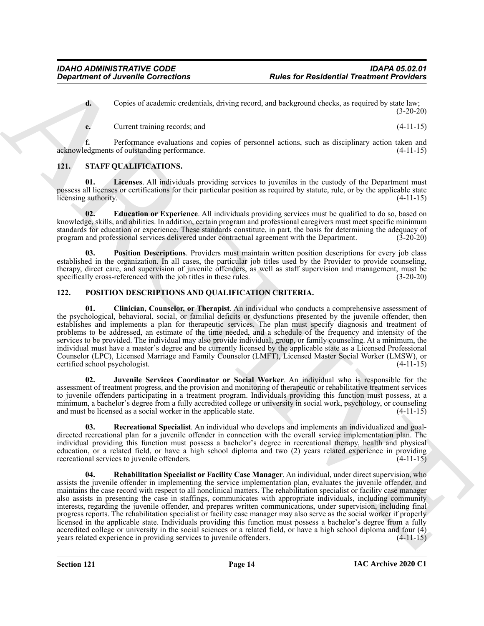**d.** Copies of academic credentials, driving record, and background checks, as required by state law; (3-20-20)

<span id="page-13-9"></span>**e.** Current training records; and  $(4-11-15)$ 

**f.** Performance evaluations and copies of personnel actions, such as disciplinary action taken and acknowledgments of outstanding performance. (4-11-15)

### <span id="page-13-7"></span><span id="page-13-0"></span>**121. STAFF QUALIFICATIONS.**

**01. Licenses**. All individuals providing services to juveniles in the custody of the Department must possess all licenses or certifications for their particular position as required by statute, rule, or by the applicable state licensing authority. (4-11-15)

<span id="page-13-8"></span>**02. Education or Experience**. All individuals providing services must be qualified to do so, based on knowledge, skills, and abilities. In addition, certain program and professional caregivers must meet specific minimum standards for education or experience. These standards constitute, in part, the basis for determining the adequacy of program and professional services delivered under contractual agreement with the Department. (3-20-20)

<span id="page-13-10"></span>**03. Position Descriptions**. Providers must maintain written position descriptions for every job class established in the organization. In all cases, the particular job titles used by the Provider to provide counseling, therapy, direct care, and supervision of juvenile offenders, as well as staff supervision and management, must be specifically cross-referenced with the job titles in these rules. (3-20-20)

#### <span id="page-13-3"></span><span id="page-13-2"></span><span id="page-13-1"></span>**122. POSITION DESCRIPTIONS AND QUALIFICATION CRITERIA.**

**01. Clinician, Counselor, or Therapist**. An individual who conducts a comprehensive assessment of the psychological, behavioral, social, or familial deficits or dysfunctions presented by the juvenile offender, then establishes and implements a plan for therapeutic services. The plan must specify diagnosis and treatment of problems to be addressed, an estimate of the time needed, and a schedule of the frequency and intensity of the services to be provided. The individual may also provide individual, group, or family counseling. At a minimum, the individual must have a master's degree and be currently licensed by the applicable state as a Licensed Professional Counselor (LPC), Licensed Marriage and Family Counselor (LMFT), Licensed Master Social Worker (LMSW), or certified school psychologist.

<span id="page-13-4"></span>**02. Juvenile Services Coordinator or Social Worker**. An individual who is responsible for the assessment of treatment progress, and the provision and monitoring of therapeutic or rehabilitative treatment services to juvenile offenders participating in a treatment program. Individuals providing this function must possess, at a minimum, a bachelor's degree from a fully accredited college or university in social work, psychology, or counseling and must be licensed as a social worker in the applicable state.  $(4-11-15)$ 

<span id="page-13-6"></span><span id="page-13-5"></span>**03. Recreational Specialist**. An individual who develops and implements an individualized and goaldirected recreational plan for a juvenile offender in connection with the overall service implementation plan. The individual providing this function must possess a bachelor's degree in recreational therapy, health and physical education, or a related field, or have a high school diploma and two (2) years related experience in providing recreational services to juvenile offenders. (4-11-15)

**Copies for Considerions Rules for Residential Treations** *Rules for Residential Treations Prophet* **Considering the specific of the specific of the specific of the specific of the specific of the specific of the specific 04. Rehabilitation Specialist or Facility Case Manager**. An individual, under direct supervision, who assists the juvenile offender in implementing the service implementation plan, evaluates the juvenile offender, and maintains the case record with respect to all nonclinical matters. The rehabilitation specialist or facility case manager also assists in presenting the case in staffings, communicates with appropriate individuals, including community interests, regarding the juvenile offender, and prepares written communications, under supervision, including final progress reports. The rehabilitation specialist or facility case manager may also serve as the social worker if properly licensed in the applicable state. Individuals providing this function must possess a bachelor's degree from a fully accredited college or university in the social sciences or a related field, or have a high school diploma and four  $(4)$ years related experience in providing services to juvenile offenders. (4-11-15)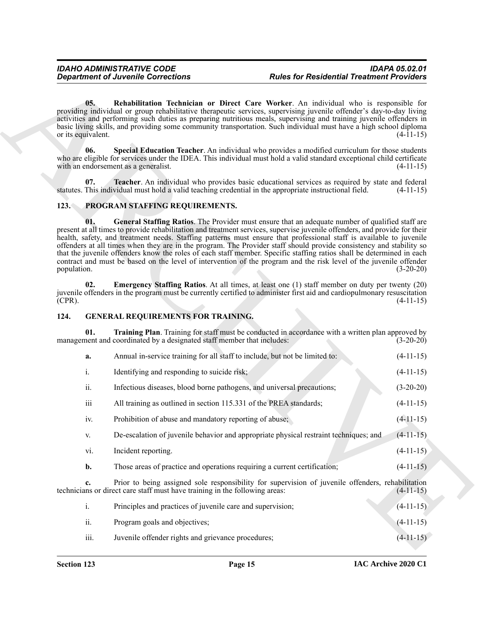#### <span id="page-14-9"></span><span id="page-14-7"></span><span id="page-14-6"></span><span id="page-14-5"></span><span id="page-14-0"></span>**123. PROGRAM STAFFING REQUIREMENTS.**

#### <span id="page-14-8"></span><span id="page-14-3"></span><span id="page-14-2"></span><span id="page-14-1"></span>**124. GENERAL REQUIREMENTS FOR TRAINING.**

<span id="page-14-4"></span>

|             | <b>Department of Juvenile Corrections</b>                                                                      | <b>Rules for Residential Treatment Providers</b>                                                                                                                                                                                                                                                                                                                                                                                                                                                                                                                                                                                                                                                                            |             |
|-------------|----------------------------------------------------------------------------------------------------------------|-----------------------------------------------------------------------------------------------------------------------------------------------------------------------------------------------------------------------------------------------------------------------------------------------------------------------------------------------------------------------------------------------------------------------------------------------------------------------------------------------------------------------------------------------------------------------------------------------------------------------------------------------------------------------------------------------------------------------------|-------------|
|             | 05.<br>or its equivalent.                                                                                      | Rehabilitation Technician or Direct Care Worker. An individual who is responsible for<br>providing individual or group rehabilitative therapeutic services, supervising juvenile offender's day-to-day living<br>activities and performing such duties as preparing nutritious meals, supervising and training juvenile offenders in<br>basic living skills, and providing some community transportation. Such individual must have a high school diploma                                                                                                                                                                                                                                                                   | $(4-11-15)$ |
|             | 06.<br>with an endorsement as a generalist.                                                                    | Special Education Teacher. An individual who provides a modified curriculum for those students<br>who are eligible for services under the IDEA. This individual must hold a valid standard exceptional child certificate                                                                                                                                                                                                                                                                                                                                                                                                                                                                                                    | $(4-11-15)$ |
|             | 07.<br>statutes. This individual must hold a valid teaching credential in the appropriate instructional field. | Teacher. An individual who provides basic educational services as required by state and federal                                                                                                                                                                                                                                                                                                                                                                                                                                                                                                                                                                                                                             | $(4-11-15)$ |
| 123.        | PROGRAM STAFFING REQUIREMENTS.                                                                                 |                                                                                                                                                                                                                                                                                                                                                                                                                                                                                                                                                                                                                                                                                                                             |             |
| population. | 01.                                                                                                            | General Staffing Ratios. The Provider must ensure that an adequate number of qualified staff are<br>present at all times to provide rehabilitation and treatment services, supervise juvenile offenders, and provide for their<br>health, safety, and treatment needs. Staffing patterns must ensure that professional staff is available to juvenile<br>offenders at all times when they are in the program. The Provider staff should provide consistency and stability so<br>that the juvenile offenders know the roles of each staff member. Specific staffing ratios shall be determined in each<br>contract and must be based on the level of intervention of the program and the risk level of the juvenile offender | $(3-20-20)$ |
| $(CPR)$ .   | 02.                                                                                                            | <b>Emergency Staffing Ratios.</b> At all times, at least one (1) staff member on duty per twenty (20)<br>juvenile offenders in the program must be currently certified to administer first aid and cardiopulmonary resuscitation                                                                                                                                                                                                                                                                                                                                                                                                                                                                                            | $(4-11-15)$ |
| 124.        | <b>GENERAL REQUIREMENTS FOR TRAINING.</b>                                                                      |                                                                                                                                                                                                                                                                                                                                                                                                                                                                                                                                                                                                                                                                                                                             |             |
|             | 01.<br>management and coordinated by a designated staff member that includes:                                  | Training Plan. Training for staff must be conducted in accordance with a written plan approved by                                                                                                                                                                                                                                                                                                                                                                                                                                                                                                                                                                                                                           | $(3-20-20)$ |
|             | Annual in-service training for all staff to include, but not be limited to:<br>a.                              |                                                                                                                                                                                                                                                                                                                                                                                                                                                                                                                                                                                                                                                                                                                             | $(4-11-15)$ |
|             | i.<br>Identifying and responding to suicide risk;                                                              |                                                                                                                                                                                                                                                                                                                                                                                                                                                                                                                                                                                                                                                                                                                             | $(4-11-15)$ |
|             | ii.<br>Infectious diseases, blood borne pathogens, and universal precautions;                                  |                                                                                                                                                                                                                                                                                                                                                                                                                                                                                                                                                                                                                                                                                                                             | $(3-20-20)$ |
|             | $\overline{\text{iii}}$<br>All training as outlined in section 115.331 of the PREA standards;                  |                                                                                                                                                                                                                                                                                                                                                                                                                                                                                                                                                                                                                                                                                                                             | $(4-11-15)$ |
|             | Prohibition of abuse and mandatory reporting of abuse;<br>iv.                                                  |                                                                                                                                                                                                                                                                                                                                                                                                                                                                                                                                                                                                                                                                                                                             | $(4-11-15)$ |
|             | V.                                                                                                             | De-escalation of juvenile behavior and appropriate physical restraint techniques; and                                                                                                                                                                                                                                                                                                                                                                                                                                                                                                                                                                                                                                       | $(4-11-15)$ |
|             | vi.<br>Incident reporting.                                                                                     |                                                                                                                                                                                                                                                                                                                                                                                                                                                                                                                                                                                                                                                                                                                             | $(4-11-15)$ |
|             |                                                                                                                |                                                                                                                                                                                                                                                                                                                                                                                                                                                                                                                                                                                                                                                                                                                             |             |
|             | Those areas of practice and operations requiring a current certification;<br>b.                                |                                                                                                                                                                                                                                                                                                                                                                                                                                                                                                                                                                                                                                                                                                                             | $(4-11-15)$ |
|             | c.<br>technicians or direct care staff must have training in the following areas:                              | Prior to being assigned sole responsibility for supervision of juvenile offenders, rehabilitation                                                                                                                                                                                                                                                                                                                                                                                                                                                                                                                                                                                                                           | $(4-11-15)$ |
|             | i.<br>Principles and practices of juvenile care and supervision;                                               |                                                                                                                                                                                                                                                                                                                                                                                                                                                                                                                                                                                                                                                                                                                             | $(4-11-15)$ |
|             | ii.<br>Program goals and objectives;                                                                           |                                                                                                                                                                                                                                                                                                                                                                                                                                                                                                                                                                                                                                                                                                                             | $(4-11-15)$ |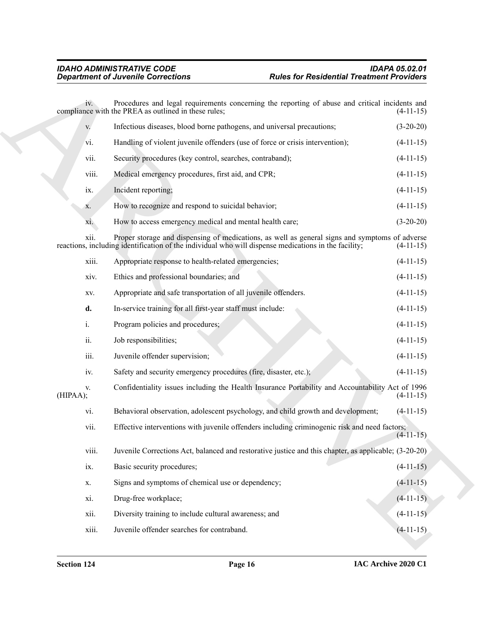| V.        | Infectious diseases, blood borne pathogens, and universal precautions;        | $(3-20-20)$ |
|-----------|-------------------------------------------------------------------------------|-------------|
| vi.       | Handling of violent juvenile offenders (use of force or crisis intervention); | $(4-11-15)$ |
| vii.      | Security procedures (key control, searches, contraband);                      | $(4-11-15)$ |
| viii.     | Medical emergency procedures, first aid, and CPR;                             | $(4-11-15)$ |
| ix.       | Incident reporting;                                                           | $(4-11-15)$ |
| X.        | How to recognize and respond to suicidal behavior;                            | $(4-11-15)$ |
| xi.       | How to access emergency medical and mental health care;                       | $(3-20-20)$ |
| $\ddotsc$ | $1 \quad 1$                                                                   |             |

|                 | <b>Department of Juvenile Corrections</b>                                                                                                                                                              | <b>Rules for Residential Treatment Providers</b> |  |
|-----------------|--------------------------------------------------------------------------------------------------------------------------------------------------------------------------------------------------------|--------------------------------------------------|--|
| 1V <sub>z</sub> | Procedures and legal requirements concerning the reporting of abuse and critical incidents and<br>compliance with the PREA as outlined in these rules;                                                 | $(4-11-15)$                                      |  |
| V.              | Infectious diseases, blood borne pathogens, and universal precautions;                                                                                                                                 | $(3-20-20)$                                      |  |
| vi.             | Handling of violent juvenile offenders (use of force or crisis intervention);                                                                                                                          | $(4-11-15)$                                      |  |
| vii.            | Security procedures (key control, searches, contraband);                                                                                                                                               | $(4-11-15)$                                      |  |
| viii.           | Medical emergency procedures, first aid, and CPR;                                                                                                                                                      | $(4-11-15)$                                      |  |
| ix.             | Incident reporting;                                                                                                                                                                                    | $(4-11-15)$                                      |  |
| X.              | How to recognize and respond to suicidal behavior;                                                                                                                                                     | $(4-11-15)$                                      |  |
| X1.             | How to access emergency medical and mental health care;                                                                                                                                                | $(3-20-20)$                                      |  |
| xii.            | Proper storage and dispensing of medications, as well as general signs and symptoms of adverse<br>reactions, including identification of the individual who will dispense medications in the facility; | $(4-11-15)$                                      |  |
| xiii.           | Appropriate response to health-related emergencies;                                                                                                                                                    | $(4-11-15)$                                      |  |
| xiv.            | Ethics and professional boundaries; and                                                                                                                                                                | $(4-11-15)$                                      |  |
| XV.             | Appropriate and safe transportation of all juvenile offenders.                                                                                                                                         | $(4-11-15)$                                      |  |
| d.              | In-service training for all first-year staff must include:                                                                                                                                             | $(4-11-15)$                                      |  |
| i.              | Program policies and procedures;                                                                                                                                                                       | $(4-11-15)$                                      |  |
| ii.             | Job responsibilities;                                                                                                                                                                                  | $(4-11-15)$                                      |  |
| iii.            | Juvenile offender supervision;                                                                                                                                                                         | $(4-11-15)$                                      |  |
| iv.             | Safety and security emergency procedures (fire, disaster, etc.);                                                                                                                                       | $(4-11-15)$                                      |  |
| V.<br>(HIPAA);  | Confidentiality issues including the Health Insurance Portability and Accountability Act of 1996                                                                                                       | $(4-11-15)$                                      |  |
| vi.             | Behavioral observation, adolescent psychology, and child growth and development;                                                                                                                       | $(4-11-15)$                                      |  |
| vii.            | Effective interventions with juvenile offenders including criminogenic risk and need factors;                                                                                                          | $(4-11-15)$                                      |  |
| viii.           | Juvenile Corrections Act, balanced and restorative justice and this chapter, as applicable; (3-20-20)                                                                                                  |                                                  |  |
| ix.             | Basic security procedures;                                                                                                                                                                             | $(4-11-15)$                                      |  |
| X.              | Signs and symptoms of chemical use or dependency;                                                                                                                                                      | $(4-11-15)$                                      |  |
| xi.             | Drug-free workplace;                                                                                                                                                                                   | $(4-11-15)$                                      |  |
| xii.            | Diversity training to include cultural awareness; and                                                                                                                                                  | $(4-11-15)$                                      |  |
| xiii.           | Juvenile offender searches for contraband.                                                                                                                                                             | $(4-11-15)$                                      |  |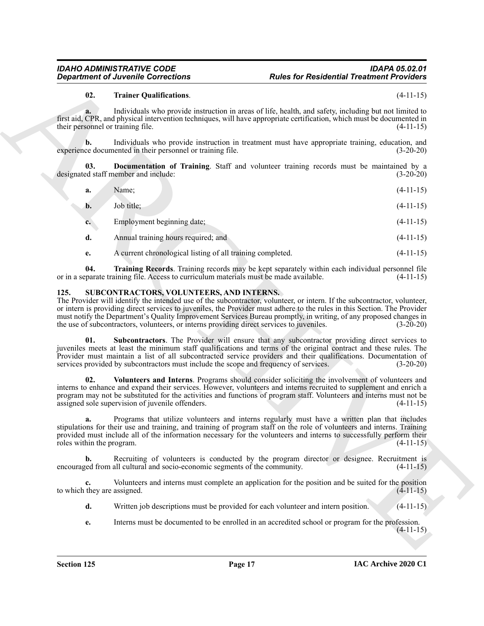#### <span id="page-16-2"></span><span id="page-16-1"></span>**02. Trainer Qualifications**. (4-11-15)

|                                              | <b>Department of Juvenile Corrections</b>                                                                                                                                                                                                                                                                                                                                                                                                                                                                                 | <b>Rules for Residential Treatment Providers</b>                                                       |             |
|----------------------------------------------|---------------------------------------------------------------------------------------------------------------------------------------------------------------------------------------------------------------------------------------------------------------------------------------------------------------------------------------------------------------------------------------------------------------------------------------------------------------------------------------------------------------------------|--------------------------------------------------------------------------------------------------------|-------------|
| 02.                                          | <b>Trainer Qualifications.</b>                                                                                                                                                                                                                                                                                                                                                                                                                                                                                            |                                                                                                        | $(4-11-15)$ |
| a.<br>their personnel or training file.      | first aid, CPR, and physical intervention techniques, will have appropriate certification, which must be documented in                                                                                                                                                                                                                                                                                                                                                                                                    | Individuals who provide instruction in areas of life, health, and safety, including but not limited to | $(4-11-15)$ |
| b.                                           | experience documented in their personnel or training file.                                                                                                                                                                                                                                                                                                                                                                                                                                                                | Individuals who provide instruction in treatment must have appropriate training, education, and        | $(3-20-20)$ |
| 03.                                          | designated staff member and include:                                                                                                                                                                                                                                                                                                                                                                                                                                                                                      | Documentation of Training. Staff and volunteer training records must be maintained by a                | $(3-20-20)$ |
| a.                                           | Name;                                                                                                                                                                                                                                                                                                                                                                                                                                                                                                                     |                                                                                                        | $(4-11-15)$ |
| b.                                           | Job title;                                                                                                                                                                                                                                                                                                                                                                                                                                                                                                                |                                                                                                        | $(4-11-15)$ |
| c.                                           | Employment beginning date;                                                                                                                                                                                                                                                                                                                                                                                                                                                                                                |                                                                                                        | $(4-11-15)$ |
| d.                                           | Annual training hours required; and                                                                                                                                                                                                                                                                                                                                                                                                                                                                                       |                                                                                                        | $(4-11-15)$ |
| e.                                           | A current chronological listing of all training completed.                                                                                                                                                                                                                                                                                                                                                                                                                                                                |                                                                                                        | $(4-11-15)$ |
| 04.                                          | or in a separate training file. Access to curriculum materials must be made available.                                                                                                                                                                                                                                                                                                                                                                                                                                    | Training Records. Training records may be kept separately within each individual personnel file        | $(4-11-15)$ |
| 125.                                         | <b>SUBCONTRACTORS, VOLUNTEERS, AND INTERNS.</b><br>The Provider will identify the intended use of the subcontractor, volunteer, or intern. If the subcontractor, volunteer,<br>or intern is providing direct services to juveniles, the Provider must adhere to the rules in this Section. The Provider<br>must notify the Department's Quality Improvement Services Bureau promptly, in writing, of any proposed changes in<br>the use of subcontractors, volunteers, or interns providing direct services to juveniles. |                                                                                                        | $(3-20-20)$ |
| 01.                                          | juveniles meets at least the minimum staff qualifications and terms of the original contract and these rules. The<br>Provider must maintain a list of all subcontracted service providers and their qualifications. Documentation of<br>services provided by subcontractors must include the scope and frequency of services.                                                                                                                                                                                             | Subcontractors. The Provider will ensure that any subcontractor providing direct services to           | $(3-20-20)$ |
| 02.                                          | interns to enhance and expand their services. However, volunteers and interns recruited to supplement and enrich a<br>program may not be substituted for the activities and functions of program staff. Volunteers and interns must not be<br>assigned sole supervision of juvenile offenders.                                                                                                                                                                                                                            | Volunteers and Interns. Programs should consider soliciting the involvement of volunteers and          | $(4-11-15)$ |
| roles within the program.                    | stipulations for their use and training, and training of program staff on the role of volunteers and interns. Training<br>provided must include all of the information necessary for the volunteers and interns to successfully perform their                                                                                                                                                                                                                                                                             | Programs that utilize volunteers and interns regularly must have a written plan that includes          | $(4-11-15)$ |
| $\mathbf{b}$ .                               | encouraged from all cultural and socio-economic segments of the community.                                                                                                                                                                                                                                                                                                                                                                                                                                                | Recruiting of volunteers is conducted by the program director or designee. Recruitment is              | $(4-11-15)$ |
| $c_{\bullet}$<br>to which they are assigned. |                                                                                                                                                                                                                                                                                                                                                                                                                                                                                                                           | Volunteers and interns must complete an application for the position and be suited for the position    | $(4-11-15)$ |
| d.                                           |                                                                                                                                                                                                                                                                                                                                                                                                                                                                                                                           | Written job descriptions must be provided for each volunteer and intern position.                      | $(4-11-15)$ |
| e.                                           |                                                                                                                                                                                                                                                                                                                                                                                                                                                                                                                           | Interns must be documented to be enrolled in an accredited school or program for the profession.       | $(4-11-15)$ |
|                                              |                                                                                                                                                                                                                                                                                                                                                                                                                                                                                                                           |                                                                                                        |             |

#### <span id="page-16-6"></span><span id="page-16-5"></span><span id="page-16-4"></span><span id="page-16-3"></span><span id="page-16-0"></span>**125. SUBCONTRACTORS, VOLUNTEERS, AND INTERNS.**

- **d.** Written job descriptions must be provided for each volunteer and intern position. (4-11-15)
- **e.** Interns must be documented to be enrolled in an accredited school or program for the profession.  $(4-11-15)$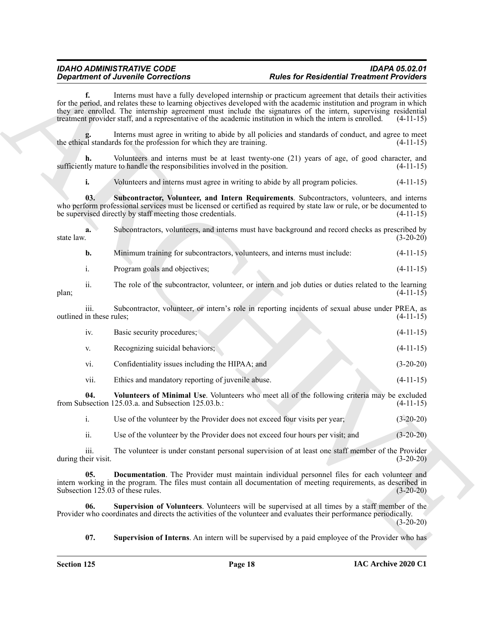## *Department of Juvenile Corrections*

**f.** Interns must have a fully developed internship or practicum agreement that details their activities for the period, and relates these to learning objectives developed with the academic institution and program in which they are enrolled. The internship agreement must include the signatures of the intern, supervising residential treatment provider staff, and a representative of the academic institution in which the intern is enrolled. (4-11-15)

Interns must agree in writing to abide by all policies and standards of conduct, and agree to meet rds for the profession for which they are training. (4-11-15) the ethical standards for the profession for which they are training.

**h.** Volunteers and interns must be at least twenty-one (21) years of age, of good character, and sufficiently mature to handle the responsibilities involved in the position. (4-11-15)

<span id="page-17-1"></span>**i.** Volunteers and interns must agree in writing to abide by all program policies.  $(4-11-15)$ 

**03. Subcontractor, Volunteer, and Intern Requirements**. Subcontractors, volunteers, and interns who perform professional services must be licensed or certified as required by state law or rule, or be documented to be supervised directly by staff meeting those credentials. (4-11-15)

**Equation of Alexanders Controllers** (*Foldstoff Controllers*) and the second to the second the second strength of the second strength of the second strength of the second strength of the second strength of the second str **a.** Subcontractors, volunteers, and interns must have background and record checks as prescribed by state law.  $(3-20-20)$ **b.** Minimum training for subcontractors, volunteers, and interns must include:  $(4-11-15)$ i. Program goals and objectives; (4-11-15) ii. The role of the subcontractor, volunteer, or intern and job duties or duties related to the learning plan; (4-11-15) iii. Subcontractor, volunteer, or intern's role in reporting incidents of sexual abuse under PREA, as outlined in these rules; (4-11-15) iv. Basic security procedures; (4-11-15) v. Recognizing suicidal behaviors; (4-11-15) vi. Confidentiality issues including the HIPAA; and (3-20-20) vii. Ethics and mandatory reporting of juvenile abuse. (4-11-15) **04. Volunteers of Minimal Use**. Volunteers who meet all of the following criteria may be excluded from Subsection  $125.03.a$ . and Subsection  $125.03.b$ .:

<span id="page-17-4"></span>i. Use of the volunteer by the Provider does not exceed four visits per year; (3-20-20)

<span id="page-17-0"></span>ii. Use of the volunteer by the Provider does not exceed four hours per visit; and (3-20-20)

iii. The volunteer is under constant personal supervision of at least one staff member of the Provider during their visit. (3-20-20)

**05. Documentation**. The Provider must maintain individual personnel files for each volunteer and intern working in the program. The files must contain all documentation of meeting requirements, as described in Subsection  $125.03$  of these rules. (3-20-20)

**06. Supervision of Volunteers**. Volunteers will be supervised at all times by a staff member of the Provider who coordinates and directs the activities of the volunteer and evaluates their performance periodically.  $(3-20-20)$ 

<span id="page-17-3"></span><span id="page-17-2"></span>**07. Supervision of Interns**. An intern will be supervised by a paid employee of the Provider who has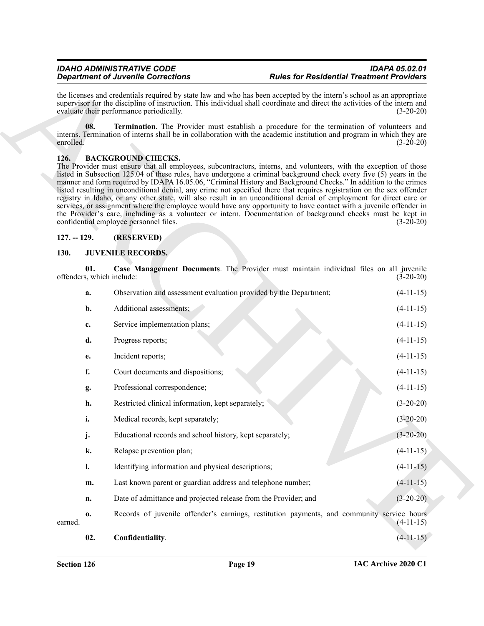#### <span id="page-18-7"></span><span id="page-18-3"></span><span id="page-18-0"></span>**126. BACKGROUND CHECKS.**

#### <span id="page-18-1"></span>**127. -- 129. (RESERVED)**

#### <span id="page-18-6"></span><span id="page-18-5"></span><span id="page-18-4"></span><span id="page-18-2"></span>**130. JUVENILE RECORDS.**

|               | <b>Department of Juvenile Corrections</b> |                                                                                                                                                                                                                                                                                                                                                                                                                                                                                                                                                                                                                                                                                                                                                                                                                                                                                                                        | <b>Rules for Residential Treatment Providers</b>                                           |             |
|---------------|-------------------------------------------|------------------------------------------------------------------------------------------------------------------------------------------------------------------------------------------------------------------------------------------------------------------------------------------------------------------------------------------------------------------------------------------------------------------------------------------------------------------------------------------------------------------------------------------------------------------------------------------------------------------------------------------------------------------------------------------------------------------------------------------------------------------------------------------------------------------------------------------------------------------------------------------------------------------------|--------------------------------------------------------------------------------------------|-------------|
|               |                                           | the licenses and credentials required by state law and who has been accepted by the intern's school as an appropriate<br>supervisor for the discipline of instruction. This individual shall coordinate and direct the activities of the intern and<br>evaluate their performance periodically.                                                                                                                                                                                                                                                                                                                                                                                                                                                                                                                                                                                                                        |                                                                                            | $(3-20-20)$ |
| enrolled.     | 08.                                       | interns. Termination of interns shall be in collaboration with the academic institution and program in which they are                                                                                                                                                                                                                                                                                                                                                                                                                                                                                                                                                                                                                                                                                                                                                                                                  | Termination. The Provider must establish a procedure for the termination of volunteers and | $(3-20-20)$ |
| 126.          |                                           | <b>BACKGROUND CHECKS.</b><br>The Provider must ensure that all employees, subcontractors, interns, and volunteers, with the exception of those<br>listed in Subsection 125.04 of these rules, have undergone a criminal background check every five (5) years in the<br>manner and form required by IDAPA 16.05.06, "Criminal History and Background Checks." In addition to the crimes<br>listed resulting in unconditional denial, any crime not specified there that requires registration on the sex offender<br>registry in Idaho, or any other state, will also result in an unconditional denial of employment for direct care or<br>services, or assignment where the employee would have any opportunity to have contact with a juvenile offender in<br>the Provider's care, including as a volunteer or intern. Documentation of background checks must be kept in<br>confidential employee personnel files. |                                                                                            | $(3-20-20)$ |
| $127. - 129.$ |                                           | (RESERVED)                                                                                                                                                                                                                                                                                                                                                                                                                                                                                                                                                                                                                                                                                                                                                                                                                                                                                                             |                                                                                            |             |
| 130.          |                                           | <b>JUVENILE RECORDS.</b>                                                                                                                                                                                                                                                                                                                                                                                                                                                                                                                                                                                                                                                                                                                                                                                                                                                                                               |                                                                                            |             |
|               | 01.                                       | offenders, which include:                                                                                                                                                                                                                                                                                                                                                                                                                                                                                                                                                                                                                                                                                                                                                                                                                                                                                              | Case Management Documents. The Provider must maintain individual files on all juvenile     | $(3-20-20)$ |
|               | a.                                        | Observation and assessment evaluation provided by the Department;                                                                                                                                                                                                                                                                                                                                                                                                                                                                                                                                                                                                                                                                                                                                                                                                                                                      |                                                                                            | $(4-11-15)$ |
|               | $\mathbf{b}$ .                            | Additional assessments;                                                                                                                                                                                                                                                                                                                                                                                                                                                                                                                                                                                                                                                                                                                                                                                                                                                                                                |                                                                                            | $(4-11-15)$ |
|               | c.                                        | Service implementation plans;                                                                                                                                                                                                                                                                                                                                                                                                                                                                                                                                                                                                                                                                                                                                                                                                                                                                                          |                                                                                            | $(4-11-15)$ |
|               | d.                                        | Progress reports;                                                                                                                                                                                                                                                                                                                                                                                                                                                                                                                                                                                                                                                                                                                                                                                                                                                                                                      |                                                                                            | $(4-11-15)$ |
|               | e.                                        | Incident reports;                                                                                                                                                                                                                                                                                                                                                                                                                                                                                                                                                                                                                                                                                                                                                                                                                                                                                                      |                                                                                            | $(4-11-15)$ |
|               | f.                                        | Court documents and dispositions;                                                                                                                                                                                                                                                                                                                                                                                                                                                                                                                                                                                                                                                                                                                                                                                                                                                                                      |                                                                                            | $(4-11-15)$ |
|               | g.                                        | Professional correspondence;                                                                                                                                                                                                                                                                                                                                                                                                                                                                                                                                                                                                                                                                                                                                                                                                                                                                                           |                                                                                            | $(4-11-15)$ |
|               | h.                                        | Restricted clinical information, kept separately;                                                                                                                                                                                                                                                                                                                                                                                                                                                                                                                                                                                                                                                                                                                                                                                                                                                                      |                                                                                            | $(3-20-20)$ |
|               | i.                                        | Medical records, kept separately;                                                                                                                                                                                                                                                                                                                                                                                                                                                                                                                                                                                                                                                                                                                                                                                                                                                                                      |                                                                                            | $(3-20-20)$ |
|               | j.                                        | Educational records and school history, kept separately;                                                                                                                                                                                                                                                                                                                                                                                                                                                                                                                                                                                                                                                                                                                                                                                                                                                               |                                                                                            | $(3-20-20)$ |
|               | k.                                        | Relapse prevention plan;                                                                                                                                                                                                                                                                                                                                                                                                                                                                                                                                                                                                                                                                                                                                                                                                                                                                                               |                                                                                            | $(4-11-15)$ |
|               | $\mathbf{l}$ .                            | Identifying information and physical descriptions;                                                                                                                                                                                                                                                                                                                                                                                                                                                                                                                                                                                                                                                                                                                                                                                                                                                                     |                                                                                            | $(4-11-15)$ |
|               | m.                                        | Last known parent or guardian address and telephone number;                                                                                                                                                                                                                                                                                                                                                                                                                                                                                                                                                                                                                                                                                                                                                                                                                                                            |                                                                                            | $(4-11-15)$ |
|               | n.                                        | Date of admittance and projected release from the Provider; and                                                                                                                                                                                                                                                                                                                                                                                                                                                                                                                                                                                                                                                                                                                                                                                                                                                        |                                                                                            | $(3-20-20)$ |
| earned.       | 0.                                        |                                                                                                                                                                                                                                                                                                                                                                                                                                                                                                                                                                                                                                                                                                                                                                                                                                                                                                                        | Records of juvenile offender's earnings, restitution payments, and community service hours | $(4-11-15)$ |
|               | 02.                                       | Confidentiality.                                                                                                                                                                                                                                                                                                                                                                                                                                                                                                                                                                                                                                                                                                                                                                                                                                                                                                       |                                                                                            | $(4-11-15)$ |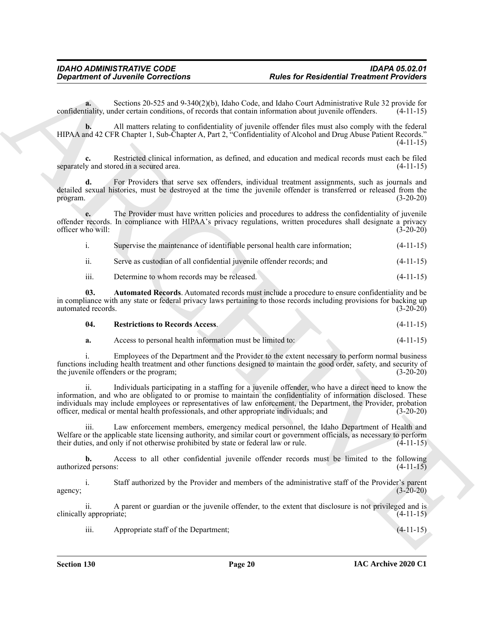**a.** Sections 20-525 and 9-340(2)(b), Idaho Code, and Idaho Court Administrative Rule 32 provide for tiality. under certain conditions, of records that contain information about juvenile offenders. (4-11-15) confidentiality, under certain conditions, of records that contain information about juvenile offenders.

**b.** All matters relating to confidentiality of juvenile offender files must also comply with the federal HIPAA and 42 CFR Chapter 1, Sub-Chapter A, Part 2, "Confidentiality of Alcohol and Drug Abuse Patient Records." (4-11-15)

**c.** Restricted clinical information, as defined, and education and medical records must each be filed separately and stored in a secured area.  $(4-11-15)$ 

For Providers that serve sex offenders, individual treatment assignments, such as journals and detailed sexual histories, must be destroyed at the time the juvenile offender is transferred or released from the program. (3-20-20)

**e.** The Provider must have written policies and procedures to address the confidentiality of juvenile offender records. In compliance with HIPAA's privacy regulations, written procedures shall designate a privacy officer who will: (3-20-20)

|  | Supervise the maintenance of identifiable personal health care information: |  | $(4-11-15)$ |
|--|-----------------------------------------------------------------------------|--|-------------|
|  |                                                                             |  |             |

ii. Serve as custodian of all confidential juvenile offender records; and (4-11-15)

<span id="page-19-0"></span>iii. Determine to whom records may be released. (4-11-15)

**03. Automated Records**. Automated records must include a procedure to ensure confidentiality and be in compliance with any state or federal privacy laws pertaining to those records including provisions for backing up automated records. (3-20-20) automated records.

<span id="page-19-1"></span>

| 04. | <b>Restrictions to Records Access.</b> |  |  | $(4-11-15)$ |
|-----|----------------------------------------|--|--|-------------|
|-----|----------------------------------------|--|--|-------------|

**a.** Access to personal health information must be limited to:  $(4-11-15)$ 

i. Employees of the Department and the Provider to the extent necessary to perform normal business functions including health treatment and other functions designed to maintain the good order, safety, and security of the juvenile offenders or the program; (3-20-20)

**Considerable Corrections**<br> **Alter for Residential Treatmont Providers**<br>
Society and the state and the state of the state and the state and the state and the state of the state  $\frac{1}{2}$  and  $\frac{1}{2}$  and  $\frac{1}{2}$  and  $\$ ii. Individuals participating in a staffing for a juvenile offender, who have a direct need to know the information, and who are obligated to or promise to maintain the confidentiality of information disclosed. These individuals may include employees or representatives of law enforcement, the Department, the Provider, probation officer, medical or mental health professionals, and other appropriate individuals; and (3-20-20)

iii. Law enforcement members, emergency medical personnel, the Idaho Department of Health and Welfare or the applicable state licensing authority, and similar court or government officials, as necessary to perform their duties, and only if not otherwise prohibited by state or federal law or rule. (4-11-15)

**b.** Access to all other confidential juvenile offender records must be limited to the following authorized persons: (4-11-15)

i. Staff authorized by the Provider and members of the administrative staff of the Provider's parent  $a_3 = 20-20$  agency;

ii. A parent or guardian or the juvenile offender, to the extent that disclosure is not privileged and is clinically appropriate; (4-11-15)

iii. Appropriate staff of the Department;  $(4-11-15)$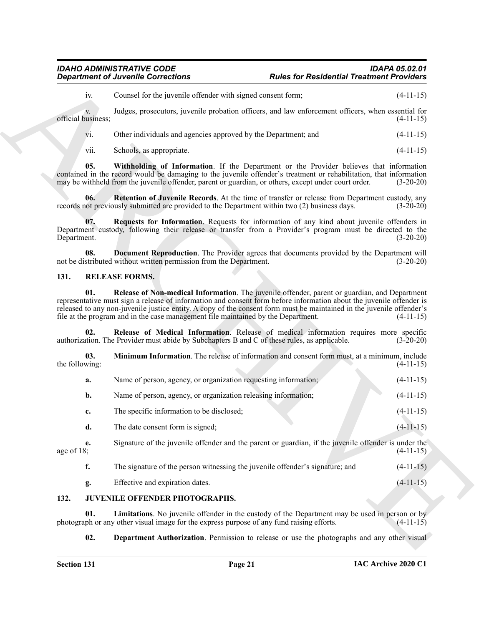#### <span id="page-20-7"></span>*IDAHO ADMINISTRATIVE CODE IDAPA 05.02.01 Rules for Residential Treatment Providers*

#### <span id="page-20-12"></span><span id="page-20-11"></span><span id="page-20-10"></span><span id="page-20-9"></span><span id="page-20-8"></span><span id="page-20-6"></span><span id="page-20-5"></span><span id="page-20-0"></span>**131. RELEASE FORMS.**

|                          | <b>Department of Juvenile Corrections</b>                                                                                                                                                                                                                                                                                                                                                                                           | <b>Rules for Residential Treatment Providers</b> |             |
|--------------------------|-------------------------------------------------------------------------------------------------------------------------------------------------------------------------------------------------------------------------------------------------------------------------------------------------------------------------------------------------------------------------------------------------------------------------------------|--------------------------------------------------|-------------|
| iv.                      | Counsel for the juvenile offender with signed consent form;                                                                                                                                                                                                                                                                                                                                                                         |                                                  | $(4-11-15)$ |
| V.<br>official business; | Judges, prosecutors, juvenile probation officers, and law enforcement officers, when essential for                                                                                                                                                                                                                                                                                                                                  |                                                  | $(4-11-15)$ |
| vi.                      | Other individuals and agencies approved by the Department; and                                                                                                                                                                                                                                                                                                                                                                      |                                                  | $(4-11-15)$ |
| vii.                     | Schools, as appropriate.                                                                                                                                                                                                                                                                                                                                                                                                            |                                                  | $(4-11-15)$ |
| 05.                      | Withholding of Information. If the Department or the Provider believes that information<br>contained in the record would be damaging to the juvenile offender's treatment or rehabilitation, that information<br>may be withheld from the juvenile offender, parent or guardian, or others, except under court order.                                                                                                               |                                                  | $(3-20-20)$ |
| 06.                      | Retention of Juvenile Records. At the time of transfer or release from Department custody, any<br>records not previously submitted are provided to the Department within two (2) business days.                                                                                                                                                                                                                                     |                                                  | $(3-20-20)$ |
| 07.<br>Department.       | Requests for Information. Requests for information of any kind about juvenile offenders in<br>Department custody, following their release or transfer from a Provider's program must be directed to the                                                                                                                                                                                                                             |                                                  | $(3-20-20)$ |
| 08.                      | Document Reproduction. The Provider agrees that documents provided by the Department will<br>not be distributed without written permission from the Department.                                                                                                                                                                                                                                                                     |                                                  | $(3-20-20)$ |
| 131.                     | <b>RELEASE FORMS.</b>                                                                                                                                                                                                                                                                                                                                                                                                               |                                                  |             |
| 01.                      | Release of Non-medical Information. The juvenile offender, parent or guardian, and Department<br>representative must sign a release of information and consent form before information about the juvenile offender is<br>released to any non-juvenile justice entity. A copy of the consent form must be maintained in the juvenile offender's<br>file at the program and in the case management file maintained by the Department. |                                                  | $(4-11-15)$ |
| 02.                      | Release of Medical Information. Release of medical information requires more specific<br>authorization. The Provider must abide by Subchapters B and C of these rules, as applicable.                                                                                                                                                                                                                                               |                                                  | $(3-20-20)$ |
| 03.<br>the following:    | Minimum Information. The release of information and consent form must, at a minimum, include                                                                                                                                                                                                                                                                                                                                        |                                                  | $(4-11-15)$ |
| a.                       | Name of person, agency, or organization requesting information;                                                                                                                                                                                                                                                                                                                                                                     |                                                  | $(4-11-15)$ |
| b.                       | Name of person, agency, or organization releasing information;                                                                                                                                                                                                                                                                                                                                                                      |                                                  | $(4-11-15)$ |
| c.                       | The specific information to be disclosed;                                                                                                                                                                                                                                                                                                                                                                                           |                                                  | $(4-11-15)$ |
| d.                       | The date consent form is signed;                                                                                                                                                                                                                                                                                                                                                                                                    |                                                  | $(4-11-15)$ |
| e.<br>age of 18;         | Signature of the juvenile offender and the parent or guardian, if the juvenile offender is under the                                                                                                                                                                                                                                                                                                                                |                                                  | $(4-11-15)$ |
| f.                       | The signature of the person witnessing the juvenile offender's signature; and                                                                                                                                                                                                                                                                                                                                                       |                                                  | $(4-11-15)$ |
| g.                       | Effective and expiration dates.                                                                                                                                                                                                                                                                                                                                                                                                     |                                                  | $(4-11-15)$ |
| 132.                     | JUVENILE OFFENDER PHOTOGRAPHS.                                                                                                                                                                                                                                                                                                                                                                                                      |                                                  |             |
|                          | Limitations. No juvenile offender in the custody of the Department may be used in person or by                                                                                                                                                                                                                                                                                                                                      |                                                  |             |
| 01.                      | photograph or any other visual image for the express purpose of any fund raising efforts.                                                                                                                                                                                                                                                                                                                                           |                                                  | $(4-11-15)$ |

#### <span id="page-20-4"></span><span id="page-20-3"></span><span id="page-20-2"></span><span id="page-20-1"></span>**132. JUVENILE OFFENDER PHOTOGRAPHS.**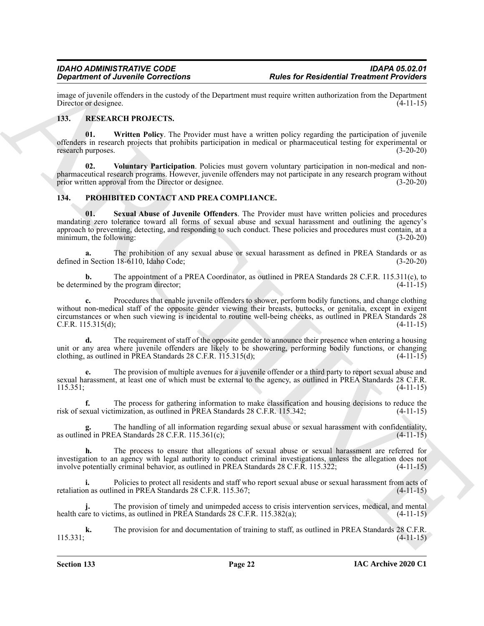image of juvenile offenders in the custody of the Department must require written authorization from the Department<br>Director or designee. (4-11-15) Director or designee.

#### <span id="page-21-4"></span><span id="page-21-0"></span>**133. RESEARCH PROJECTS.**

<span id="page-21-6"></span>**01. Written Policy**. The Provider must have a written policy regarding the participation of juvenile offenders in research projects that prohibits participation in medical or pharmaceutical testing for experimental or research purposes. (3-20-20)

<span id="page-21-5"></span>**02. Voluntary Participation**. Policies must govern voluntary participation in non-medical and nonpharmaceutical research programs. However, juvenile offenders may not participate in any research program without prior written approval from the Director or designee. (3-20-20)

#### <span id="page-21-3"></span><span id="page-21-2"></span><span id="page-21-1"></span>**134. PROHIBITED CONTACT AND PREA COMPLIANCE.**

**Considered** *Characteristics* **Bullet Considered Transformation Bullet Considered Transformation** ( $\frac{1}{2}$  and  $\frac{1}{2}$  and  $\frac{1}{2}$  and  $\frac{1}{2}$  and  $\frac{1}{2}$  and  $\frac{1}{2}$  and  $\frac{1}{2}$  and  $\frac{1}{2}$  and  $\frac{1}{2$ **01. Sexual Abuse of Juvenile Offenders**. The Provider must have written policies and procedures mandating zero tolerance toward all forms of sexual abuse and sexual harassment and outlining the agency's approach to preventing, detecting, and responding to such conduct. These policies and procedures must contain, at a minimum, the following: (3-20-20)

The prohibition of any sexual abuse or sexual harassment as defined in PREA Standards or as (18-6110, Idaho Code;<br>(3-20-20) defined in Section 18-6110, Idaho Code;

**b.** The appointment of a PREA Coordinator, as outlined in PREA Standards 28 C.F.R. 115.311(c), to nined by the program director; (4-11-15) be determined by the program director;

**c.** Procedures that enable juvenile offenders to shower, perform bodily functions, and change clothing without non-medical staff of the opposite gender viewing their breasts, buttocks, or genitalia, except in exigent circumstances or when such viewing is incidental to routine well-being checks, as outlined in PREA Standards 28 C.F.R. 115.315(d); (4-11-15)

**d.** The requirement of staff of the opposite gender to announce their presence when entering a housing unit or any area where juvenile offenders are likely to be showering, performing bodily functions, or changing clothing, as outlined in PREA Standards 28 C.F.R. 115.315(d);  $(4-11-15)$ 

**e.** The provision of multiple avenues for a juvenile offender or a third party to report sexual abuse and sexual harassment, at least one of which must be external to the agency, as outlined in PREA Standards 28 C.F.R.<br>(4-11-15)  $115.351;$  (4-11-15)

**f.** The process for gathering information to make classification and housing decisions to reduce the risk of sexual victimization, as outlined in PREA Standards 28 C.F.R. 115.342; (4-11-15)

The handling of all information regarding sexual abuse or sexual harassment with confidentiality,<br>EA Standards 28 C.F.R. 115.361(c);<br>(4-11-15) as outlined in PREA Standards  $28$  C.F.R. 115.361(c);

**h.** The process to ensure that allegations of sexual abuse or sexual harassment are referred for investigation to an agency with legal authority to conduct criminal investigations, unless the allegation does not involve potentially criminal behavior, as outlined in PREA Standards 28 C.F.R. 115.322; (4-11-15)

**i.** Policies to protect all residents and staff who report sexual abuse or sexual harassment from acts of retaliation as outlined in PREA Standards 28 C.F.R. 115.367; (4-11-15)

**j.** The provision of timely and unimpeded access to crisis intervention services, medical, and mental health care to victims, as outlined in PREA Standards 28 C.F.R. 115.382(a); (4-11-15)

**k.** The provision for and documentation of training to staff, as outlined in PREA Standards 28 C.F.R.  $(4-11-15)$   $(4-11-15)$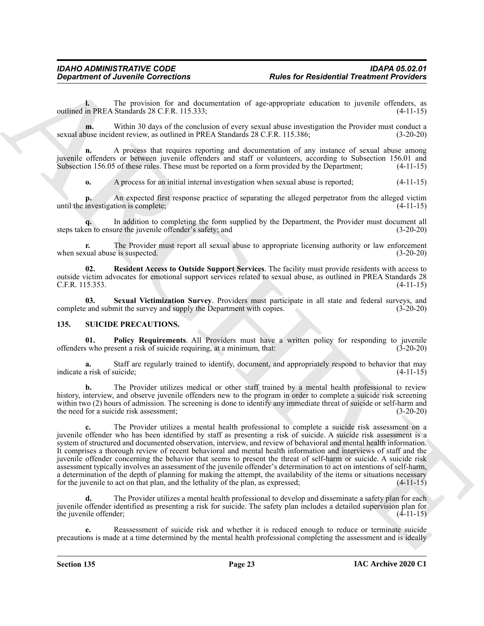**l.** The provision for and documentation of age-appropriate education to juvenile offenders, as outlined in PREA Standards 28 C.F.R. 115.333; (4-11-15)

**m.** Within 30 days of the conclusion of every sexual abuse investigation the Provider must conduct a sexual abuse incident review, as outlined in PREA Standards 28 C.F.R. 115.386; (3-20-20)

**n.** A process that requires reporting and documentation of any instance of sexual abuse among juvenile offenders or between juvenile offenders and staff or volunteers, according to Subsection 156.01 and Subsection 156.05 of these rules. These must be reported on a form provided by the Department; (4-11-15)

**o.** A process for an initial internal investigation when sexual abuse is reported;  $(4-11-15)$ 

**p.** An expected first response practice of separating the alleged perpetrator from the alleged victim until the investigation is complete; (4-11-15)

**q.** In addition to completing the form supplied by the Department, the Provider must document all steps taken to ensure the juvenile offender's safety; and (3-20-20)

**r.** The Provider must report all sexual abuse to appropriate licensing authority or law enforcement when sexual abuse is suspected. (3-20-20)

<span id="page-22-1"></span>**02. Resident Access to Outside Support Services**. The facility must provide residents with access to outside victim advocates for emotional support services related to sexual abuse, as outlined in PREA Standards 28 C.F.R. 115.353. (4-11-15)

<span id="page-22-2"></span>**03.** Sexual Victimization Survey. Providers must participate in all state and federal surveys, and a and submit the survey and supply the Department with copies. (3-20-20) complete and submit the survey and supply the Department with copies.

#### <span id="page-22-3"></span><span id="page-22-0"></span>**135. SUICIDE PRECAUTIONS.**

<span id="page-22-4"></span>**01. Policy Requirements**. All Providers must have a written policy for responding to juvenile offenders who present a risk of suicide requiring, at a minimum, that: (3-20-20)

**a.** Staff are regularly trained to identify, document, and appropriately respond to behavior that may indicate a risk of suicide; (4-11-15)

**b.** The Provider utilizes medical or other staff trained by a mental health professional to review history, interview, and observe juvenile offenders new to the program in order to complete a suicide risk screening within two (2) hours of admission. The screening is done to identify any immediate threat of suicide or self-harm and the need for a suicide risk assessment; (3-20-20)

**Considerable Corrections Rules for Residential Treations (a)**<br>
Surface of Residential Treations (a) and the property of the surface of the surface of the surface of the surface of the surface of the surface of the surf **c.** The Provider utilizes a mental health professional to complete a suicide risk assessment on a juvenile offender who has been identified by staff as presenting a risk of suicide. A suicide risk assessment is a system of structured and documented observation, interview, and review of behavioral and mental health information. It comprises a thorough review of recent behavioral and mental health information and interviews of staff and the juvenile offender concerning the behavior that seems to present the threat of self-harm or suicide. A suicide risk assessment typically involves an assessment of the juvenile offender's determination to act on intentions of self-harm, a determination of the depth of planning for making the attempt, the availability of the items or situations necessary for the juvenile to act on that plan, and the lethality of the plan, as expressed;  $(4-11-15)$ for the juvenile to act on that plan, and the lethality of the plan, as expressed;

**d.** The Provider utilizes a mental health professional to develop and disseminate a safety plan for each juvenile offender identified as presenting a risk for suicide. The safety plan includes a detailed supervision plan for the juvenile offender; (4-11-15)

**e.** Reassessment of suicide risk and whether it is reduced enough to reduce or terminate suicide precautions is made at a time determined by the mental health professional completing the assessment and is ideally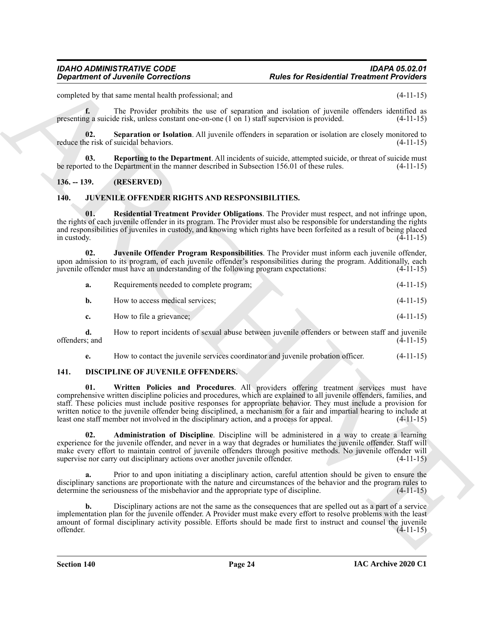completed by that same mental health professional; and (4-11-15)

**f.** The Provider prohibits the use of separation and isolation of juvenile offenders identified as presenting a suicide risk, unless constant one-on-one (1 on 1) staff supervision is provided. (4-11-15)

<span id="page-23-10"></span>**02.** Separation or Isolation. All juvenile offenders in separation or isolation are closely monitored to e risk of suicidal behaviors. (4-11-15) reduce the risk of suicidal behaviors.

<span id="page-23-9"></span>**03. Reporting to the Department**. All incidents of suicide, attempted suicide, or threat of suicide must be reported to the Department in the manner described in Subsection 156.01 of these rules. (4-11-15)

#### <span id="page-23-0"></span>**136. -- 139. (RESERVED)**

#### <span id="page-23-6"></span><span id="page-23-1"></span>**140. JUVENILE OFFENDER RIGHTS AND RESPONSIBILITIES.**

<span id="page-23-7"></span>**01. Residential Treatment Provider Obligations**. The Provider must respect, and not infringe upon, the rights of each juvenile offender in its program. The Provider must also be responsible for understanding the rights and responsibilities of juveniles in custody, and knowing which rights have been forfeited as a result of being placed in custody.  $(4-11-15)$ 

**02. Juvenile Offender Program Responsibilities**. The Provider must inform each juvenile offender, upon admission to its program, of each juvenile offender's responsibilities during the program. Additionally, each juvenile offender must have an understanding of the following program expectations: (4-11-15) juvenile offender must have an understanding of the following program expectations:

<span id="page-23-8"></span>

| Requirements needed to complete program; | $(4-11-15)$ |
|------------------------------------------|-------------|
| How to access medical services:          | $(4-11-15)$ |

**c.** How to file a grievance; (4-11-15)

**d.** How to report incidents of sexual abuse between juvenile offenders or between staff and juvenile s; and (4-11-15) offenders; and

<span id="page-23-5"></span><span id="page-23-3"></span>**e.** How to contact the juvenile services coordinator and juvenile probation officer. (4-11-15)

#### <span id="page-23-2"></span>**141. DISCIPLINE OF JUVENILE OFFENDERS.**

**Considered all the state of Residential Trainers and considered and interaction of the state of the state of the state of the state of the state of the state of the state of the state of the state of the state of the sta 01. Written Policies and Procedures**. All providers offering treatment services must have comprehensive written discipline policies and procedures, which are explained to all juvenile offenders, families, and staff. These policies must include positive responses for appropriate behavior. They must include a provision for written notice to the juvenile offender being disciplined, a mechanism for a fair and impartial hearing to include at least one staff member not involved in the disciplinary action, and a process for appeal. (4-11-15)

<span id="page-23-4"></span>**02. Administration of Discipline**. Discipline will be administered in a way to create a learning experience for the juvenile offender, and never in a way that degrades or humiliates the juvenile offender. Staff will make every effort to maintain control of juvenile offenders through positive methods. No juvenile offender will supervise nor carry out disciplinary actions over another juvenile offender. (4-11-15)

**a.** Prior to and upon initiating a disciplinary action, careful attention should be given to ensure the disciplinary sanctions are proportionate with the nature and circumstances of the behavior and the program rules to determine the seriousness of the misbehavior and the appropriate type of discipline. (4-11-15)

**b.** Disciplinary actions are not the same as the consequences that are spelled out as a part of a service implementation plan for the juvenile offender. A Provider must make every effort to resolve problems with the least amount of formal disciplinary activity possible. Efforts should be made first to instruct and counsel the juvenile offender. (4-11-15) offender. (4-11-15)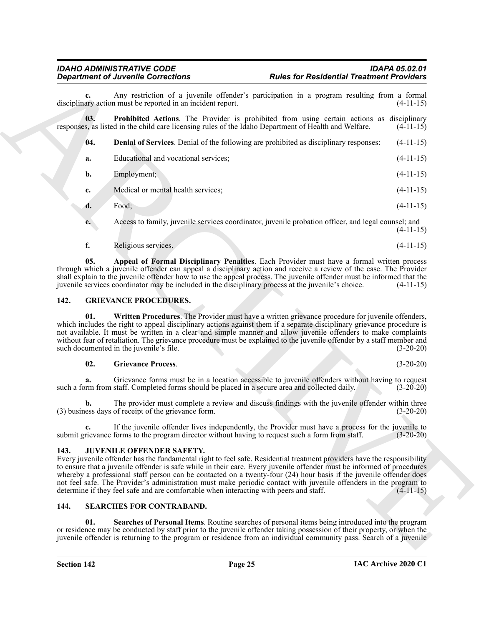<span id="page-24-5"></span><span id="page-24-4"></span>

|      | <b>Department of Juvenile Corrections</b>                                                                                                                                                                                                                                                                                                                                                                                                                                                                                                                                                                                   | <b>Rules for Residential Treatment Providers</b> |             |
|------|-----------------------------------------------------------------------------------------------------------------------------------------------------------------------------------------------------------------------------------------------------------------------------------------------------------------------------------------------------------------------------------------------------------------------------------------------------------------------------------------------------------------------------------------------------------------------------------------------------------------------------|--------------------------------------------------|-------------|
| c.   | Any restriction of a juvenile offender's participation in a program resulting from a formal<br>disciplinary action must be reported in an incident report.                                                                                                                                                                                                                                                                                                                                                                                                                                                                  |                                                  | $(4-11-15)$ |
| 03.  | <b>Prohibited Actions.</b> The Provider is prohibited from using certain actions as disciplinary<br>responses, as listed in the child care licensing rules of the Idaho Department of Health and Welfare.                                                                                                                                                                                                                                                                                                                                                                                                                   |                                                  | $(4-11-15)$ |
| 04.  | <b>Denial of Services.</b> Denial of the following are prohibited as disciplinary responses:                                                                                                                                                                                                                                                                                                                                                                                                                                                                                                                                |                                                  | $(4-11-15)$ |
| a.   | Educational and vocational services;                                                                                                                                                                                                                                                                                                                                                                                                                                                                                                                                                                                        |                                                  | $(4-11-15)$ |
| b.   | Employment;                                                                                                                                                                                                                                                                                                                                                                                                                                                                                                                                                                                                                 |                                                  | $(4-11-15)$ |
| c.   | Medical or mental health services;                                                                                                                                                                                                                                                                                                                                                                                                                                                                                                                                                                                          |                                                  | $(4-11-15)$ |
| d.   | Food;                                                                                                                                                                                                                                                                                                                                                                                                                                                                                                                                                                                                                       |                                                  | $(4-11-15)$ |
| e.   | Access to family, juvenile services coordinator, juvenile probation officer, and legal counsel; and                                                                                                                                                                                                                                                                                                                                                                                                                                                                                                                         |                                                  | $(4-11-15)$ |
| f.   | Religious services.                                                                                                                                                                                                                                                                                                                                                                                                                                                                                                                                                                                                         |                                                  | $(4-11-15)$ |
| 05.  | Appeal of Formal Disciplinary Penalties. Each Provider must have a formal written process<br>through which a juvenile offender can appeal a disciplinary action and receive a review of the case. The Provider<br>shall explain to the juvenile offender how to use the appeal process. The juvenile offender must be informed that the<br>juvenile services coordinator may be included in the disciplinary process at the juvenile's choice.                                                                                                                                                                              |                                                  | $(4-11-15)$ |
| 142. | <b>GRIEVANCE PROCEDURES.</b>                                                                                                                                                                                                                                                                                                                                                                                                                                                                                                                                                                                                |                                                  |             |
| 01.  | Written Procedures. The Provider must have a written grievance procedure for juvenile offenders,<br>which includes the right to appeal disciplinary actions against them if a separate disciplinary grievance procedure is<br>not available. It must be written in a clear and simple manner and allow juvenile offenders to make complaints<br>without fear of retaliation. The grievance procedure must be explained to the juvenile offender by a staff member and<br>such documented in the juvenile's file.                                                                                                            |                                                  | $(3-20-20)$ |
| 02.  | <b>Grievance Process.</b>                                                                                                                                                                                                                                                                                                                                                                                                                                                                                                                                                                                                   |                                                  | $(3-20-20)$ |
| a.   | Grievance forms must be in a location accessible to juvenile offenders without having to request<br>such a form from staff. Completed forms should be placed in a secure area and collected daily.                                                                                                                                                                                                                                                                                                                                                                                                                          |                                                  | $(3-20-20)$ |
| b.   | The provider must complete a review and discuss findings with the juvenile offender within three<br>(3) business days of receipt of the grievance form.                                                                                                                                                                                                                                                                                                                                                                                                                                                                     |                                                  | $(3-20-20)$ |
|      | If the juvenile offender lives independently, the Provider must have a process for the juvenile to<br>submit grievance forms to the program director without having to request such a form from staff.                                                                                                                                                                                                                                                                                                                                                                                                                      |                                                  | $(3-20-20)$ |
| 143. | <b>JUVENILE OFFENDER SAFETY.</b><br>Every juvenile offender has the fundamental right to feel safe. Residential treatment providers have the responsibility<br>to ensure that a juvenile offender is safe while in their care. Every juvenile offender must be informed of procedures<br>whereby a professional staff person can be contacted on a twenty-four (24) hour basis if the juvenile offender does<br>not feel safe. The Provider's administration must make periodic contact with juvenile offenders in the program to<br>determine if they feel safe and are comfortable when interacting with peers and staff. |                                                  | $(4-11-15)$ |
|      | <b>SEARCHES FOR CONTRABAND.</b>                                                                                                                                                                                                                                                                                                                                                                                                                                                                                                                                                                                             |                                                  |             |
| 144. |                                                                                                                                                                                                                                                                                                                                                                                                                                                                                                                                                                                                                             |                                                  |             |

#### <span id="page-24-7"></span><span id="page-24-6"></span><span id="page-24-3"></span><span id="page-24-0"></span>**142. GRIEVANCE PROCEDURES.**

#### **02. Grievance Process**. (3-20-20)

#### <span id="page-24-8"></span><span id="page-24-1"></span>**143. JUVENILE OFFENDER SAFETY.**

#### <span id="page-24-10"></span><span id="page-24-9"></span><span id="page-24-2"></span>**144. SEARCHES FOR CONTRABAND.**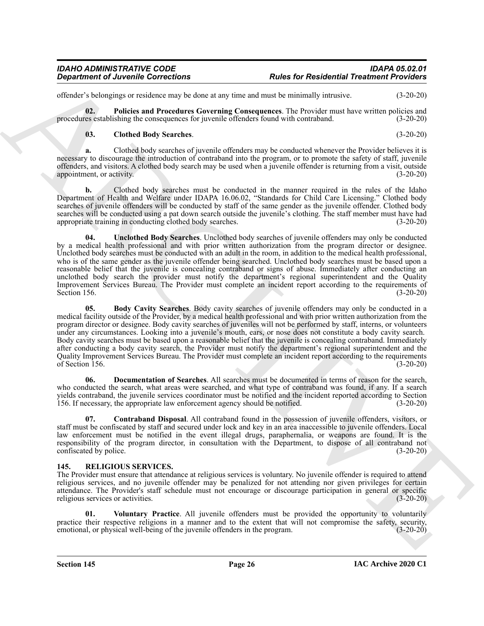offender's belongings or residence may be done at any time and must be minimally intrusive. (3-20-20)

**02.** Policies and Procedures Governing Consequences. The Provider must have written policies and es establishing the consequences for invenile offenders found with contraband. (3-20-20) procedures establishing the consequences for juvenile offenders found with contraband.

#### <span id="page-25-7"></span><span id="page-25-4"></span>**03. Clothed Body Searches**. (3-20-20)

**a.** Clothed body searches of juvenile offenders may be conducted whenever the Provider believes it is necessary to discourage the introduction of contraband into the program, or to promote the safety of staff, juvenile offenders, and visitors. A clothed body search may be used when a juvenile offender is returning from a visit, outside appointment, or activity. (3-20-20) appointment, or activity.

<span id="page-25-8"></span>**b.** Clothed body searches must be conducted in the manner required in the rules of the Idaho Department of Health and Welfare under IDAPA 16.06.02, "Standards for Child Care Licensing." Clothed body searches of juvenile offenders will be conducted by staff of the same gender as the juvenile offender. Clothed body searches will be conducted using a pat down search outside the juvenile's clothing. The staff member must have had<br>(3-20-20) (3-20-20) appropriate training in conducting clothed body searches.

*Department of Juvenile Corrections*<br> **Alust for Residential Treations Point in the same of the same of the same of the same of the same of the same of the same of the same of the same of the same of the same of the sam 04. Unclothed Body Searches**. Unclothed body searches of juvenile offenders may only be conducted by a medical health professional and with prior written authorization from the program director or designee. Unclothed body searches must be conducted with an adult in the room, in addition to the medical health professional, who is of the same gender as the juvenile offender being searched. Unclothed body searches must be based upon a reasonable belief that the juvenile is concealing contraband or signs of abuse. Immediately after conducting an unclothed body search the provider must notify the department's regional superintendent and the Quality Improvement Services Bureau. The Provider must complete an incident report according to the requirements of Section 156.<br>(3-20-20) Section 156. (3-20-20)

<span id="page-25-3"></span>**05. Body Cavity Searches**. Body cavity searches of juvenile offenders may only be conducted in a medical facility outside of the Provider, by a medical health professional and with prior written authorization from the program director or designee. Body cavity searches of juveniles will not be performed by staff, interns, or volunteers under any circumstances. Looking into a juvenile's mouth, ears, or nose does not constitute a body cavity search. Body cavity searches must be based upon a reasonable belief that the juvenile is concealing contraband. Immediately after conducting a body cavity search, the Provider must notify the department's regional superintendent and the Quality Improvement Services Bureau. The Provider must complete an incident report according to the requirements of Section 156. (3-20-20) of Section 156.

<span id="page-25-6"></span>**06. Documentation of Searches**. All searches must be documented in terms of reason for the search, who conducted the search, what areas were searched, and what type of contraband was found, if any. If a search yields contraband, the juvenile services coordinator must be notified and the incident reported according to Section 156. If necessary, the appropriate law enforcement agency should be notified. (3-20-20)

<span id="page-25-5"></span>**07. Contraband Disposal**. All contraband found in the possession of juvenile offenders, visitors, or staff must be confiscated by staff and secured under lock and key in an area inaccessible to juvenile offenders. Local law enforcement must be notified in the event illegal drugs, paraphernalia, or weapons are found. It is the responsibility of the program director, in consultation with the Department, to dispose of all contraband not confiscated by police. (3-20-20) confiscated by police.

#### <span id="page-25-1"></span><span id="page-25-0"></span>**145. RELIGIOUS SERVICES.**

The Provider must ensure that attendance at religious services is voluntary. No juvenile offender is required to attend religious services, and no juvenile offender may be penalized for not attending nor given privileges for certain attendance. The Provider's staff schedule must not encourage or discourage participation in general or specific religious services or activities. (3-20-20)

<span id="page-25-2"></span>**01. Voluntary Practice**. All juvenile offenders must be provided the opportunity to voluntarily practice their respective religions in a manner and to the extent that will not compromise the safety, security, emotional, or physical well-being of the juvenile offenders in the program. (3-20-20) emotional, or physical well-being of the juvenile offenders in the program.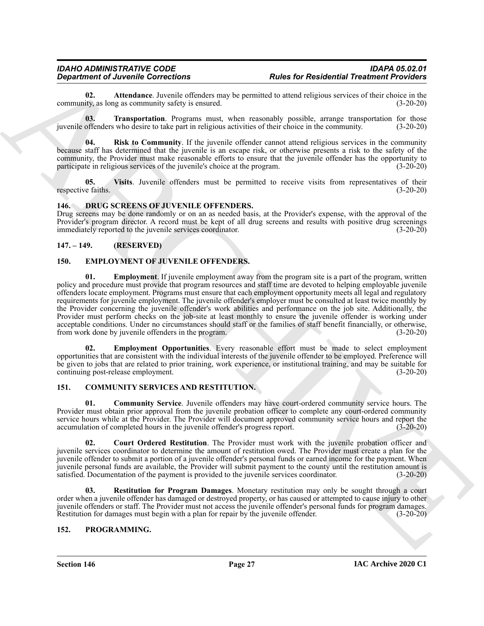<span id="page-26-14"></span>**02. Attendance**. Juvenile offenders may be permitted to attend religious services of their choice in the ity, as long as community safety is ensured. community, as long as community safety is ensured.

<span id="page-26-16"></span>**03. Transportation**. Programs must, when reasonably possible, arrange transportation for those juvenile offenders who desire to take part in religious activities of their choice in the community. (3-20-20)

<span id="page-26-15"></span>**04. Risk to Community**. If the juvenile offender cannot attend religious services in the community because staff has determined that the juvenile is an escape risk, or otherwise presents a risk to the safety of the community, the Provider must make reasonable efforts to ensure that the juvenile offender has the opportunity to participate in religious services of the juvenile's choice at the program. (3-20-20)

<span id="page-26-17"></span>**05.** Visits. Juvenile offenders must be permitted to receive visits from representatives of their e faiths. (3-20-20) respective faiths.

#### <span id="page-26-9"></span><span id="page-26-0"></span>**146. DRUG SCREENS OF JUVENILE OFFENDERS.**

Drug screens may be done randomly or on an as needed basis, at the Provider's expense, with the approval of the Provider's program director. A record must be kept of all drug screens and results with positive drug screenings immediately reported to the juvenile services coordinator. (3-20-20)

#### <span id="page-26-1"></span>**147. – 149. (RESERVED)**

#### <span id="page-26-11"></span><span id="page-26-10"></span><span id="page-26-2"></span>**150. EMPLOYMENT OF JUVENILE OFFENDERS.**

**Expansion of Architectures EV and Section 2**<br> **Expansion of Architectures EV and Section 2** by a statistical properties of the statistical properties of the statistical properties of the statistical properties of the **01. Employment**. If juvenile employment away from the program site is a part of the program, written policy and procedure must provide that program resources and staff time are devoted to helping employable juvenile offenders locate employment. Programs must ensure that each employment opportunity meets all legal and regulatory requirements for juvenile employment. The juvenile offender's employer must be consulted at least twice monthly by the Provider concerning the juvenile offender's work abilities and performance on the job site. Additionally, the Provider must perform checks on the job-site at least monthly to ensure the juvenile offender is working under acceptable conditions. Under no circumstances should staff or the families of staff benefit financially, or otherwise, from work done by invenile offenders in the program. (3-20-20) from work done by juvenile offenders in the program.

<span id="page-26-12"></span>**02. Employment Opportunities**. Every reasonable effort must be made to select employment opportunities that are consistent with the individual interests of the juvenile offender to be employed. Preference will be given to jobs that are related to prior training, work experience, or institutional training, and may be suitable for continuing post-release employment. (3-20-20)

#### <span id="page-26-5"></span><span id="page-26-3"></span>**151. COMMUNITY SERVICES AND RESTITUTION.**

<span id="page-26-6"></span>**01. Community Service**. Juvenile offenders may have court-ordered community service hours. The Provider must obtain prior approval from the juvenile probation officer to complete any court-ordered community service hours while at the Provider. The Provider will document approved community service hours and report the accumulation of completed hours in the juvenile offender's progress report. (3-20-20)

<span id="page-26-7"></span>**02. Court Ordered Restitution**. The Provider must work with the juvenile probation officer and juvenile services coordinator to determine the amount of restitution owed. The Provider must create a plan for the juvenile offender to submit a portion of a juvenile offender's personal funds or earned income for the payment. When juvenile personal funds are available, the Provider will submit payment to the county until the restitution amount is satisfied. Documentation of the payment is provided to the juvenile services coordinator. (3-20-20) satisfied. Documentation of the payment is provided to the juvenile services coordinator.

<span id="page-26-8"></span>**03. Restitution for Program Damages**. Monetary restitution may only be sought through a court order when a juvenile offender has damaged or destroyed property, or has caused or attempted to cause injury to other juvenile offenders or staff. The Provider must not access the juvenile offender's personal funds for program damages. Restitution for damages must begin with a plan for repair by the juvenile offender. (3-20-20)

#### <span id="page-26-13"></span><span id="page-26-4"></span>**152. PROGRAMMING.**

**Section 146 Page 27**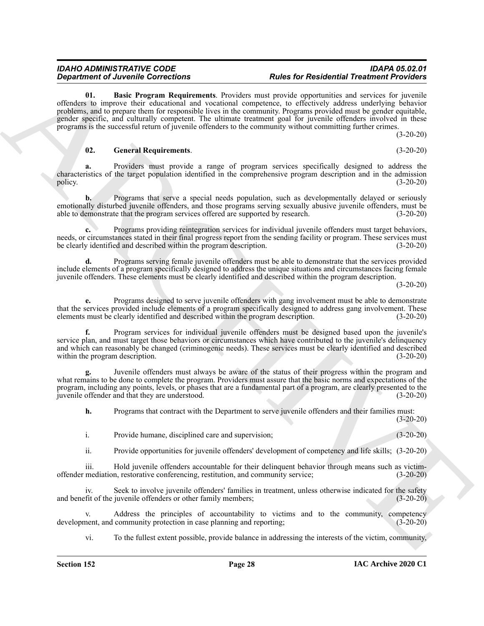#### <span id="page-27-0"></span>*IDAHO ADMINISTRATIVE CODE IDAPA 05.02.01 Rules for Residential Treatment Providers*

**Considered** *Christian* **Considered Towards Property developed the second and the second and the second and the second and the second and the second and the second and the second and the second and the second and the s 01. Basic Program Requirements**. Providers must provide opportunities and services for juvenile offenders to improve their educational and vocational competence, to effectively address underlying behavior problems, and to prepare them for responsible lives in the community. Programs provided must be gender equitable, gender specific, and culturally competent. The ultimate treatment goal for juvenile offenders involved in these programs is the successful return of juvenile offenders to the community without committing further crimes.

(3-20-20)

#### <span id="page-27-1"></span>**02. General Requirements**. (3-20-20)

**a.** Providers must provide a range of program services specifically designed to address the characteristics of the target population identified in the comprehensive program description and in the admission policy. (3-20-20)

**b.** Programs that serve a special needs population, such as developmentally delayed or seriously emotionally disturbed juvenile offenders, and those programs serving sexually abusive juvenile offenders, must be able to demonstrate that the program services offered are supported by research. (3-20-20)

**c.** Programs providing reintegration services for individual juvenile offenders must target behaviors, needs, or circumstances stated in their final progress report from the sending facility or program. These services must be clearly identified and described within the program description. (3-20-20)

Programs serving female juvenile offenders must be able to demonstrate that the services provided include elements of a program specifically designed to address the unique situations and circumstances facing female juvenile offenders. These elements must be clearly identified and described within the program description.

 $(3-20-20)$ 

 $(3-20-20)$ 

**e.** Programs designed to serve juvenile offenders with gang involvement must be able to demonstrate that the services provided include elements of a program specifically designed to address gang involvement. These elements must be clearly identified and described within the program description. (3-20-20)

**f.** Program services for individual juvenile offenders must be designed based upon the juvenile's service plan, and must target those behaviors or circumstances which have contributed to the juvenile's delinquency and which can reasonably be changed (criminogenic needs). These services must be clearly identified and described within the program description. (3-20-20)

**g.** Juvenile offenders must always be aware of the status of their progress within the program and what remains to be done to complete the program. Providers must assure that the basic norms and expectations of the program, including any points, levels, or phases that are a fundamental part of a program, are clearly presented to the juvenile offender and that they are understood. (3-20-20)

**h.** Programs that contract with the Department to serve juvenile offenders and their families must:

i. Provide humane, disciplined care and supervision; (3-20-20)

ii. Provide opportunities for juvenile offenders' development of competency and life skills; (3-20-20)

iii. Hold juvenile offenders accountable for their delinquent behavior through means such as victimoffender mediation, restorative conferencing, restitution, and community service; (3-20-20)

iv. Seek to involve juvenile offenders' families in treatment, unless otherwise indicated for the safety and benefit of the juvenile offenders or other family members; (3-20-20)

v. Address the principles of accountability to victims and to the community, competency nent, and community protection in case planning and reporting: (3-20-20) development, and community protection in case planning and reporting;

vi. To the fullest extent possible, provide balance in addressing the interests of the victim, community,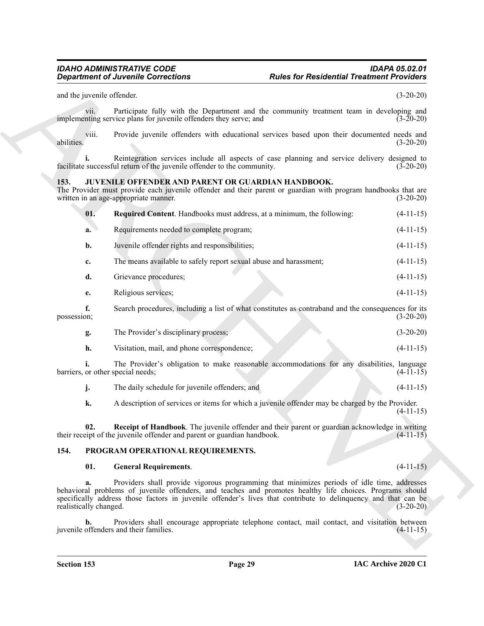#### <span id="page-28-4"></span><span id="page-28-2"></span><span id="page-28-0"></span>**153. JUVENILE OFFENDER AND PARENT OR GUARDIAN HANDBOOK.**

|                                   | <b>Department of Juvenile Corrections</b>                                                                                                                                                                                                                                                                                  | <b>Rules for Residential Treatment Providers</b> |             |
|-----------------------------------|----------------------------------------------------------------------------------------------------------------------------------------------------------------------------------------------------------------------------------------------------------------------------------------------------------------------------|--------------------------------------------------|-------------|
| and the juvenile offender.        |                                                                                                                                                                                                                                                                                                                            |                                                  | $(3-20-20)$ |
| vii.                              | Participate fully with the Department and the community treatment team in developing and<br>implementing service plans for juvenile offenders they serve; and                                                                                                                                                              |                                                  | $(3-20-20)$ |
| viii.<br>abilities.               | Provide juvenile offenders with educational services based upon their documented needs and                                                                                                                                                                                                                                 |                                                  | $(3-20-20)$ |
|                                   | Reintegration services include all aspects of case planning and service delivery designed to<br>facilitate successful return of the juvenile offender to the community.                                                                                                                                                    |                                                  | $(3-20-20)$ |
| 153.                              | JUVENILE OFFENDER AND PARENT OR GUARDIAN HANDBOOK.<br>The Provider must provide each juvenile offender and their parent or guardian with program handbooks that are<br>written in an age-appropriate manner.                                                                                                               |                                                  | $(3-20-20)$ |
| 01.                               | Required Content. Handbooks must address, at a minimum, the following:                                                                                                                                                                                                                                                     |                                                  | $(4-11-15)$ |
| a.                                | Requirements needed to complete program;                                                                                                                                                                                                                                                                                   |                                                  | $(4-11-15)$ |
| b.                                | Juvenile offender rights and responsibilities;                                                                                                                                                                                                                                                                             |                                                  | $(4-11-15)$ |
| c.                                | The means available to safely report sexual abuse and harassment;                                                                                                                                                                                                                                                          |                                                  | $(4-11-15)$ |
| d.                                | Grievance procedures;                                                                                                                                                                                                                                                                                                      |                                                  | $(4-11-15)$ |
| e.                                | Religious services;                                                                                                                                                                                                                                                                                                        |                                                  | $(4-11-15)$ |
| f.<br>possession;                 | Search procedures, including a list of what constitutes as contraband and the consequences for its                                                                                                                                                                                                                         |                                                  | $(3-20-20)$ |
| g.                                | The Provider's disciplinary process;                                                                                                                                                                                                                                                                                       |                                                  | $(3-20-20)$ |
| h.                                | Visitation, mail, and phone correspondence;                                                                                                                                                                                                                                                                                |                                                  | $(4-11-15)$ |
| barriers, or other special needs; | The Provider's obligation to make reasonable accommodations for any disabilities, language                                                                                                                                                                                                                                 |                                                  | $(4-11-15)$ |
| j.                                | The daily schedule for juvenile offenders; and                                                                                                                                                                                                                                                                             |                                                  | $(4-11-15)$ |
| k.                                | A description of services or items for which a juvenile offender may be charged by the Provider.                                                                                                                                                                                                                           |                                                  | $(4-11-15)$ |
| 02.                               | Receipt of Handbook. The juvenile offender and their parent or guardian acknowledge in writing<br>their receipt of the juvenile offender and parent or guardian handbook.                                                                                                                                                  |                                                  | $(4-11-15)$ |
| 154.                              | PROGRAM OPERATIONAL REQUIREMENTS.                                                                                                                                                                                                                                                                                          |                                                  |             |
| 01.                               | <b>General Requirements.</b>                                                                                                                                                                                                                                                                                               |                                                  | $(4-11-15)$ |
| a.<br>realistically changed.      | Providers shall provide vigorous programming that minimizes periods of idle time, addresses<br>behavioral problems of juvenile offenders, and teaches and promotes healthy life choices. Programs should<br>specifically address those factors in juvenile offender's lives that contribute to delinquency and that can be |                                                  | $(3-20-20)$ |
| b.                                | Providers shall encourage appropriate telephone contact, mail contact, and visitation between<br>juvenile offenders and their families.                                                                                                                                                                                    |                                                  | $(4-11-15)$ |
|                                   |                                                                                                                                                                                                                                                                                                                            |                                                  |             |

#### <span id="page-28-1"></span>**154. PROGRAM OPERATIONAL REQUIREMENTS.**

#### <span id="page-28-6"></span><span id="page-28-5"></span><span id="page-28-3"></span>**01. General Requirements**. (4-11-15)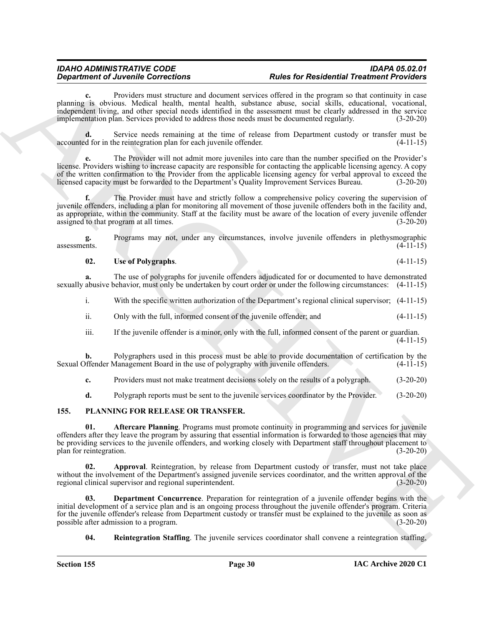Providers must structure and document services offered in the program so that continuity in case planning is obvious. Medical health, mental health, substance abuse, social skills, educational, vocational, independent living, and other special needs identified in the assessment must be clearly addressed in the service implementation plan. Services provided to address those needs must be documented regularly. (3-20-20)

**d.** Service needs remaining at the time of release from Department custody or transfer must be d for in the reintegration plan for each juvenile offender. (4-11-15) accounted for in the reintegration plan for each juvenile offender.

**e.** The Provider will not admit more juveniles into care than the number specified on the Provider's license. Providers wishing to increase capacity are responsible for contacting the applicable licensing agency. A copy of the written confirmation to the Provider from the applicable licensing agency for verbal approval to exceed the licensed capacity must be forwarded to the Department's Quality Improvement Services Bureau. (3-20-20)

*Department of Juvenilles* Corrections<br> **A Example Corrections A Example Correction C Example Correction C Example Correction C Example Correction C Example Correction A Example Correction C f.** The Provider must have and strictly follow a comprehensive policy covering the supervision of juvenile offenders, including a plan for monitoring all movement of those juvenile offenders both in the facility and, as appropriate, within the community. Staff at the facility must be aware of the location of every juvenile offender assigned to that program at all times. (3-20-20)

**g.** Programs may not, under any circumstances, involve juvenile offenders in plethysmographic assessments. (4-11-15)  $\alpha$ ssessments. (4-11-15)

#### <span id="page-29-6"></span>**02. Use of Polygraphs**. (4-11-15)

**a.** The use of polygraphs for juvenile offenders adjudicated for or documented to have demonstrated sexually abusive behavior, must only be undertaken by court order or under the following circumstances: (4-11-15)

i. With the specific written authorization of the Department's regional clinical supervisor; (4-11-15)

- ii. Only with the full, informed consent of the juvenile offender; and (4-11-15)
- iii. If the juvenile offender is a minor, only with the full, informed consent of the parent or guardian. (4-11-15)

**b.** Polygraphers used in this process must be able to provide documentation of certification by the offender Management Board in the use of polygraphy with juvenile offenders. (4-11-15) Sexual Offender Management Board in the use of polygraphy with juvenile offenders.

**c.** Providers must not make treatment decisions solely on the results of a polygraph. (3-20-20)

<span id="page-29-2"></span><span id="page-29-1"></span>**d.** Polygraph reports must be sent to the juvenile services coordinator by the Provider. (3-20-20)

#### <span id="page-29-0"></span>**155. PLANNING FOR RELEASE OR TRANSFER.**

**01. Aftercare Planning**. Programs must promote continuity in programming and services for juvenile offenders after they leave the program by assuring that essential information is forwarded to those agencies that may be providing services to the juvenile offenders, and working closely with Department staff throughout placement to plan for reintegration. (3-20-20) plan for reintegration.

<span id="page-29-3"></span>**02. Approval**. Reintegration, by release from Department custody or transfer, must not take place without the involvement of the Department's assigned juvenile services coordinator, and the written approval of the regional clinical supervisor and regional superintendent. (3-20-20) regional clinical supervisor and regional superintendent.

**Department Concurrence**. Preparation for reintegration of a juvenile offender begins with the initial development of a service plan and is an ongoing process throughout the juvenile offender's program. Criteria for the juvenile offender's release from Department custody or transfer must be explained to the juvenile as soon as possible after admission to a program. (3-20-20) possible after admission to a program.

<span id="page-29-5"></span><span id="page-29-4"></span>**04. Reintegration Staffing**. The juvenile services coordinator shall convene a reintegration staffing,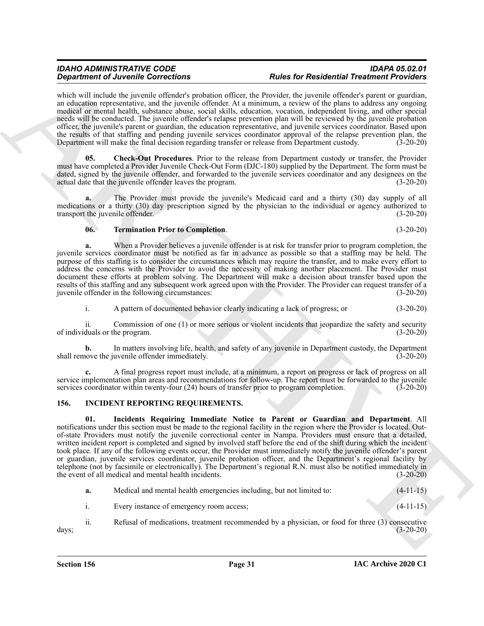#### *IDAHO ADMINISTRATIVE CODE IDAPA 05.02.01 Rules for Residential Treatment Providers*

which will include the juvenile offender's probation officer, the Provider, the juvenile offender's parent or guardian, an education representative, and the juvenile offender. At a minimum, a review of the plans to address any ongoing medical or mental health, substance abuse, social skills, education, vocation, independent living, and other special needs will be conducted. The juvenile offender's relapse prevention plan will be reviewed by the juvenile probation officer, the juvenile's parent or guardian, the education representative, and juvenile services coordinator. Based upon the results of that staffing and pending juvenile services coordinator approval of the relapse prevention plan, the<br>Department will make the final decision regarding transfer or release from Department custody. (3-20-20) Department will make the final decision regarding transfer or release from Department custody.

<span id="page-30-3"></span>**05. Check-Out Procedures**. Prior to the release from Department custody or transfer, the Provider must have completed a Provider Juvenile Check-Out Form (DJC-180) supplied by the Department. The form must be dated, signed by the juvenile offender, and forwarded to the juvenile services coordinator and any designees on the actual date that the juvenile offender leaves the program. (3-20-20)

**a.** The Provider must provide the juvenile's Medicaid card and a thirty (30) day supply of all medications or a thirty (30) day prescription signed by the physician to the individual or agency authorized to transport the juvenile offender. (3-20-20)

#### <span id="page-30-4"></span>**06. Termination Prior to Completion**. (3-20-20)

**a.** When a Provider believes a juvenile offender is at risk for transfer prior to program completion, the juvenile services coordinator must be notified as far in advance as possible so that a staffing may be held. The purpose of this staffing is to consider the circumstances which may require the transfer, and to make every effort to address the concerns with the Provider to avoid the necessity of making another placement. The Provider must document these efforts at problem solving. The Department will make a decision about transfer based upon the results of this staffing and any subsequent work agreed upon with the Provider. The Provider can request transfer of a juvenile offender in the following circumstances: (3-20-20) juvenile offender in the following circumstances:

i. A pattern of documented behavior clearly indicating a lack of progress; or (3-20-20)

ii. Commission of one (1) or more serious or violent incidents that jeopardize the safety and security of individuals or the program. (3-20-20)

**b.** In matters involving life, health, and safety of any juvenile in Department custody, the Department shall remove the juvenile offender immediately. (3-20-20)

**c.** A final progress report must include, at a minimum, a report on progress or lack of progress on all service implementation plan areas and recommendations for follow-up. The report must be forwarded to the juvenile services coordinator within twenty-four (24) hours of transfer prior to program completion. (3-20-20)

#### <span id="page-30-2"></span><span id="page-30-1"></span><span id="page-30-0"></span>**156. INCIDENT REPORTING REQUIREMENTS.**

**Strainer of Ziverzinke Controlling and The Richard Street Residential Presidential President Controlling and the Controlling and the Controlling and the Controlling and the Controlling and the Controlling and the Control 01. Incidents Requiring Immediate Notice to Parent or Guardian and Department**. All notifications under this section must be made to the regional facility in the region where the Provider is located. Outof-state Providers must notify the juvenile correctional center in Nampa. Providers must ensure that a detailed, written incident report is completed and signed by involved staff before the end of the shift during which the incident took place. If any of the following events occur, the Provider must immediately notify the juvenile offender's parent or guardian, juvenile services coordinator, juvenile probation officer, and the Department's regional facility by telephone (not by facsimile or electronically). The Department's regional R.N. must also be notified immediately in the event of all medical and mental health incidents. (3-20-20)

| Medical and mental health emergencies including, but not limited to: | $(4-11-15)$ |
|----------------------------------------------------------------------|-------------|
| Every instance of emergency room access;                             | $(4-11-15)$ |

ii. Refusal of medications, treatment recommended by a physician, or food for three (3) consecutive days; (3-20-20)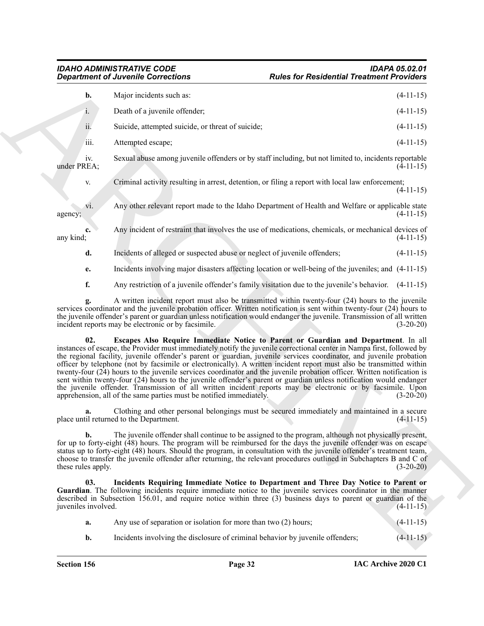|                            | <b>Department of Juvenile Corrections</b>                                 | <b>Rules for Residential Treatment Providers</b>                                                                                                                                                                                                                                                                                                                                                                                                                                                                                                                                                                                                                                                                                                                                                                              |             |
|----------------------------|---------------------------------------------------------------------------|-------------------------------------------------------------------------------------------------------------------------------------------------------------------------------------------------------------------------------------------------------------------------------------------------------------------------------------------------------------------------------------------------------------------------------------------------------------------------------------------------------------------------------------------------------------------------------------------------------------------------------------------------------------------------------------------------------------------------------------------------------------------------------------------------------------------------------|-------------|
| b.                         | Major incidents such as:                                                  |                                                                                                                                                                                                                                                                                                                                                                                                                                                                                                                                                                                                                                                                                                                                                                                                                               | $(4-11-15)$ |
| i.                         | Death of a juvenile offender;                                             |                                                                                                                                                                                                                                                                                                                                                                                                                                                                                                                                                                                                                                                                                                                                                                                                                               | $(4-11-15)$ |
| ii.                        | Suicide, attempted suicide, or threat of suicide;                         |                                                                                                                                                                                                                                                                                                                                                                                                                                                                                                                                                                                                                                                                                                                                                                                                                               | $(4-11-15)$ |
| iii.                       | Attempted escape;                                                         |                                                                                                                                                                                                                                                                                                                                                                                                                                                                                                                                                                                                                                                                                                                                                                                                                               | $(4-11-15)$ |
| iv.<br>under PREA;         |                                                                           | Sexual abuse among juvenile offenders or by staff including, but not limited to, incidents reportable                                                                                                                                                                                                                                                                                                                                                                                                                                                                                                                                                                                                                                                                                                                         | $(4-11-15)$ |
| V.                         |                                                                           | Criminal activity resulting in arrest, detention, or filing a report with local law enforcement;                                                                                                                                                                                                                                                                                                                                                                                                                                                                                                                                                                                                                                                                                                                              | $(4-11-15)$ |
| vi.<br>agency;             |                                                                           | Any other relevant report made to the Idaho Department of Health and Welfare or applicable state                                                                                                                                                                                                                                                                                                                                                                                                                                                                                                                                                                                                                                                                                                                              | $(4-11-15)$ |
| c.<br>any kind;            |                                                                           | Any incident of restraint that involves the use of medications, chemicals, or mechanical devices of                                                                                                                                                                                                                                                                                                                                                                                                                                                                                                                                                                                                                                                                                                                           | $(4-11-15)$ |
| d.                         | Incidents of alleged or suspected abuse or neglect of juvenile offenders; |                                                                                                                                                                                                                                                                                                                                                                                                                                                                                                                                                                                                                                                                                                                                                                                                                               | $(4-11-15)$ |
| e.                         |                                                                           | Incidents involving major disasters affecting location or well-being of the juveniles; and (4-11-15)                                                                                                                                                                                                                                                                                                                                                                                                                                                                                                                                                                                                                                                                                                                          |             |
| f.                         |                                                                           | Any restriction of a juvenile offender's family visitation due to the juvenile's behavior. (4-11-15)                                                                                                                                                                                                                                                                                                                                                                                                                                                                                                                                                                                                                                                                                                                          |             |
|                            | incident reports may be electronic or by facsimile.                       | A written incident report must also be transmitted within twenty-four (24) hours to the juvenile<br>services coordinator and the juvenile probation officer. Written notification is sent within twenty-four (24) hours to<br>the juvenile offender's parent or guardian unless notification would endanger the juvenile. Transmission of all written                                                                                                                                                                                                                                                                                                                                                                                                                                                                         | $(3-20-20)$ |
| 02.                        | apprehension, all of the same parties must be notified immediately.       | Escapes Also Require Immediate Notice to Parent or Guardian and Department. In all<br>instances of escape, the Provider must immediately notify the juvenile correctional center in Nampa first, followed by<br>the regional facility, juvenile offender's parent or guardian, juvenile services coordinator, and juvenile probation<br>officer by telephone (not by facsimile or electronically). A written incident report must also be transmitted within<br>twenty-four (24) hours to the juvenile services coordinator and the juvenile probation officer. Written notification is<br>sent within twenty-four (24) hours to the juvenile offender's parent or guardian unless notification would endanger<br>the juvenile offender. Transmission of all written incident reports may be electronic or by facsimile. Upon | $(3-20-20)$ |
|                            | place until returned to the Department.                                   | Clothing and other personal belongings must be secured immediately and maintained in a secure                                                                                                                                                                                                                                                                                                                                                                                                                                                                                                                                                                                                                                                                                                                                 | $(4-11-15)$ |
| b.<br>these rules apply.   |                                                                           | The juvenile offender shall continue to be assigned to the program, although not physically present,<br>for up to forty-eight (48) hours. The program will be reimbursed for the days the juvenile offender was on escape<br>status up to forty-eight (48) hours. Should the program, in consultation with the juvenile offender's treatment team,<br>choose to transfer the juvenile offender after returning, the relevant procedures outlined in Subchapters B and C of                                                                                                                                                                                                                                                                                                                                                    | $(3-20-20)$ |
| 03.<br>juveniles involved. |                                                                           | Incidents Requiring Immediate Notice to Department and Three Day Notice to Parent or<br>Guardian. The following incidents require immediate notice to the juvenile services coordinator in the manner<br>described in Subsection 156.01, and require notice within three (3) business days to parent or guardian of the                                                                                                                                                                                                                                                                                                                                                                                                                                                                                                       | $(4-11-15)$ |
|                            |                                                                           |                                                                                                                                                                                                                                                                                                                                                                                                                                                                                                                                                                                                                                                                                                                                                                                                                               | $(4-11-15)$ |
| a.                         | Any use of separation or isolation for more than two $(2)$ hours;         |                                                                                                                                                                                                                                                                                                                                                                                                                                                                                                                                                                                                                                                                                                                                                                                                                               |             |

- <span id="page-31-1"></span><span id="page-31-0"></span>**a.** Any use of separation or isolation for more than two (2) hours; (4-11-15)
- **b.** Incidents involving the disclosure of criminal behavior by juvenile offenders;  $(4-11-15)$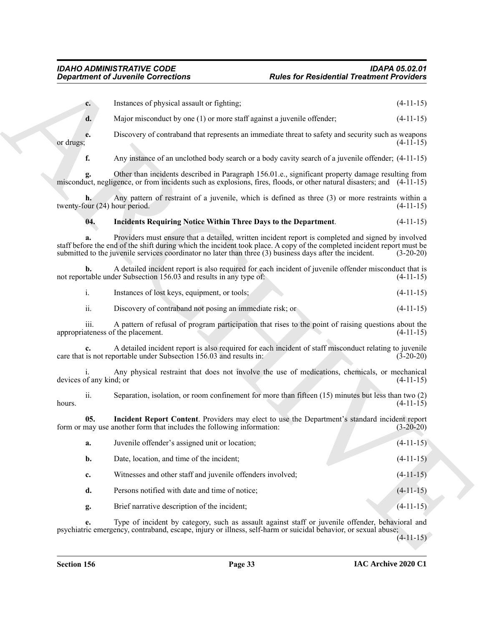<span id="page-32-1"></span><span id="page-32-0"></span>

|                                     | <b>Department of Juvenile Corrections</b>                              | <b>Rules for Residential Treatment Providers</b>                                                                                                                                                                                                                                                                                          |             |
|-------------------------------------|------------------------------------------------------------------------|-------------------------------------------------------------------------------------------------------------------------------------------------------------------------------------------------------------------------------------------------------------------------------------------------------------------------------------------|-------------|
| $c_{\cdot}$                         | Instances of physical assault or fighting;                             |                                                                                                                                                                                                                                                                                                                                           | $(4-11-15)$ |
| d.                                  | Major misconduct by one (1) or more staff against a juvenile offender; |                                                                                                                                                                                                                                                                                                                                           | $(4-11-15)$ |
| e.<br>or drugs;                     |                                                                        | Discovery of contraband that represents an immediate threat to safety and security such as weapons                                                                                                                                                                                                                                        | $(4-11-15)$ |
| f.                                  |                                                                        | Any instance of an unclothed body search or a body cavity search of a juvenile offender; (4-11-15)                                                                                                                                                                                                                                        |             |
|                                     |                                                                        | Other than incidents described in Paragraph 156.01.e., significant property damage resulting from<br>misconduct, negligence, or from incidents such as explosions, fires, floods, or other natural disasters; and (4-11-15)                                                                                                               |             |
| h.<br>twenty-four (24) hour period. |                                                                        | Any pattern of restraint of a juvenile, which is defined as three (3) or more restraints within a                                                                                                                                                                                                                                         | $(4-11-15)$ |
| 04.                                 | Incidents Requiring Notice Within Three Days to the Department.        |                                                                                                                                                                                                                                                                                                                                           | $(4-11-15)$ |
|                                     |                                                                        | Providers must ensure that a detailed, written incident report is completed and signed by involved<br>staff before the end of the shift during which the incident took place. A copy of the completed incident report must be<br>submitted to the juvenile services coordinator no later than three (3) business days after the incident. | $(3-20-20)$ |
| b.                                  | not reportable under Subsection 156.03 and results in any type of:     | A detailed incident report is also required for each incident of juvenile offender misconduct that is                                                                                                                                                                                                                                     | $(4-11-15)$ |
| i.                                  | Instances of lost keys, equipment, or tools;                           |                                                                                                                                                                                                                                                                                                                                           | $(4-11-15)$ |
| ii.                                 | Discovery of contraband not posing an immediate risk; or               |                                                                                                                                                                                                                                                                                                                                           | $(4-11-15)$ |
| 111.                                | appropriateness of the placement.                                      | A pattern of refusal of program participation that rises to the point of raising questions about the                                                                                                                                                                                                                                      | $(4-11-15)$ |
|                                     | care that is not reportable under Subsection 156.03 and results in:    | A detailed incident report is also required for each incident of staff misconduct relating to juvenile                                                                                                                                                                                                                                    | $(3-20-20)$ |
| devices of any kind; or             |                                                                        | Any physical restraint that does not involve the use of medications, chemicals, or mechanical                                                                                                                                                                                                                                             | $(4-11-15)$ |
| ii.<br>hours.                       |                                                                        | Separation, isolation, or room confinement for more than fifteen $(15)$ minutes but less than two $(2)$                                                                                                                                                                                                                                   | $(4-11-15)$ |
| 05.                                 | form or may use another form that includes the following information:  | Incident Report Content. Providers may elect to use the Department's standard incident report                                                                                                                                                                                                                                             | $(3-20-20)$ |
| a.                                  | Juvenile offender's assigned unit or location;                         |                                                                                                                                                                                                                                                                                                                                           | $(4-11-15)$ |
| b.                                  | Date, location, and time of the incident;                              |                                                                                                                                                                                                                                                                                                                                           | $(4-11-15)$ |
| c.                                  | Witnesses and other staff and juvenile offenders involved;             |                                                                                                                                                                                                                                                                                                                                           | $(4-11-15)$ |
| d.                                  | Persons notified with date and time of notice;                         |                                                                                                                                                                                                                                                                                                                                           | $(4-11-15)$ |
| g.                                  | Brief narrative description of the incident;                           |                                                                                                                                                                                                                                                                                                                                           | $(4-11-15)$ |
| e.                                  |                                                                        | Type of incident by category, such as assault against staff or juvenile offender, behavioral and<br>psychiatric emergency, contraband, escape, injury or illness, self-harm or suicidal behavior, or sexual abuse;                                                                                                                        | $(4-11-15)$ |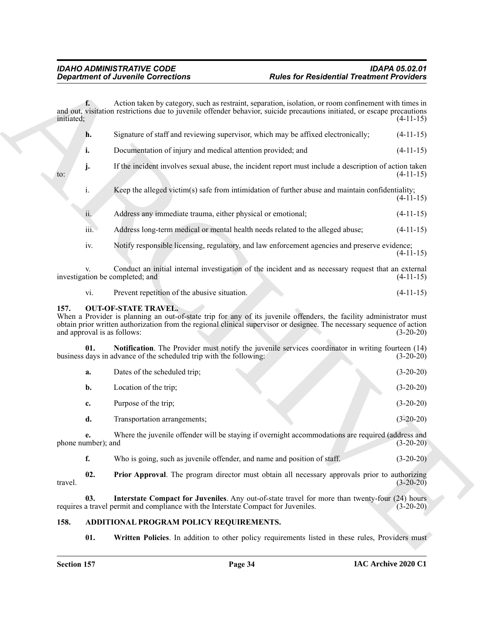| <b>Department of Juvenile Corrections</b> |                                                                                    | <b>Rules for Residential Treatment Providers</b>                                                                                                                                                                                              |             |
|-------------------------------------------|------------------------------------------------------------------------------------|-----------------------------------------------------------------------------------------------------------------------------------------------------------------------------------------------------------------------------------------------|-------------|
| f.<br>initiated;                          |                                                                                    | Action taken by category, such as restraint, separation, isolation, or room confinement with times in<br>and out, visitation restrictions due to juvenile offender behavior, suicide precautions initiated, or escape precautions             | $(4-11-15)$ |
| h.                                        |                                                                                    | Signature of staff and reviewing supervisor, which may be affixed electronically;                                                                                                                                                             | $(4-11-15)$ |
| i.                                        | Documentation of injury and medical attention provided; and                        |                                                                                                                                                                                                                                               | $(4-11-15)$ |
| j.<br>to:                                 |                                                                                    | If the incident involves sexual abuse, the incident report must include a description of action taken                                                                                                                                         | $(4-11-15)$ |
| $\mathbf{i}$ .                            |                                                                                    | Keep the alleged victim(s) safe from intimidation of further abuse and maintain confidentiality;                                                                                                                                              | $(4-11-15)$ |
| ii.                                       | Address any immediate trauma, either physical or emotional;                        |                                                                                                                                                                                                                                               | $(4-11-15)$ |
| iii.                                      |                                                                                    | Address long-term medical or mental health needs related to the alleged abuse;                                                                                                                                                                | $(4-11-15)$ |
| iv.                                       |                                                                                    | Notify responsible licensing, regulatory, and law enforcement agencies and preserve evidence;                                                                                                                                                 | $(4-11-15)$ |
| V.                                        | investigation be completed; and                                                    | Conduct an initial internal investigation of the incident and as necessary request that an external                                                                                                                                           | $(4-11-15)$ |
| vi.                                       | Prevent repetition of the abusive situation.                                       |                                                                                                                                                                                                                                               | $(4-11-15)$ |
| 157.                                      | <b>OUT-OF-STATE TRAVEL.</b><br>and approval is as follows:                         | When a Provider is planning an out-of-state trip for any of its juvenile offenders, the facility administrator must<br>obtain prior written authorization from the regional clinical supervisor or designee. The necessary sequence of action | $(3-20-20)$ |
| 01.                                       | business days in advance of the scheduled trip with the following:                 | Notification. The Provider must notify the juvenile services coordinator in writing fourteen (14)                                                                                                                                             | $(3-20-20)$ |
| a.                                        | Dates of the scheduled trip;                                                       |                                                                                                                                                                                                                                               | $(3-20-20)$ |
| b.                                        | Location of the trip;                                                              |                                                                                                                                                                                                                                               | $(3-20-20)$ |
| c.                                        | Purpose of the trip;                                                               |                                                                                                                                                                                                                                               | $(3-20-20)$ |
| d.                                        | Transportation arrangements;                                                       |                                                                                                                                                                                                                                               | $(3-20-20)$ |
| e.<br>phone number); and                  |                                                                                    | Where the juvenile offender will be staying if overnight accommodations are required (address and                                                                                                                                             | $(3-20-20)$ |
| f.                                        | Who is going, such as juvenile offender, and name and position of staff.           |                                                                                                                                                                                                                                               | $(3-20-20)$ |
| 02.<br>travel.                            |                                                                                    | <b>Prior Approval.</b> The program director must obtain all necessary approvals prior to authorizing                                                                                                                                          | $(3-20-20)$ |
| 03.                                       | requires a travel permit and compliance with the Interstate Compact for Juveniles. | Interstate Compact for Juveniles. Any out-of-state travel for more than twenty-four (24) hours                                                                                                                                                | $(3-20-20)$ |
| 158.                                      | ADDITIONAL PROGRAM POLICY REQUIREMENTS.                                            |                                                                                                                                                                                                                                               |             |
| 01.                                       |                                                                                    | Written Policies. In addition to other policy requirements listed in these rules, Providers must                                                                                                                                              |             |

#### <span id="page-33-4"></span><span id="page-33-0"></span>**157. OUT-OF-STATE TRAVEL.**

<span id="page-33-6"></span>

| а. | Dates of the scheduled trip; |  | $(3-20-20)$ |
|----|------------------------------|--|-------------|
| b. | Location of the trip;        |  | $(3-20-20)$ |
| c. | Purpose of the trip;         |  | $(3-20-20)$ |
| d. | Transportation arrangements; |  | $(3-20-20)$ |

<span id="page-33-7"></span><span id="page-33-5"></span>

| Who is going, such as juvenile offender, and name and position of staff. | $(3-20-20)$ |
|--------------------------------------------------------------------------|-------------|
|                                                                          |             |

#### <span id="page-33-3"></span><span id="page-33-2"></span><span id="page-33-1"></span>**158. ADDITIONAL PROGRAM POLICY REQUIREMENTS.**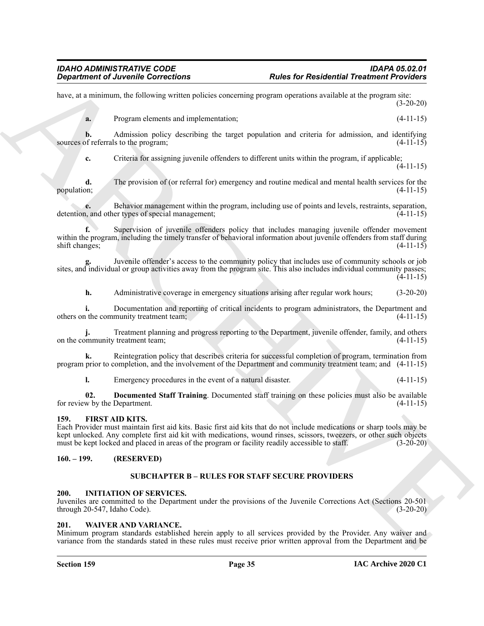have, at a minimum, the following written policies concerning program operations available at the program site: (3-20-20)

**a.** Program elements and implementation:  $(4-11-15)$ 

**b.** Admission policy describing the target population and criteria for admission, and identifying of referrals to the program: (4-11-15) sources of referrals to the program;

**c.** Criteria for assigning juvenile offenders to different units within the program, if applicable; (4-11-15)

**d.** The provision of (or referral for) emergency and routine medical and mental health services for the population; (4-11-15) population; (4-11-15)

**e.** Behavior management within the program, including use of points and levels, restraints, separation, and other types of special management; (4-11-15) detention, and other types of special management;

**Equivariant of Australia Corrections**<br>
Archive and responsible conventions<br>
Archive and responsible conventions<br>
Archive and response denotes a response of the system density in the properties of the properties<br>
Archive **f.** Supervision of juvenile offenders policy that includes managing juvenile offender movement within the program, including the timely transfer of behavioral information about juvenile offenders from staff during shift changes; (4-11-15)

**g.** Juvenile offender's access to the community policy that includes use of community schools or job sites, and individual or group activities away from the program site. This also includes individual community passes; (4-11-15)

**h.** Administrative coverage in emergency situations arising after regular work hours; (3-20-20)

**i.** Documentation and reporting of critical incidents to program administrators, the Department and the community treatment team; (4-11-15) others on the community treatment team;

**j.** Treatment planning and progress reporting to the Department, juvenile offender, family, and others on the community treatment team; (4-11-15)

**k.** Reintegration policy that describes criteria for successful completion of program, termination from program prior to completion, and the involvement of the Department and community treatment team; and (4-11-15)

<span id="page-34-5"></span>**l.** Emergency procedures in the event of a natural disaster. (4-11-15)

**02.** Documented Staff Training. Documented staff training on these policies must also be available w by the Department. (4-11-15) for review by the Department.

#### <span id="page-34-6"></span><span id="page-34-0"></span>**159. FIRST AID KITS.**

Each Provider must maintain first aid kits. Basic first aid kits that do not include medications or sharp tools may be kept unlocked. Any complete first aid kit with medications, wound rinses, scissors, tweezers, or other such objects must be kept locked and placed in areas of the program or facility readily accessible to staff. (3-20-20)

#### <span id="page-34-2"></span><span id="page-34-1"></span>**160. – 199. (RESERVED)**

#### <span id="page-34-8"></span>**SUBCHAPTER B – RULES FOR STAFF SECURE PROVIDERS**

#### <span id="page-34-7"></span><span id="page-34-3"></span>**200. INITIATION OF SERVICES.**

Juveniles are committed to the Department under the provisions of the Juvenile Corrections Act (Sections 20-501 through 20-547, Idaho Code). (3-20-20)

#### <span id="page-34-9"></span><span id="page-34-4"></span>**201. WAIVER AND VARIANCE.**

Minimum program standards established herein apply to all services provided by the Provider. Any waiver and variance from the standards stated in these rules must receive prior written approval from the Department and be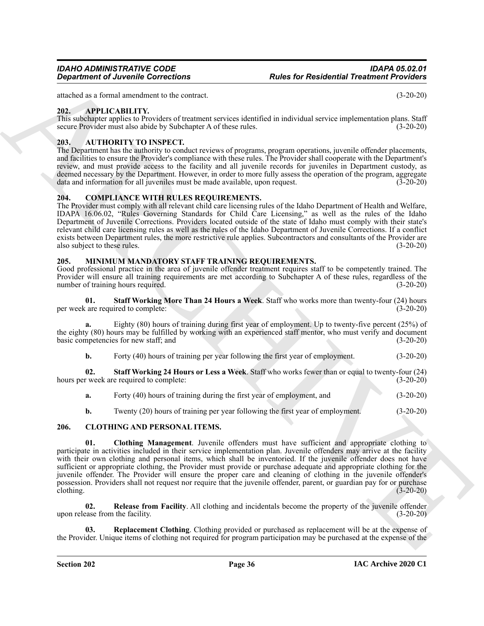### <span id="page-35-5"></span><span id="page-35-0"></span>**202. APPLICABILITY.**

This subchapter applies to Providers of treatment services identified in individual service implementation plans. Staff secure Provider must also abide by Subchapter A of these rules. (3-20-20)

### <span id="page-35-6"></span><span id="page-35-1"></span>**203. AUTHORITY TO INSPECT.**

The Department has the authority to conduct reviews of programs, program operations, juvenile offender placements, and facilities to ensure the Provider's compliance with these rules. The Provider shall cooperate with the Department's review, and must provide access to the facility and all juvenile records for juveniles in Department custody, as deemed necessary by the Department. However, in order to more fully assess the operation of the program, aggregate data and information for all juveniles must be made available, upon request.  $(\overline{3\cdot 20\cdot 20})$ 

### <span id="page-35-11"></span><span id="page-35-2"></span>**204. COMPLIANCE WITH RULES REQUIREMENTS.**

The Provider must comply with all relevant child care licensing rules of the Idaho Department of Health and Welfare, IDAPA 16.06.02, "Rules Governing Standards for Child Care Licensing," as well as the rules of the Idaho Department of Juvenile Corrections. Providers located outside of the state of Idaho must comply with their state's relevant child care licensing rules as well as the rules of the Idaho Department of Juvenile Corrections. If a conflict exists between Department rules, the more restrictive rule applies. Subcontractors and consultants of the Provider are also subject to these rules. (3-20-20)

### <span id="page-35-12"></span><span id="page-35-3"></span>**205. MINIMUM MANDATORY STAFF TRAINING REQUIREMENTS.**

Good professional practice in the area of juvenile offender treatment requires staff to be competently trained. The Provider will ensure all training requirements are met according to Subchapter A of these rules, regardless of the number of training hours required. (3-20-20)

**01. Staff Working More Than 24 Hours a Week**. Staff who works more than twenty-four (24) hours per week are required to complete: (3-20-20)

**a.** Eighty (80) hours of training during first year of employment. Up to twenty-five percent (25%) of the eighty (80) hours may be fulfilled by working with an experienced staff mentor, who must verify and document basic competencies for new staff; and (3-20-20)

**b.** Forty (40) hours of training per year following the first year of employment.  $(3-20-20)$ 

**02. Staff Working 24 Hours or Less a Week**. Staff who works fewer than or equal to twenty-four (24) hours per week are required to complete: (3-20-20)

- **a.** Forty (40) hours of training during the first year of employment, and (3-20-20)
- <span id="page-35-8"></span><span id="page-35-7"></span>**b.** Twenty (20) hours of training per year following the first year of employment. (3-20-20)

### <span id="page-35-4"></span>**206. CLOTHING AND PERSONAL ITEMS.**

**Equation of Alumin Corrections**<br>
And the star extended Desired in the control of the control of the star extended in the star extended in the star extended in the star extended in the star extended in the star extended i **01. Clothing Management**. Juvenile offenders must have sufficient and appropriate clothing to participate in activities included in their service implementation plan. Juvenile offenders may arrive at the facility with their own clothing and personal items, which shall be inventoried. If the juvenile offender does not have sufficient or appropriate clothing, the Provider must provide or purchase adequate and appropriate clothing for the juvenile offender. The Provider will ensure the proper care and cleaning of clothing in the juvenile offender's possession. Providers shall not request nor require that the juvenile offender, parent, or guardian pay for or purchase clothing. (3-20-20)

<span id="page-35-9"></span>**02. Release from Facility**. All clothing and incidentals become the property of the juvenile offender upon release from the facility. (3-20-20)

<span id="page-35-10"></span>**03. Replacement Clothing**. Clothing provided or purchased as replacement will be at the expense of the Provider. Unique items of clothing not required for program participation may be purchased at the expense of the

*Rules for Residential Treatment Providers*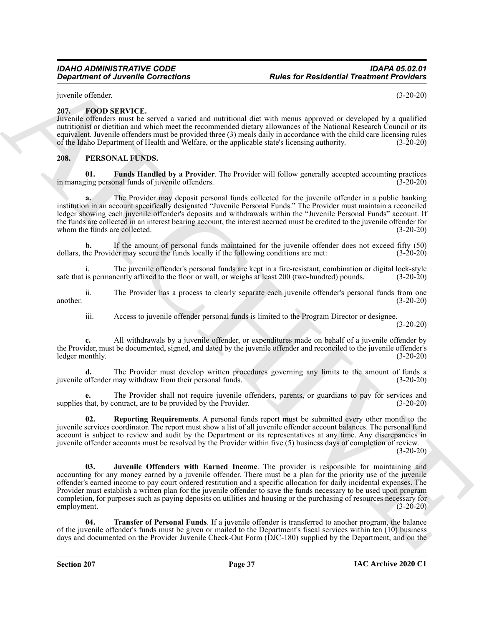juvenile offender. (3-20-20)

#### <span id="page-36-2"></span><span id="page-36-0"></span>**207. FOOD SERVICE.**

Juvenile offenders must be served a varied and nutritional diet with menus approved or developed by a qualified nutritionist or dietitian and which meet the recommended dietary allowances of the National Research Council or its equivalent. Juvenile offenders must be provided three (3) meals daily in accordance with the child care licensing rules<br>of the Idaho Department of Health and Welfare, or the applicable state's licensing authority. (3-20-20 of the Idaho Department of Health and Welfare, or the applicable state's licensing authority.

#### <span id="page-36-3"></span><span id="page-36-1"></span>**208. PERSONAL FUNDS.**

<span id="page-36-4"></span>**01.** Funds Handled by a Provider. The Provider will follow generally accepted accounting practices exing personal funds of juvenile offenders. in managing personal funds of juvenile offenders.

**a.** The Provider may deposit personal funds collected for the juvenile offender in a public banking institution in an account specifically designated "Juvenile Personal Funds." The Provider must maintain a reconciled ledger showing each juvenile offender's deposits and withdrawals within the "Juvenile Personal Funds" account. If the funds are collected in an interest bearing account, the interest accrued must be credited to the juvenile offender for whom the funds are collected. (3-20-20)

**b.** If the amount of personal funds maintained for the juvenile offender does not exceed fifty (50) dollars, the Provider may secure the funds locally if the following conditions are met: (3-20-20)

i. The juvenile offender's personal funds are kept in a fire-resistant, combination or digital lock-style safe that is permanently affixed to the floor or wall, or weighs at least 200 (two-hundred) pounds. (3-20-20)

ii. The Provider has a process to clearly separate each juvenile offender's personal funds from one another. (3-20-20)

iii. Access to juvenile offender personal funds is limited to the Program Director or designee.

(3-20-20)

**c.** All withdrawals by a juvenile offender, or expenditures made on behalf of a juvenile offender by the Provider, must be documented, signed, and dated by the juvenile offender and reconciled to the juvenile offender's ledger monthly. (3-20-20)

**d.** The Provider must develop written procedures governing any limits to the amount of funds a juvenile offender may withdraw from their personal funds. (3-20-20)

The Provider shall not require juvenile offenders, parents, or guardians to pay for services and ontract, are to be provided by the Provider. (3-20-20) supplies that, by contract, are to be provided by the Provider.

<span id="page-36-6"></span><span id="page-36-5"></span>**02. Reporting Requirements**. A personal funds report must be submitted every other month to the juvenile services coordinator. The report must show a list of all juvenile offender account balances. The personal fund account is subject to review and audit by the Department or its representatives at any time. Any discrepancies in juvenile offender accounts must be resolved by the Provider within five (5) business days of completion of review.

 $(3-20-20)$ 

**Equivalent of Anciente Corrections**<br>
Figure for Residential Treatment Providers<br>
The Control of the Control of the Sample of the Sample of the Sample of the Sample of the Sample of the Sample of the Sample of the Sample **Juvenile Offenders with Earned Income**. The provider is responsible for maintaining and accounting for any money earned by a juvenile offender. There must be a plan for the priority use of the juvenile offender's earned income to pay court ordered restitution and a specific allocation for daily incidental expenses. The Provider must establish a written plan for the juvenile offender to save the funds necessary to be used upon program completion, for purposes such as paying deposits on utilities and housing or the purchasing of resources necessary for employment. (3-20-20)

<span id="page-36-7"></span>**04. Transfer of Personal Funds**. If a juvenile offender is transferred to another program, the balance of the juvenile offender's funds must be given or mailed to the Department's fiscal services within ten (10) business days and documented on the Provider Juvenile Check-Out Form (DJC-180) supplied by the Department, and on the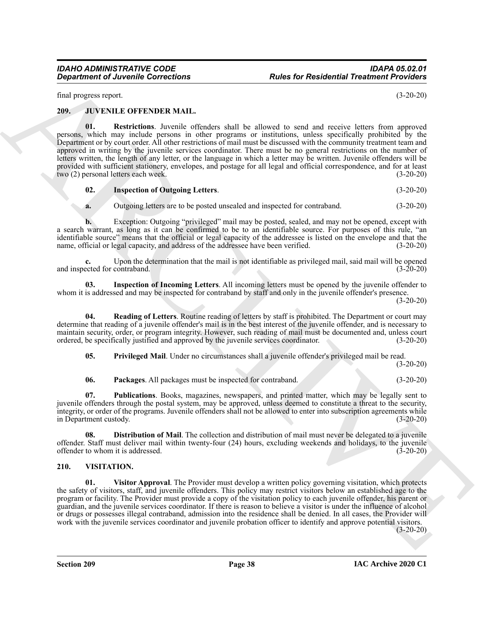final progress report. (3-20-20)

<span id="page-37-10"></span><span id="page-37-2"></span><span id="page-37-0"></span>**209. JUVENILE OFFENDER MAIL.**

**Department of Anvenile Corrections**<br>
In the start Residential Treatment Providers<br>
13. The start of the start of the start of the start of the start of the start of the start of the start of the start of the start of the **01. Restrictions**. Juvenile offenders shall be allowed to send and receive letters from approved persons, which may include persons in other programs or institutions, unless specifically prohibited by the Department or by court order. All other restrictions of mail must be discussed with the community treatment team and approved in writing by the juvenile services coordinator. There must be no general restrictions on the number of letters written, the length of any letter, or the language in which a letter may be written. Juvenile offenders will be provided with sufficient stationery, envelopes, and postage for all legal and official correspondence, and for at least two (2) personal letters each week. (3-20-20)

#### <span id="page-37-5"></span>**02. Inspection of Outgoing Letters**. (3-20-20)

**a.** Outgoing letters are to be posted unsealed and inspected for contraband. (3-20-20)

**b.** Exception: Outgoing "privileged" mail may be posted, sealed, and may not be opened, except with a search warrant, as long as it can be confirmed to be to an identifiable source. For purposes of this rule, "an identifiable source" means that the official or legal capacity of the addressee is listed on the envelope and that the name, official or legal capacity, and address of the addressee have been verified. (3-20-20)

**c.** Upon the determination that the mail is not identifiable as privileged mail, said mail will be opened ected for contraband. (3-20-20) and inspected for contraband.

<span id="page-37-4"></span>**03. Inspection of Incoming Letters**. All incoming letters must be opened by the juvenile offender to whom it is addressed and may be inspected for contraband by staff and only in the juvenile offender's presence.

(3-20-20)

**04. Reading of Letters**. Routine reading of letters by staff is prohibited. The Department or court may determine that reading of a juvenile offender's mail is in the best interest of the juvenile offender, and is necessary to maintain security, order, or program integrity. However, such reading of mail must be documented and, unless court ordered, be specifically justified and approved by the juvenile services coordinator. (3-20-20)

<span id="page-37-9"></span><span id="page-37-7"></span>**05. Privileged Mail**. Under no circumstances shall a juvenile offender's privileged mail be read. (3-20-20)

<span id="page-37-8"></span><span id="page-37-6"></span>**06. Packages**. All packages must be inspected for contraband. (3-20-20)

**07. Publications**. Books, magazines, newspapers, and printed matter, which may be legally sent to juvenile offenders through the postal system, may be approved, unless deemed to constitute a threat to the security, integrity, or order of the programs. Juvenile offenders shall not be allowed to enter into subscription agreements while in Department custody. (3-20-20)

<span id="page-37-3"></span>**08. Distribution of Mail**. The collection and distribution of mail must never be delegated to a juvenile offender. Staff must deliver mail within twenty-four (24) hours, excluding weekends and holidays, to the juvenile offender to whom it is addressed. (3-20-20) offender to whom it is addressed.

#### <span id="page-37-11"></span><span id="page-37-1"></span>**210. VISITATION.**

**01. Visitor Approval**. The Provider must develop a written policy governing visitation, which protects the safety of visitors, staff, and juvenile offenders. This policy may restrict visitors below an established age to the program or facility. The Provider must provide a copy of the visitation policy to each juvenile offender, his parent or guardian, and the juvenile services coordinator. If there is reason to believe a visitor is under the influence of alcohol or drugs or possesses illegal contraband, admission into the residence shall be denied. In all cases, the Provider will work with the juvenile services coordinator and juvenile probation officer to identify and approve potential visitors.

 $(3-20-20)$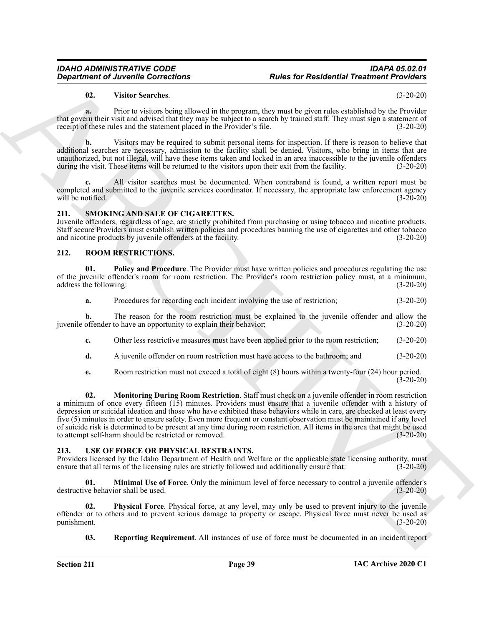#### **02. Visitor Searches**. (3-20-20)

**a.** Prior to visitors being allowed in the program, they must be given rules established by the Provider that govern their visit and advised that they may be subject to a search by trained staff. They must sign a statement of receipt of these rules and the statement placed in the Provider's file. (3-20-20)

**b.** Visitors may be required to submit personal items for inspection. If there is reason to believe that additional searches are necessary, admission to the facility shall be denied. Visitors, who bring in items that are unauthorized, but not illegal, will have these items taken and locked in an area inaccessible to the juvenile offenders during the visit. These items will be returned to the visitors upon their exit from the facility. (3-20-20)

**c.** All visitor searches must be documented. When contraband is found, a written report must be completed and submitted to the juvenile services coordinator. If necessary, the appropriate law enforcement agency will be notified. (3-20-20)

#### <span id="page-38-6"></span><span id="page-38-0"></span>**211. SMOKING AND SALE OF CIGARETTES.**

Juvenile offenders, regardless of age, are strictly prohibited from purchasing or using tobacco and nicotine products. Staff secure Providers must establish written policies and procedures banning the use of cigarettes and other tobacco and nicotine products by juvenile offenders at the facility. (3-20-20)

### <span id="page-38-3"></span><span id="page-38-1"></span>**212. ROOM RESTRICTIONS.**

**01.** Policy and Procedure. The Provider must have written policies and procedures regulating the use of the juvenile offender's room for room restriction. The Provider's room restriction policy must, at a minimum, address the following: (3-20-20)

<span id="page-38-5"></span>**a.** Procedures for recording each incident involving the use of restriction; (3-20-20)

**b.** The reason for the room restriction must be explained to the juvenile offender and allow the juvenile offender to have an opportunity to explain their behavior; (3-20-20)

**c.** Other less restrictive measures must have been applied prior to the room restriction; (3-20-20)

**d.** A juvenile offender on room restriction must have access to the bathroom; and  $(3-20-20)$ 

<span id="page-38-4"></span>**e.** Room restriction must not exceed a total of eight (8) hours within a twenty-four (24) hour period.  $(3-20-20)$ 

*Department of Juvenine Corrections*<br> **Butter for Residential Treatmonic Projections**<br> **Butter Section 2018**<br> **Convention 2018**<br> **Convention 2018**<br> **Convention 2018**<br> **Convention 2018**<br> **Convention 2018**<br> **Convention 20 02. Monitoring During Room Restriction**. Staff must check on a juvenile offender in room restriction a minimum of once every fifteen (15) minutes. Providers must ensure that a juvenile offender with a history of depression or suicidal ideation and those who have exhibited these behaviors while in care, are checked at least every five (5) minutes in order to ensure safety. Even more frequent or constant observation must be maintained if any level of suicide risk is determined to be present at any time during room restriction. All items in the area that might be used to attempt self-harm should be restricted or removed. (3-20-20)

#### <span id="page-38-7"></span><span id="page-38-2"></span>**213. USE OF FORCE OR PHYSICAL RESTRAINTS.**

Providers licensed by the Idaho Department of Health and Welfare or the applicable state licensing authority, must ensure that all terms of the licensing rules are strictly followed and additionally ensure that: (3-20-20)

<span id="page-38-8"></span>**01. Minimal Use of Force**. Only the minimum level of force necessary to control a juvenile offender's destructive behavior shall be used. (3-20-20)

**02. Physical Force**. Physical force, at any level, may only be used to prevent injury to the juvenile offender or to others and to prevent serious damage to property or escape. Physical force must never be used as punishment.

<span id="page-38-10"></span><span id="page-38-9"></span>**03.** Reporting Requirement. All instances of use of force must be documented in an incident report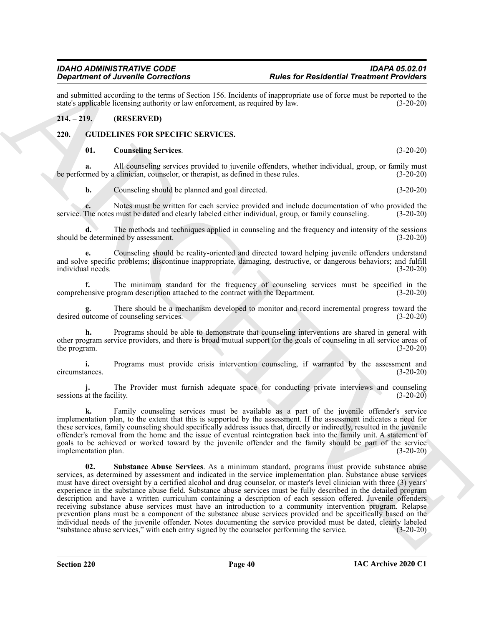and submitted according to the terms of Section 156. Incidents of inappropriate use of force must be reported to the state's applicable licensing authority or law enforcement, as required by law. (3-20-20) state's applicable licensing authority or law enforcement, as required by law.

#### <span id="page-39-0"></span>**214. – 219. (RESERVED)**

#### <span id="page-39-1"></span>**220. GUIDELINES FOR SPECIFIC SERVICES.**

#### <span id="page-39-3"></span><span id="page-39-2"></span>**01. Counseling Services**. (3-20-20)

All counseling services provided to juvenile offenders, whether individual, group, or family must a clinician, counselor, or therapist, as defined in these rules. (3-20-20) be performed by a clinician, counselor, or therapist, as defined in these rules.

**b.** Counseling should be planned and goal directed. (3-20-20)

**c.** Notes must be written for each service provided and include documentation of who provided the service. The notes must be dated and clearly labeled either individual, group, or family counseling. (3-20-20)

**d.** The methods and techniques applied in counseling and the frequency and intensity of the sessions should be determined by assessment. (3-20-20)

**e.** Counseling should be reality-oriented and directed toward helping juvenile offenders understand and solve specific problems; discontinue inappropriate, damaging, destructive, or dangerous behaviors; and fulfill individual needs.

**f.** The minimum standard for the frequency of counseling services must be specified in the comprehensive program description attached to the contract with the Department. (3-20-20)

**g.** There should be a mechanism developed to monitor and record incremental progress toward the desired outcome of counseling services. (3-20-20)

**h.** Programs should be able to demonstrate that counseling interventions are shared in general with other program service providers, and there is broad mutual support for the goals of counseling in all service areas of the program.  $(3-20-20)$ 

**i.** Programs must provide crisis intervention counseling, if warranted by the assessment and circumstances. (3-20-20)

**j.** The Provider must furnish adequate space for conducting private interviews and counseling sessions at the facility.  $(3-20-20)$ 

<span id="page-39-4"></span>**k.** Family counseling services must be available as a part of the juvenile offender's service implementation plan, to the extent that this is supported by the assessment. If the assessment indicates a need for these services, family counseling should specifically address issues that, directly or indirectly, resulted in the juvenile offender's removal from the home and the issue of eventual reintegration back into the family unit. A statement of goals to be achieved or worked toward by the juvenile offender and the family should be part of the service<br>(3-20-20)<br>(3-20-20) implementation plan.

**Considered Values Considered to the state of the set of Residential Treation Projections (A)**  $\mu$  **and**  $\mu$  **and**  $\mu$  **and**  $\mu$  **and**  $\mu$  **and**  $\mu$  **and**  $\mu$  **and**  $\mu$  **and**  $\mu$  **and**  $\mu$  **and**  $\mu$  **and**  $\mu$  **and**  $\mu$  **and**  $\mu$  **and 02. Substance Abuse Services**. As a minimum standard, programs must provide substance abuse services, as determined by assessment and indicated in the service implementation plan. Substance abuse services must have direct oversight by a certified alcohol and drug counselor, or master's level clinician with three (3) years' experience in the substance abuse field. Substance abuse services must be fully described in the detailed program description and have a written curriculum containing a description of each session offered. Juvenile offenders receiving substance abuse services must have an introduction to a community intervention program. Relapse prevention plans must be a component of the substance abuse services provided and be specifically based on the individual needs of the juvenile offender. Notes documenting the service provided must be dated, clearly labeled<br>"substance abuse services," with each entry signed by the counselor performing the service. (3-20-20) "substance abuse services," with each entry signed by the counselor performing the service.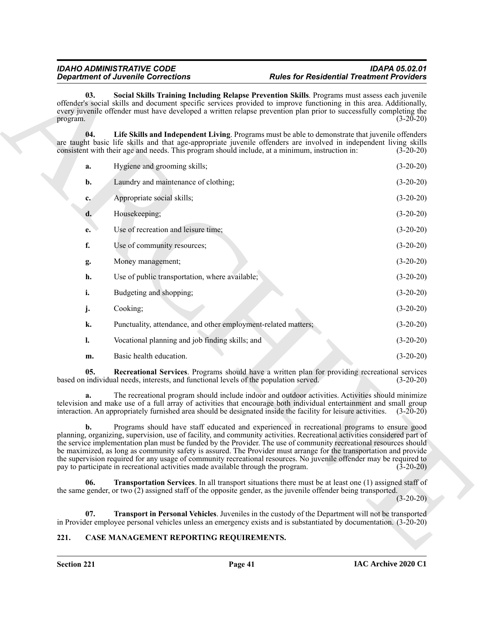#### <span id="page-40-4"></span><span id="page-40-2"></span>*IDAHO ADMINISTRATIVE CODE IDAPA 05.02.01 Rules for Residential Treatment Providers*

|                 | <b>Department of Juvenile Corrections</b>                                             | <b>Rules for Residential Treatment Providers</b>                                                                                                                                                                                                                                                                                                                                                                                                                                                                                                                                           |             |
|-----------------|---------------------------------------------------------------------------------------|--------------------------------------------------------------------------------------------------------------------------------------------------------------------------------------------------------------------------------------------------------------------------------------------------------------------------------------------------------------------------------------------------------------------------------------------------------------------------------------------------------------------------------------------------------------------------------------------|-------------|
| 03.<br>program. |                                                                                       | Social Skills Training Including Relapse Prevention Skills. Programs must assess each juvenile<br>offender's social skills and document specific services provided to improve functioning in this area. Additionally,<br>every juvenile offender must have developed a written relapse prevention plan prior to successfully completing the                                                                                                                                                                                                                                                | $(3-20-20)$ |
| 04.             |                                                                                       | Life Skills and Independent Living. Programs must be able to demonstrate that juvenile offenders<br>are taught basic life skills and that age-appropriate juvenile offenders are involved in independent living skills<br>consistent with their age and needs. This program should include, at a minimum, instruction in:                                                                                                                                                                                                                                                                  | $(3-20-20)$ |
| a.              | Hygiene and grooming skills;                                                          |                                                                                                                                                                                                                                                                                                                                                                                                                                                                                                                                                                                            | $(3-20-20)$ |
| b.              | Laundry and maintenance of clothing;                                                  |                                                                                                                                                                                                                                                                                                                                                                                                                                                                                                                                                                                            | $(3-20-20)$ |
| c.              | Appropriate social skills;                                                            |                                                                                                                                                                                                                                                                                                                                                                                                                                                                                                                                                                                            | $(3-20-20)$ |
| d.              | Housekeeping;                                                                         |                                                                                                                                                                                                                                                                                                                                                                                                                                                                                                                                                                                            | $(3-20-20)$ |
| e.              | Use of recreation and leisure time;                                                   |                                                                                                                                                                                                                                                                                                                                                                                                                                                                                                                                                                                            | $(3-20-20)$ |
| f.              | Use of community resources;                                                           |                                                                                                                                                                                                                                                                                                                                                                                                                                                                                                                                                                                            | $(3-20-20)$ |
| g.              | Money management;                                                                     |                                                                                                                                                                                                                                                                                                                                                                                                                                                                                                                                                                                            | $(3-20-20)$ |
| h.              | Use of public transportation, where available;                                        |                                                                                                                                                                                                                                                                                                                                                                                                                                                                                                                                                                                            | $(3-20-20)$ |
| i.              | Budgeting and shopping;                                                               |                                                                                                                                                                                                                                                                                                                                                                                                                                                                                                                                                                                            | $(3-20-20)$ |
| j.              | Cooking;                                                                              |                                                                                                                                                                                                                                                                                                                                                                                                                                                                                                                                                                                            | $(3-20-20)$ |
| k.              | Punctuality, attendance, and other employment-related matters;                        |                                                                                                                                                                                                                                                                                                                                                                                                                                                                                                                                                                                            | $(3-20-20)$ |
| l.              | Vocational planning and job finding skills; and                                       |                                                                                                                                                                                                                                                                                                                                                                                                                                                                                                                                                                                            | $(3-20-20)$ |
| m.              | Basic health education.                                                               |                                                                                                                                                                                                                                                                                                                                                                                                                                                                                                                                                                                            | $(3-20-20)$ |
| 05.             | based on individual needs, interests, and functional levels of the population served. | Recreational Services. Programs should have a written plan for providing recreational services                                                                                                                                                                                                                                                                                                                                                                                                                                                                                             | $(3-20-20)$ |
| a.              |                                                                                       | The recreational program should include indoor and outdoor activities. Activities should minimize<br>television and make use of a full array of activities that encourage both individual entertainment and small group<br>interaction. An appropriately furnished area should be designated inside the facility for leisure activities. (3-20-20)                                                                                                                                                                                                                                         |             |
| $\mathbf{b}$ .  | pay to participate in recreational activities made available through the program.     | Programs should have staff educated and experienced in recreational programs to ensure good<br>planning, organizing, supervision, use of facility, and community activities. Recreational activities considered part of<br>the service implementation plan must be funded by the Provider. The use of community recreational resources should<br>be maximized, as long as community safety is assured. The Provider must arrange for the transportation and provide<br>the supervision required for any usage of community recreational resources. No juvenile offender may be required to | $(3-20-20)$ |
| 06.             |                                                                                       | <b>Transportation Services.</b> In all transport situations there must be at least one (1) assigned staff of<br>the same gender, or two $(2)$ assigned staff of the opposite gender, as the juvenile offender being transported.                                                                                                                                                                                                                                                                                                                                                           | $(3-20-20)$ |
| 07.             |                                                                                       | Transport in Personal Vehicles. Juveniles in the custody of the Department will not be transported<br>in Provider employee personal vehicles unless an emergency exists and is substantiated by documentation. (3-20-20)                                                                                                                                                                                                                                                                                                                                                                   |             |
| 221.            | CASE MANAGEMENT REPORTING REQUIREMENTS.                                               |                                                                                                                                                                                                                                                                                                                                                                                                                                                                                                                                                                                            |             |

### <span id="page-40-5"></span><span id="page-40-3"></span><span id="page-40-1"></span><span id="page-40-0"></span>**221. CASE MANAGEMENT REPORTING REQUIREMENTS.**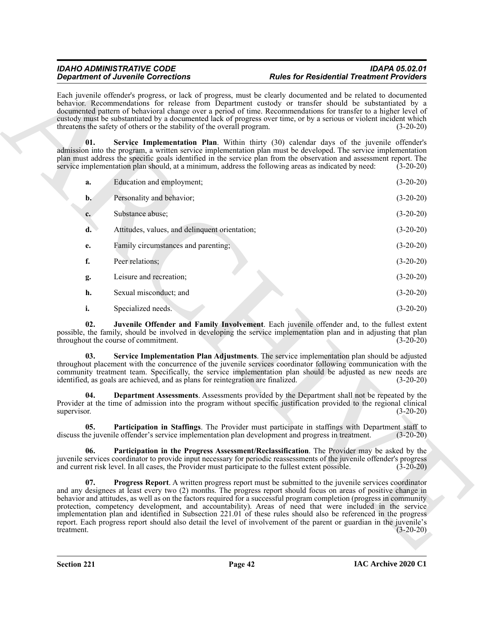#### <span id="page-41-5"></span><span id="page-41-4"></span><span id="page-41-3"></span><span id="page-41-2"></span><span id="page-41-1"></span><span id="page-41-0"></span>*IDAHO ADMINISTRATIVE CODE IDAPA 05.02.01 Rules for Residential Treatment Providers*

|                    | <b>Department of Juvenile Corrections</b>                                                           | <b>Rules for Residential Treatment Providers</b>                                                                                                                                                                                                                                                                                                                                                                                                                                                                                                                                                                                                                                                       |             |
|--------------------|-----------------------------------------------------------------------------------------------------|--------------------------------------------------------------------------------------------------------------------------------------------------------------------------------------------------------------------------------------------------------------------------------------------------------------------------------------------------------------------------------------------------------------------------------------------------------------------------------------------------------------------------------------------------------------------------------------------------------------------------------------------------------------------------------------------------------|-------------|
|                    | threatens the safety of others or the stability of the overall program.                             | Each juvenile offender's progress, or lack of progress, must be clearly documented and be related to documented<br>behavior. Recommendations for release from Department custody or transfer should be substantiated by a<br>documented pattern of behavioral change over a period of time. Recommendations for transfer to a higher level of<br>custody must be substantiated by a documented lack of progress over time, or by a serious or violent incident which                                                                                                                                                                                                                                   | $(3-20-20)$ |
| 01.                |                                                                                                     | Service Implementation Plan. Within thirty (30) calendar days of the juvenile offender's<br>admission into the program, a written service implementation plan must be developed. The service implementation<br>plan must address the specific goals identified in the service plan from the observation and assessment report. The<br>service implementation plan should, at a minimum, address the following areas as indicated by need:                                                                                                                                                                                                                                                              | $(3-20-20)$ |
| a.                 | Education and employment;                                                                           |                                                                                                                                                                                                                                                                                                                                                                                                                                                                                                                                                                                                                                                                                                        | $(3-20-20)$ |
| $\mathbf{b}$ .     | Personality and behavior;                                                                           |                                                                                                                                                                                                                                                                                                                                                                                                                                                                                                                                                                                                                                                                                                        | $(3-20-20)$ |
| $c_{\cdot}$        | Substance abuse;                                                                                    |                                                                                                                                                                                                                                                                                                                                                                                                                                                                                                                                                                                                                                                                                                        | $(3-20-20)$ |
| d.                 | Attitudes, values, and delinquent orientation;                                                      |                                                                                                                                                                                                                                                                                                                                                                                                                                                                                                                                                                                                                                                                                                        | $(3-20-20)$ |
| e.                 | Family circumstances and parenting;                                                                 |                                                                                                                                                                                                                                                                                                                                                                                                                                                                                                                                                                                                                                                                                                        | $(3-20-20)$ |
| f.                 | Peer relations;                                                                                     |                                                                                                                                                                                                                                                                                                                                                                                                                                                                                                                                                                                                                                                                                                        | $(3-20-20)$ |
| g.                 | Leisure and recreation;                                                                             |                                                                                                                                                                                                                                                                                                                                                                                                                                                                                                                                                                                                                                                                                                        | $(3-20-20)$ |
| h.                 | Sexual misconduct; and                                                                              |                                                                                                                                                                                                                                                                                                                                                                                                                                                                                                                                                                                                                                                                                                        | $(3-20-20)$ |
| i.                 | Specialized needs.                                                                                  |                                                                                                                                                                                                                                                                                                                                                                                                                                                                                                                                                                                                                                                                                                        | $(3-20-20)$ |
| 02.                | throughout the course of commitment.                                                                | Juvenile Offender and Family Involvement. Each juvenile offender and, to the fullest extent<br>possible, the family, should be involved in developing the service implementation plan and in adjusting that plan                                                                                                                                                                                                                                                                                                                                                                                                                                                                                       | $(3-20-20)$ |
| 03.                | identified, as goals are achieved, and as plans for reintegration are finalized.                    | Service Implementation Plan Adjustments. The service implementation plan should be adjusted<br>throughout placement with the concurrence of the juvenile services coordinator following communication with the<br>community treatment team. Specifically, the service implementation plan should be adjusted as new needs are                                                                                                                                                                                                                                                                                                                                                                          | $(3-20-20)$ |
| 04.<br>supervisor. |                                                                                                     | Department Assessments. Assessments provided by the Department shall not be repeated by the<br>Provider at the time of admission into the program without specific justification provided to the regional clinical                                                                                                                                                                                                                                                                                                                                                                                                                                                                                     | $(3-20-20)$ |
| 05.                |                                                                                                     | Participation in Staffings. The Provider must participate in staffings with Department staff to<br>discuss the juvenile offender's service implementation plan development and progress in treatment.                                                                                                                                                                                                                                                                                                                                                                                                                                                                                                  | $(3-20-20)$ |
| 06.                | and current risk level. In all cases, the Provider must participate to the fullest extent possible. | Participation in the Progress Assessment/Reclassification. The Provider may be asked by the<br>juvenile services coordinator to provide input necessary for periodic reassessments of the juvenile offender's progress                                                                                                                                                                                                                                                                                                                                                                                                                                                                                 | $(3-20-20)$ |
| 07.<br>treatment.  |                                                                                                     | Progress Report. A written progress report must be submitted to the juvenile services coordinator<br>and any designees at least every two (2) months. The progress report should focus on areas of positive change in<br>behavior and attitudes, as well as on the factors required for a successful program completion (progress in community<br>protection, competency development, and accountability). Areas of need that were included in the service<br>implementation plan and identified in Subsection 221.01 of these rules should also be referenced in the progress<br>report. Each progress report should also detail the level of involvement of the parent or guardian in the juvenile's | $(3-20-20)$ |
|                    |                                                                                                     |                                                                                                                                                                                                                                                                                                                                                                                                                                                                                                                                                                                                                                                                                                        |             |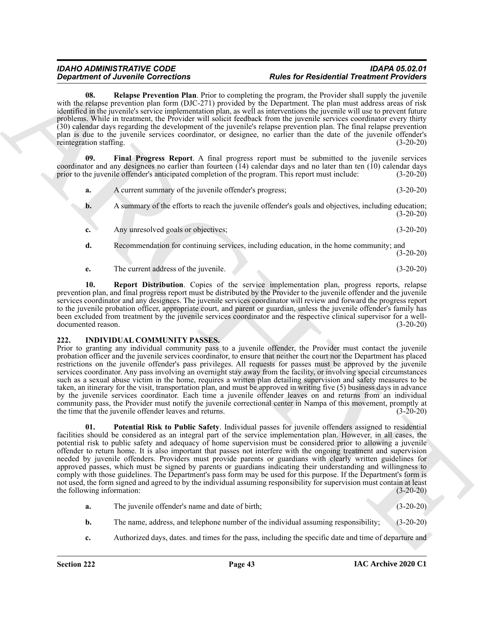<span id="page-42-2"></span>**08. Relapse Prevention Plan**. Prior to completing the program, the Provider shall supply the juvenile with the relapse prevention plan form (DJC-271) provided by the Department. The plan must address areas of risk identified in the juvenile's service implementation plan, as well as interventions the juvenile will use to prevent future problems. While in treatment, the Provider will solicit feedback from the juvenile services coordinator every thirty (30) calendar days regarding the development of the juvenile's relapse prevention plan. The final relapse prevention plan is due to the juvenile services coordinator, or designee, no earlier than the date of the juvenile offender's reintegration staffing.

**09. Final Progress Report**. A final progress report must be submitted to the juvenile services coordinator and any designees no earlier than fourteen (14) calendar days and no later than ten (10) calendar days prior to the juvenile offender's anticipated completion of the program. This report must include: (3-20-20)

- <span id="page-42-1"></span>**a.** A current summary of the juvenile offender's progress; (3-20-20) **b.** A summary of the efforts to reach the juvenile offender's goals and objectives, including education; (3-20-20) **c.** Any unresolved goals or objectives; (3-20-20) **d.** Recommendation for continuing services, including education, in the home community; and (3-20-20)
- <span id="page-42-3"></span>**e.** The current address of the juvenile. (3-20-20)

**10. Report Distribution**. Copies of the service implementation plan, progress reports, relapse prevention plan, and final progress report must be distributed by the Provider to the juvenile offender and the juvenile services coordinator and any designees. The juvenile services coordinator will review and forward the progress report to the juvenile probation officer, appropriate court, and parent or guardian, unless the juvenile offender's family has been excluded from treatment by the juvenile services coordinator and the respective clinical supervisor for a welldocumented reason. (3-20-20)

### <span id="page-42-4"></span><span id="page-42-0"></span>**222. INDIVIDUAL COMMUNITY PASSES.**

Prior to granting any individual community pass to a juvenile offender, the Provider must contact the juvenile probation officer and the juvenile services coordinator, to ensure that neither the court nor the Department has placed restrictions on the juvenile offender's pass privileges. All requests for passes must be approved by the juvenile services coordinator. Any pass involving an overnight stay away from the facility, or involving special circumstances such as a sexual abuse victim in the home, requires a written plan detailing supervision and safety measures to be taken, an itinerary for the visit, transportation plan, and must be approved in writing five (5) business days in advance by the juvenile services coordinator. Each time a juvenile offender leaves on and returns from an individual community pass, the Provider must notify the juvenile correctional center in Nampa of this movement, promptly at the time that the juvenile offender leaves and returns. (3-20-20)

**Considered** *Considered Final Paper* **Lemma Final Paper Lemma Final Paper Residential Paperina Section 2011**<br>
ARCHIVES CONSIDERED TRANSFERS (CONSIDERED PAPER DESCRIPTION AND EXPERIENCE CONSIDERED FINAL PAPER DESCRIPTION CO **01. Potential Risk to Public Safety**. Individual passes for juvenile offenders assigned to residential facilities should be considered as an integral part of the service implementation plan. However, in all cases, the potential risk to public safety and adequacy of home supervision must be considered prior to allowing a juvenile offender to return home. It is also important that passes not interfere with the ongoing treatment and supervision needed by juvenile offenders. Providers must provide parents or guardians with clearly written guidelines for approved passes, which must be signed by parents or guardians indicating their understanding and willingness to comply with those guidelines. The Department's pass form may be used for this purpose. If the Department's form is not used, the form signed and agreed to by the individual assuming responsibility for supervision must contain at least the following information: (3-20-20)

- <span id="page-42-5"></span>**a.** The juvenile offender's name and date of birth; (3-20-20)
- **b.** The name, address, and telephone number of the individual assuming responsibility; (3-20-20)
- **c.** Authorized days, dates. and times for the pass, including the specific date and time of departure and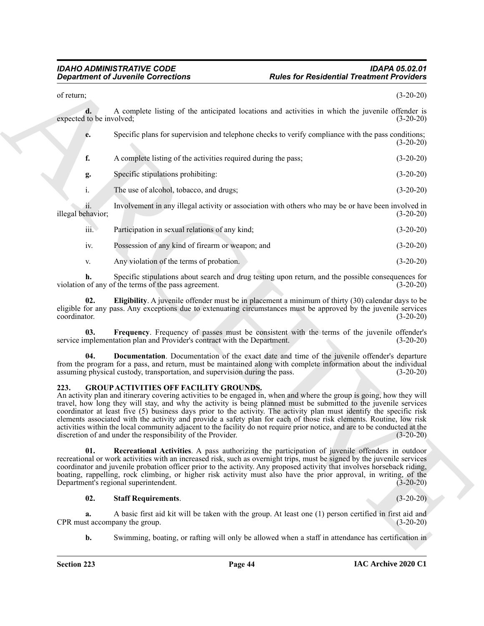|                                | <b>Department of Juvenile Corrections</b>                                                                    | <b>Rules for Residential Treatment Providers</b>                                                                                                                                                                                                                                                                                                                                                                                                                                                                                                                                                                       |             |
|--------------------------------|--------------------------------------------------------------------------------------------------------------|------------------------------------------------------------------------------------------------------------------------------------------------------------------------------------------------------------------------------------------------------------------------------------------------------------------------------------------------------------------------------------------------------------------------------------------------------------------------------------------------------------------------------------------------------------------------------------------------------------------------|-------------|
| of return;                     |                                                                                                              |                                                                                                                                                                                                                                                                                                                                                                                                                                                                                                                                                                                                                        | $(3-20-20)$ |
| d.<br>expected to be involved; |                                                                                                              | A complete listing of the anticipated locations and activities in which the juvenile offender is                                                                                                                                                                                                                                                                                                                                                                                                                                                                                                                       | $(3-20-20)$ |
| e.                             |                                                                                                              | Specific plans for supervision and telephone checks to verify compliance with the pass conditions;                                                                                                                                                                                                                                                                                                                                                                                                                                                                                                                     | $(3-20-20)$ |
| f.                             | A complete listing of the activities required during the pass;                                               |                                                                                                                                                                                                                                                                                                                                                                                                                                                                                                                                                                                                                        | $(3-20-20)$ |
| g.                             | Specific stipulations prohibiting:                                                                           |                                                                                                                                                                                                                                                                                                                                                                                                                                                                                                                                                                                                                        | $(3-20-20)$ |
| i.                             | The use of alcohol, tobacco, and drugs;                                                                      |                                                                                                                                                                                                                                                                                                                                                                                                                                                                                                                                                                                                                        | $(3-20-20)$ |
| ii.<br>illegal behavior;       |                                                                                                              | Involvement in any illegal activity or association with others who may be or have been involved in                                                                                                                                                                                                                                                                                                                                                                                                                                                                                                                     | $(3-20-20)$ |
| $\overline{\text{iii}}$ .      | Participation in sexual relations of any kind;                                                               |                                                                                                                                                                                                                                                                                                                                                                                                                                                                                                                                                                                                                        | $(3-20-20)$ |
| iv.                            | Possession of any kind of firearm or weapon; and                                                             |                                                                                                                                                                                                                                                                                                                                                                                                                                                                                                                                                                                                                        | $(3-20-20)$ |
| V.                             | Any violation of the terms of probation.                                                                     |                                                                                                                                                                                                                                                                                                                                                                                                                                                                                                                                                                                                                        | $(3-20-20)$ |
| h.                             | violation of any of the terms of the pass agreement.                                                         | Specific stipulations about search and drug testing upon return, and the possible consequences for                                                                                                                                                                                                                                                                                                                                                                                                                                                                                                                     | $(3-20-20)$ |
| 02.<br>coordinator.            |                                                                                                              | Eligibility. A juvenile offender must be in placement a minimum of thirty (30) calendar days to be<br>eligible for any pass. Any exceptions due to extenuating circumstances must be approved by the juvenile services                                                                                                                                                                                                                                                                                                                                                                                                 | $(3-20-20)$ |
| 03.                            | service implementation plan and Provider's contract with the Department.                                     | Frequency. Frequency of passes must be consistent with the terms of the juvenile offender's                                                                                                                                                                                                                                                                                                                                                                                                                                                                                                                            | $(3-20-20)$ |
| 04.                            | assuming physical custody, transportation, and supervision during the pass.                                  | Documentation. Documentation of the exact date and time of the juvenile offender's departure<br>from the program for a pass, and return, must be maintained along with complete information about the individual                                                                                                                                                                                                                                                                                                                                                                                                       | $(3-20-20)$ |
| 223.                           | <b>GROUP ACTIVITIES OFF FACILITY GROUNDS.</b><br>discretion of and under the responsibility of the Provider. | An activity plan and itinerary covering activities to be engaged in, when and where the group is going, how they will<br>travel, how long they will stay, and why the activity is being planned must be submitted to the juvenile services<br>coordinator at least five (5) business days prior to the activity. The activity plan must identify the specific risk<br>elements associated with the activity and provide a safety plan for each of those risk elements. Routine, low risk<br>activities within the local community adjacent to the facility do not require prior notice, and are to be conducted at the | $(3-20-20)$ |
| 01.                            | Department's regional superintendent.                                                                        | Recreational Activities. A pass authorizing the participation of juvenile offenders in outdoor<br>recreational or work activities with an increased risk, such as overnight trips, must be signed by the juvenile services<br>coordinator and juvenile probation officer prior to the activity. Any proposed activity that involves horseback riding,<br>boating, rappelling, rock climbing, or higher risk activity must also have the prior approval, in writing, of the                                                                                                                                             | $(3-20-20)$ |
| 02.                            | <b>Staff Requirements.</b>                                                                                   |                                                                                                                                                                                                                                                                                                                                                                                                                                                                                                                                                                                                                        | $(3-20-20)$ |
| a.                             | CPR must accompany the group.                                                                                | A basic first aid kit will be taken with the group. At least one (1) person certified in first aid and                                                                                                                                                                                                                                                                                                                                                                                                                                                                                                                 | $(3-20-20)$ |
| b.                             |                                                                                                              | Swimming, boating, or rafting will only be allowed when a staff in attendance has certification in                                                                                                                                                                                                                                                                                                                                                                                                                                                                                                                     |             |

#### <span id="page-43-6"></span><span id="page-43-5"></span><span id="page-43-4"></span><span id="page-43-1"></span><span id="page-43-0"></span>**223. GROUP ACTIVITIES OFF FACILITY GROUNDS.**

#### <span id="page-43-3"></span><span id="page-43-2"></span>**02. Staff Requirements**. (3-20-20)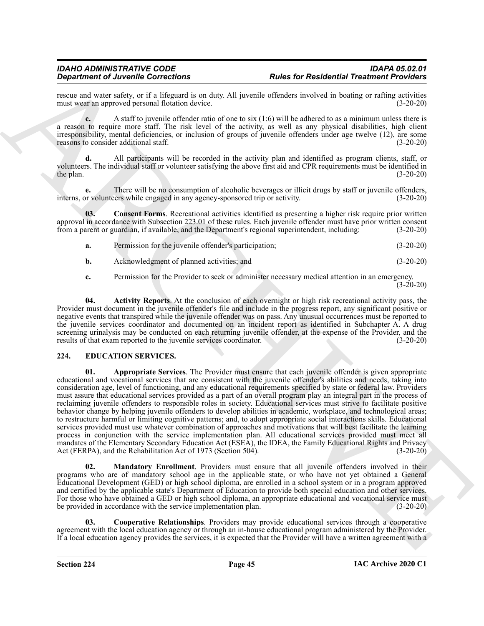rescue and water safety, or if a lifeguard is on duty. All juvenile offenders involved in boating or rafting activities must wear an approved personal flotation device. must wear an approved personal flotation device.

**c.** A staff to juvenile offender ratio of one to six (1:6) will be adhered to as a minimum unless there is a reason to require more staff. The risk level of the activity, as well as any physical disabilities, high client irresponsibility, mental deficiencies, or inclusion of groups of juvenile offenders under age twelve (12), are some reasons to consider additional staff. reasons to consider additional staff.

**d.** All participants will be recorded in the activity plan and identified as program clients, staff, or volunteers. The individual staff or volunteer satisfying the above first aid and CPR requirements must be identified in the plan.  $(3-20-20)$ 

**e.** There will be no consumption of alcoholic beverages or illicit drugs by staff or juvenile offenders, interns, or volunteers while engaged in any agency-sponsored trip or activity. (3-20-20)

**03.** Consent Forms. Recreational activities identified as presenting a higher risk require prior written approval in accordance with Subsection 223.01 of these rules. Each juvenile offender must have prior written consent from a parent or guardian, if available, and the Department's regional superintendent, including: (3-20-20)

<span id="page-44-6"></span>**a.** Permission for the juvenile offender's participation; (3-20-20)

**b.** Acknowledgment of planned activities; and (3-20-20)

<span id="page-44-5"></span>**c.** Permission for the Provider to seek or administer necessary medical attention in an emergency.  $(3-20-20)$ 

**04. Activity Reports**. At the conclusion of each overnight or high risk recreational activity pass, the Provider must document in the juvenile offender's file and include in the progress report, any significant positive or negative events that transpired while the juvenile offender was on pass. Any unusual occurrences must be reported to the juvenile services coordinator and documented on an incident report as identified in Subchapter A. A drug screening urinalysis may be conducted on each returning juvenile offender, at the expense of the Provider, and the results of that exam reported to the juvenile services coordinator. (3-20-20)

#### <span id="page-44-2"></span><span id="page-44-1"></span><span id="page-44-0"></span>**224. EDUCATION SERVICES.**

**Experiment of Alexander Controlling and The Controlling Controlling and the Controlling and the Controlling and the Controlling and the Controlling and the Controlling and the Controlling and the Controlling and the Cont 01. Appropriate Services**. The Provider must ensure that each juvenile offender is given appropriate educational and vocational services that are consistent with the juvenile offender's abilities and needs, taking into consideration age, level of functioning, and any educational requirements specified by state or federal law. Providers must assure that educational services provided as a part of an overall program play an integral part in the process of reclaiming juvenile offenders to responsible roles in society. Educational services must strive to facilitate positive behavior change by helping juvenile offenders to develop abilities in academic, workplace, and technological areas; to restructure harmful or limiting cognitive patterns; and, to adopt appropriate social interactions skills. Educational services provided must use whatever combination of approaches and motivations that will best facilitate the learning process in conjunction with the service implementation plan. All educational services provided must meet all mandates of the Elementary Secondary Education Act (ESEA), the IDEA, the Family Educational Rights and Privacy<br>Act (FERPA), and the Rehabilitation Act of 1973 (Section 504). (3-20-20) Act (FERPA), and the Rehabilitation Act of 1973 (Section 504).

<span id="page-44-4"></span>**02. Mandatory Enrollment**. Providers must ensure that all juvenile offenders involved in their programs who are of mandatory school age in the applicable state, or who have not yet obtained a General Educational Development (GED) or high school diploma, are enrolled in a school system or in a program approved and certified by the applicable state's Department of Education to provide both special education and other services. For those who have obtained a GED or high school diploma, an appropriate educational and vocational service must be provided in accordance with the service implementation plan. (3-20-20)

<span id="page-44-3"></span>**03. Cooperative Relationships**. Providers may provide educational services through a cooperative agreement with the local education agency or through an in-house educational program administered by the Provider. If a local education agency provides the services, it is expected that the Provider will have a written agreement with a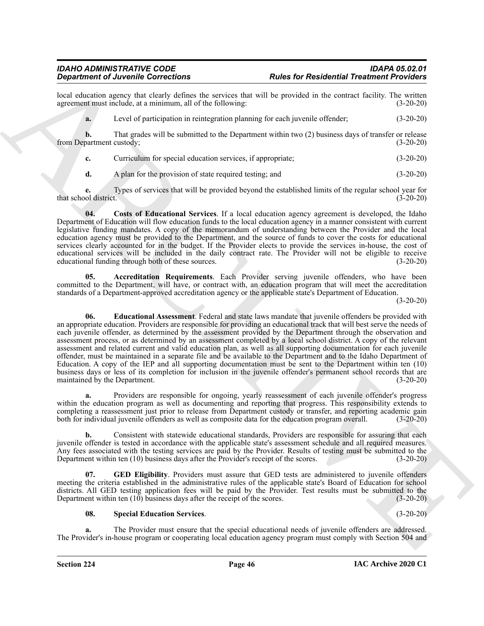local education agency that clearly defines the services that will be provided in the contract facility. The written agreement must include, at a minimum, all of the following: (3-20-20) agreement must include, at a minimum, all of the following:

**a.** Level of participation in reintegration planning for each juvenile offender; (3-20-20)

**b.** That grades will be submitted to the Department within two (2) business days of transfer or release partment custody; (3-20-20) from Department custody;

**c.** Curriculum for special education services, if appropriate; (3-20-20)

<span id="page-45-1"></span>**d.** A plan for the provision of state required testing; and (3-20-20)

**e.** Types of services that will be provided beyond the established limits of the regular school year for that school district.  $(3-20-20)$ 

**04. Costs of Educational Services**. If a local education agency agreement is developed, the Idaho Department of Education will flow education funds to the local education agency in a manner consistent with current legislative funding mandates. A copy of the memorandum of understanding between the Provider and the local education agency must be provided to the Department, and the source of funds to cover the costs for educational services clearly accounted for in the budget. If the Provider elects to provide the services in-house, the cost of educational services will be included in the daily contract rate. The Provider will not be eligible to receive educational funding through both of these sources. (3-20-20)

<span id="page-45-2"></span><span id="page-45-0"></span>**05. Accreditation Requirements**. Each Provider serving juvenile offenders, who have been committed to the Department, will have, or contract with, an education program that will meet the accreditation standards of a Department-approved accreditation agency or the applicable state's Department of Education.

(3-20-20)

**Statistics of Architecture But the Control of Architecture Control of Architecture Control of Architecture Control of Architecture Control of Architecture Control of Architecture Control of Architecture Control of Arch 06. Educational Assessment**. Federal and state laws mandate that juvenile offenders be provided with an appropriate education. Providers are responsible for providing an educational track that will best serve the needs of each juvenile offender, as determined by the assessment provided by the Department through the observation and assessment process, or as determined by an assessment completed by a local school district. A copy of the relevant assessment and related current and valid education plan, as well as all supporting documentation for each juvenile offender, must be maintained in a separate file and be available to the Department and to the Idaho Department of Education. A copy of the IEP and all supporting documentation must be sent to the Department within ten (10) business days or less of its completion for inclusion in the juvenile offender's permanent school records that are maintained by the Department. (3-20-20)

**a.** Providers are responsible for ongoing, yearly reassessment of each juvenile offender's progress within the education program as well as documenting and reporting that progress. This responsibility extends to completing a reassessment just prior to release from Department custody or transfer, and reporting academic gain both for individual juvenile offenders as well as composite data for the education program overall. (3-20-20)

**b.** Consistent with statewide educational standards, Providers are responsible for assuring that each juvenile offender is tested in accordance with the applicable state's assessment schedule and all required measures. Any fees associated with the testing services are paid by the Provider. Results of testing must be submitted to the Department within ten (10) business days after the Provider's receipt of the scores. (3-20-20)

**07. GED Eligibility**. Providers must assure that GED tests are administered to juvenile offenders meeting the criteria established in the administrative rules of the applicable state's Board of Education for school districts. All GED testing application fees will be paid by the Provider. Test results must be submitted to the Department within ten (10) business days after the receipt of the scores. (3-20-20)

<span id="page-45-4"></span><span id="page-45-3"></span>**08. Special Education Services**. (3-20-20)

**a.** The Provider must ensure that the special educational needs of juvenile offenders are addressed. The Provider's in-house program or cooperating local education agency program must comply with Section 504 and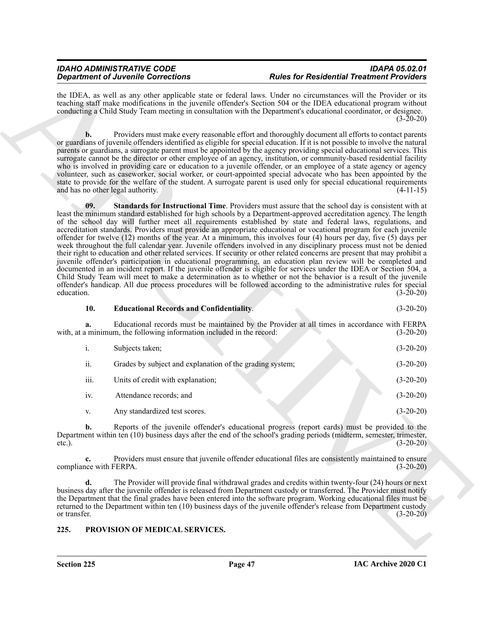the IDEA, as well as any other applicable state or federal laws. Under no circumstances will the Provider or its teaching staff make modifications in the juvenile offender's Section 504 or the IDEA educational program without conducting a Child Study Team meeting in consultation with the Department's educational coordinator, or designee.  $(3 - 20 - 20)$ 

<span id="page-46-2"></span>**b.** Providers must make every reasonable effort and thoroughly document all efforts to contact parents or guardians of juvenile offenders identified as eligible for special education. If it is not possible to involve the natural parents or guardians, a surrogate parent must be appointed by the agency providing special educational services. This surrogate cannot be the director or other employee of an agency, institution, or community-based residential facility who is involved in providing care or education to a juvenile offender, or an employee of a state agency or agency volunteer, such as caseworker, social worker, or court-appointed special advocate who has been appointed by the state to provide for the welfare of the student. A surrogate parent is used only for special educational requirements and has no other legal authority. (4-11-15) and has no other legal authority.

**Experiment of Alternative Controllers** of Alternative Schematic Controllers (Festival Pressing Controllers (Festival Pressing Controllers (Festival Pressing Controllers (Festival Pressing Controllers (Festival Pressing C **09. Standards for Instructional Time**. Providers must assure that the school day is consistent with at least the minimum standard established for high schools by a Department-approved accreditation agency. The length of the school day will further meet all requirements established by state and federal laws, regulations, and accreditation standards. Providers must provide an appropriate educational or vocational program for each juvenile offender for twelve (12) months of the year. At a minimum, this involves four (4) hours per day, five (5) days per week throughout the full calendar year. Juvenile offenders involved in any disciplinary process must not be denied their right to education and other related services. If security or other related concerns are present that may prohibit a juvenile offender's participation in educational programming, an education plan review will be completed and documented in an incident report. If the juvenile offender is eligible for services under the IDEA or Section 504, a Child Study Team will meet to make a determination as to whether or not the behavior is a result of the juvenile offender's handicap. All due process procedures will be followed according to the administrative rules for special education. (3-20-20)

#### <span id="page-46-1"></span>**10. Educational Records and Confidentiality**. (3-20-20)

**a.** Educational records must be maintained by the Provider at all times in accordance with FERPA with, at a minimum, the following information included in the record: (3-20-20) (3-20-20)

| $\overline{1}$ . | Subjects taken;                                          | $(3-20-20)$ |
|------------------|----------------------------------------------------------|-------------|
| ii.              | Grades by subject and explanation of the grading system; | $(3-20-20)$ |
| iii.             | Units of credit with explanation;                        | $(3-20-20)$ |
| iv.              | Attendance records; and                                  | $(3-20-20)$ |
| V.               | Any standardized test scores.                            | $(3-20-20)$ |

**b.** Reports of the juvenile offender's educational progress (report cards) must be provided to the Department within ten (10) business days after the end of the school's grading periods (midterm, semester, trimester, etc.). (3-20-20)

**c.** Providers must ensure that juvenile offender educational files are consistently maintained to ensure compliance with FERPA. (3-20-20)

**d.** The Provider will provide final withdrawal grades and credits within twenty-four (24) hours or next business day after the juvenile offender is released from Department custody or transferred. The Provider must notify the Department that the final grades have been entered into the software program. Working educational files must be returned to the Department within ten (10) business days of the juvenile offender's release from Department custody or transfer. (3-20-20)

#### <span id="page-46-3"></span><span id="page-46-0"></span>**225. PROVISION OF MEDICAL SERVICES.**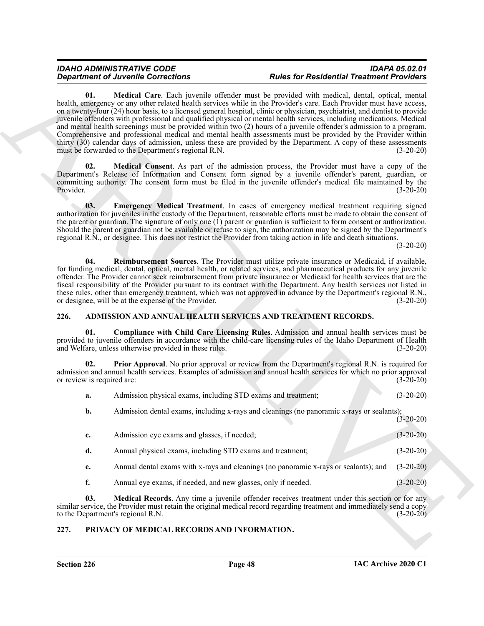#### <span id="page-47-9"></span><span id="page-47-8"></span>*IDAHO ADMINISTRATIVE CODE IDAPA 05.02.01 Rules for Residential Treatment Providers*

#### <span id="page-47-10"></span><span id="page-47-7"></span><span id="page-47-5"></span><span id="page-47-3"></span><span id="page-47-2"></span><span id="page-47-0"></span>**226. ADMISSION AND ANNUAL HEALTH SERVICES AND TREATMENT RECORDS.**

|      |                  | <b>Department of Juvenile Corrections</b>                     | <b>Rules for Residential Treatment Providers</b>                                                                                                                                                                                                                                                                                                                                                                                                                                                                                                                                                                                                                                                                                                                                                                                       |             |
|------|------------------|---------------------------------------------------------------|----------------------------------------------------------------------------------------------------------------------------------------------------------------------------------------------------------------------------------------------------------------------------------------------------------------------------------------------------------------------------------------------------------------------------------------------------------------------------------------------------------------------------------------------------------------------------------------------------------------------------------------------------------------------------------------------------------------------------------------------------------------------------------------------------------------------------------------|-------------|
|      | 01.              | must be forwarded to the Department's regional R.N.           | Medical Care. Each juvenile offender must be provided with medical, dental, optical, mental<br>health, emergency or any other related health services while in the Provider's care. Each Provider must have access,<br>on a twenty-four (24) hour basis, to a licensed general hospital, clinic or physician, psychiatrist, and dentist to provide<br>juvenile offenders with professional and qualified physical or mental health services, including medications. Medical<br>and mental health screenings must be provided within two (2) hours of a juvenile offender's admission to a program.<br>Comprehensive and professional medical and mental health assessments must be provided by the Provider within<br>thirty (30) calendar days of admission, unless these are provided by the Department. A copy of these assessments | $(3-20-20)$ |
|      | 02.<br>Provider. |                                                               | Medical Consent. As part of the admission process, the Provider must have a copy of the<br>Department's Release of Information and Consent form signed by a juvenile offender's parent, guardian, or<br>committing authority. The consent form must be filed in the juvenile offender's medical file maintained by the                                                                                                                                                                                                                                                                                                                                                                                                                                                                                                                 | $(3-20-20)$ |
|      | 03.              |                                                               | Emergency Medical Treatment. In cases of emergency medical treatment requiring signed<br>authorization for juveniles in the custody of the Department, reasonable efforts must be made to obtain the consent of<br>the parent or guardian. The signature of only one $(1)$ parent or guardian is sufficient to form consent or authorization.<br>Should the parent or guardian not be available or refuse to sign, the authorization may be signed by the Department's<br>regional R.N., or designee. This does not restrict the Provider from taking action in life and death situations.                                                                                                                                                                                                                                             | $(3-20-20)$ |
|      | 04.              | or designee, will be at the expense of the Provider.          | Reimbursement Sources. The Provider must utilize private insurance or Medicaid, if available,<br>for funding medical, dental, optical, mental health, or related services, and pharmaceutical products for any juvenile<br>offender. The Provider cannot seek reimbursement from private insurance or Medicaid for health services that are the<br>fiscal responsibility of the Provider pursuant to its contract with the Department. Any health services not listed in<br>these rules, other than emergency treatment, which was not approved in advance by the Department's regional R.N.,                                                                                                                                                                                                                                          | $(3-20-20)$ |
| 226. |                  |                                                               | ADMISSION AND ANNUAL HEALTH SERVICES AND TREATMENT RECORDS.                                                                                                                                                                                                                                                                                                                                                                                                                                                                                                                                                                                                                                                                                                                                                                            |             |
|      | 01.              | and Welfare, unless otherwise provided in these rules.        | Compliance with Child Care Licensing Rules. Admission and annual health services must be<br>provided to juvenile offenders in accordance with the child-care licensing rules of the Idaho Department of Health                                                                                                                                                                                                                                                                                                                                                                                                                                                                                                                                                                                                                         | $(3-20-20)$ |
|      | 02.              | or review is required are:                                    | <b>Prior Approval.</b> No prior approval or review from the Department's regional R.N. is required for<br>admission and annual health services. Examples of admission and annual health services for which no prior approval                                                                                                                                                                                                                                                                                                                                                                                                                                                                                                                                                                                                           | $(3-20-20)$ |
|      | a.               | Admission physical exams, including STD exams and treatment;  |                                                                                                                                                                                                                                                                                                                                                                                                                                                                                                                                                                                                                                                                                                                                                                                                                                        | $(3-20-20)$ |
|      | b.               |                                                               | Admission dental exams, including x-rays and cleanings (no panoramic x-rays or sealants);                                                                                                                                                                                                                                                                                                                                                                                                                                                                                                                                                                                                                                                                                                                                              | $(3-20-20)$ |
|      | c.               | Admission eye exams and glasses, if needed;                   |                                                                                                                                                                                                                                                                                                                                                                                                                                                                                                                                                                                                                                                                                                                                                                                                                                        | $(3-20-20)$ |
|      | d.               | Annual physical exams, including STD exams and treatment;     |                                                                                                                                                                                                                                                                                                                                                                                                                                                                                                                                                                                                                                                                                                                                                                                                                                        | $(3-20-20)$ |
|      | e.               |                                                               | Annual dental exams with x-rays and cleanings (no panoramic x-rays or sealants); and                                                                                                                                                                                                                                                                                                                                                                                                                                                                                                                                                                                                                                                                                                                                                   | $(3-20-20)$ |
|      | f.               | Annual eye exams, if needed, and new glasses, only if needed. |                                                                                                                                                                                                                                                                                                                                                                                                                                                                                                                                                                                                                                                                                                                                                                                                                                        | $(3-20-20)$ |
|      | 03.              | to the Department's regional R.N.                             | Medical Records. Any time a juvenile offender receives treatment under this section or for any<br>similar service, the Provider must retain the original medical record regarding treatment and immediately send a copy                                                                                                                                                                                                                                                                                                                                                                                                                                                                                                                                                                                                                | $(3-20-20)$ |
|      |                  |                                                               |                                                                                                                                                                                                                                                                                                                                                                                                                                                                                                                                                                                                                                                                                                                                                                                                                                        |             |

### <span id="page-47-6"></span><span id="page-47-4"></span><span id="page-47-1"></span>**227. PRIVACY OF MEDICAL RECORDS AND INFORMATION.**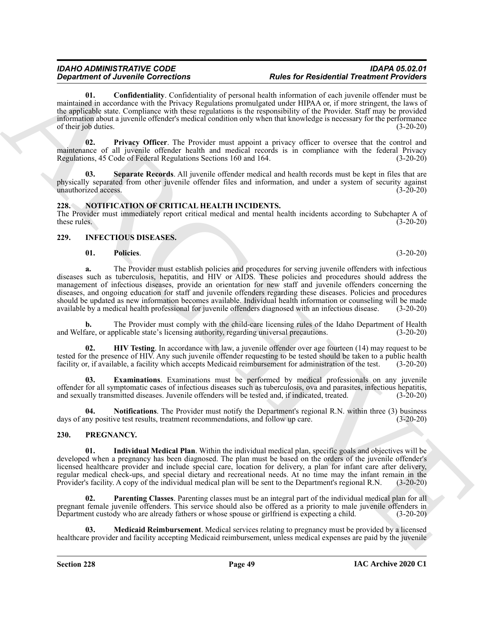<span id="page-48-13"></span>**01. Confidentiality**. Confidentiality of personal health information of each juvenile offender must be maintained in accordance with the Privacy Regulations promulgated under HIPAA or, if more stringent, the laws of the applicable state. Compliance with these regulations is the responsibility of the Provider. Staff may be provided information about a juvenile offender's medical condition only when that knowledge is necessary for the performance of their job duties. (3-20-20)

<span id="page-48-14"></span>**02. Privacy Officer**. The Provider must appoint a privacy officer to oversee that the control and maintenance of all juvenile offender health and medical records is in compliance with the federal Privacy Regulations, 45 Code of Federal Regulations Sections 160 and 164. (3-20-20)

<span id="page-48-15"></span>**03. Separate Records**. All juvenile offender medical and health records must be kept in files that are physically separated from other juvenile offender files and information, and under a system of security against unauthorized access. (3-20-20) unauthorized access.

### <span id="page-48-8"></span><span id="page-48-0"></span>**228. NOTIFICATION OF CRITICAL HEALTH INCIDENTS.**

The Provider must immediately report critical medical and mental health incidents according to Subchapter A of these rules. (3-20-20) these rules.  $(3-20-20)$ 

### <span id="page-48-1"></span>**229. INFECTIOUS DISEASES.**

#### <span id="page-48-7"></span><span id="page-48-3"></span>**01. Policies**. (3-20-20)

**Expansion of Architectures** (*Contentinal*) of prevent leads the Restricted Particular Contention (*Contention*) and the state of Restricted Particular Contents (*Contention*) and the state of Restriction (*Contention*) **a.** The Provider must establish policies and procedures for serving juvenile offenders with infectious diseases such as tuberculosis, hepatitis, and HIV or AIDS. These policies and procedures should address the management of infectious diseases, provide an orientation for new staff and juvenile offenders concerning the diseases, and ongoing education for staff and juvenile offenders regarding these diseases. Policies and procedures should be updated as new information becomes available. Individual health information or counseling will be made<br>available by a medical health professional for juvenile offenders diagnosed with an infectious disease. (3-20 available by a medical health professional for juvenile offenders diagnosed with an infectious disease.

**b.** The Provider must comply with the child-care licensing rules of the Idaho Department of Health fare, or applicable state's licensing authority, regarding universal precautions. (3-20-20) and Welfare, or applicable state's licensing authority, regarding universal precautions.

<span id="page-48-5"></span>**02. HIV Testing**. In accordance with law, a juvenile offender over age fourteen (14) may request to be tested for the presence of HIV. Any such juvenile offender requesting to be tested should be taken to a public health facility or, if available, a facility which accepts Medicaid reimbursement for administration of the test. (3-20-20)

<span id="page-48-4"></span>**03. Examinations**. Examinations must be performed by medical professionals on any juvenile offender for all symptomatic cases of infectious diseases such as tuberculosis, ova and parasites, infectious hepatitis, and sexually transmitted diseases. Juvenile offenders will be tested and, if indicated, treated. (3-20-20)

<span id="page-48-6"></span>**04. Notifications**. The Provider must notify the Department's regional R.N. within three (3) business days of any positive test results, treatment recommendations, and follow up care. (3-20-20)

### <span id="page-48-9"></span><span id="page-48-2"></span>**230. PREGNANCY.**

<span id="page-48-10"></span>**01. Individual Medical Plan**. Within the individual medical plan, specific goals and objectives will be developed when a pregnancy has been diagnosed. The plan must be based on the orders of the juvenile offender's licensed healthcare provider and include special care, location for delivery, a plan for infant care after delivery, regular medical check-ups, and special dietary and recreational needs. At no time may the infant remain in the<br>Provider's facility. A copy of the individual medical plan will be sent to the Department's regional R.N. (3-20 Provider's facility. A copy of the individual medical plan will be sent to the Department's regional R.N.

<span id="page-48-12"></span>**Parenting Classes**. Parenting classes must be an integral part of the individual medical plan for all pregnant female juvenile offenders. This service should also be offered as a priority to male juvenile offenders in Department custody who are already fathers or whose spouse or girlfriend is expecting a child. (3-20-20)

<span id="page-48-11"></span>**03. Medicaid Reimbursement**. Medical services relating to pregnancy must be provided by a licensed healthcare provider and facility accepting Medicaid reimbursement, unless medical expenses are paid by the juvenile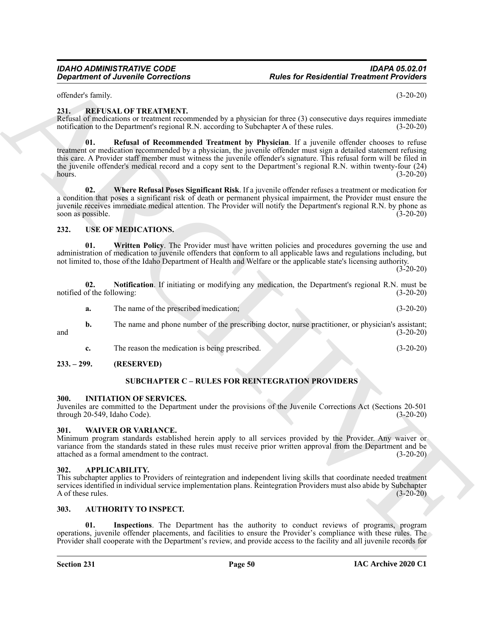#### *IDAHO ADMINISTRATIVE CODE IDAPA 05.02.01 Rules for Residential Treatment Providers*

offender's family. (3-20-20)

#### <span id="page-49-12"></span><span id="page-49-0"></span>**231. REFUSAL OF TREATMENT.**

<span id="page-49-13"></span>Refusal of medications or treatment recommended by a physician for three (3) consecutive days requires immediate notification to the Department's regional R.N. according to Subchapter A of these rules. (3-20-20)

**Considered CAT and CONSIDERATION Report of the state Residential Treatment Providers of the state CAT and CONSIDERATION (3-20-20)<br>
ARCHIVES IN THE CAT ARCHIVES CONSIDER THE STATE IN THE CONSIDERED CONSIDERED (3-20-20)<br>
D 01. Refusal of Recommended Treatment by Physician**. If a juvenile offender chooses to refuse treatment or medication recommended by a physician, the juvenile offender must sign a detailed statement refusing this care. A Provider staff member must witness the juvenile offender's signature. This refusal form will be filed in the juvenile offender's medical record and a copy sent to the Department's regional R.N. within twenty-four (24) hours. (3-20-20) hours. (3-20-20)

<span id="page-49-14"></span>**02. Where Refusal Poses Significant Risk**. If a juvenile offender refuses a treatment or medication for a condition that poses a significant risk of death or permanent physical impairment, the Provider must ensure the juvenile receives immediate medical attention. The Provider will notify the Department's regional R.N. by phone as soon as possible. (3-20-20)

#### <span id="page-49-16"></span><span id="page-49-1"></span>**232. USE OF MEDICATIONS.**

<span id="page-49-18"></span>**01. Written Policy**. The Provider must have written policies and procedures governing the use and administration of medication to juvenile offenders that conform to all applicable laws and regulations including, but not limited to, those of the Idaho Department of Health and Welfare or the applicable state's licensing authority.

 $(3-20-20)$ 

**02.** Notification. If initiating or modifying any medication, the Department's regional R.N. must be of the following: (3-20-20) notified of the following:

- <span id="page-49-17"></span>**a.** The name of the prescribed medication; (3-20-20)
- **b.** The name and phone number of the prescribing doctor, nurse practitioner, or physician's assistant; and (3-20-20)
	- **c.** The reason the medication is being prescribed. (3-20-20)

#### <span id="page-49-3"></span><span id="page-49-2"></span>**233. – 299. (RESERVED)**

#### <span id="page-49-15"></span>**SUBCHAPTER C – RULES FOR REINTEGRATION PROVIDERS**

#### <span id="page-49-11"></span><span id="page-49-4"></span>**300. INITIATION OF SERVICES.**

Juveniles are committed to the Department under the provisions of the Juvenile Corrections Act (Sections 20-501 through 20-549, Idaho Code). (3-20-20)

#### <span id="page-49-19"></span><span id="page-49-5"></span>**301. WAIVER OR VARIANCE.**

Minimum program standards established herein apply to all services provided by the Provider. Any waiver or variance from the standards stated in these rules must receive prior written approval from the Department and be attached as a formal amendment to the contract. (3-20-20)

#### <span id="page-49-8"></span><span id="page-49-6"></span>**302. APPLICABILITY.**

This subchapter applies to Providers of reintegration and independent living skills that coordinate needed treatment services identified in individual service implementation plans. Reintegration Providers must also abide by Subchapter A of these rules. (3-20-20)

#### <span id="page-49-9"></span><span id="page-49-7"></span>**303. AUTHORITY TO INSPECT.**

<span id="page-49-10"></span>**01. Inspections**. The Department has the authority to conduct reviews of programs, program operations, juvenile offender placements, and facilities to ensure the Provider's compliance with these rules. The Provider shall cooperate with the Department's review, and provide access to the facility and all juvenile records for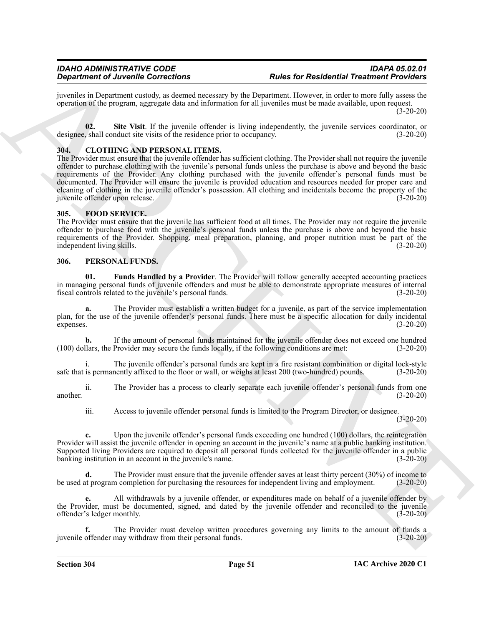juveniles in Department custody, as deemed necessary by the Department. However, in order to more fully assess the operation of the program, aggregate data and information for all juveniles must be made available, upon request. (3-20-20)

<span id="page-50-3"></span>**02. Site Visit**. If the juvenile offender is living independently, the juvenile services coordinator, or designee, shall conduct site visits of the residence prior to occupancy. (3-20-20)

#### <span id="page-50-4"></span><span id="page-50-0"></span>**304. CLOTHING AND PERSONAL ITEMS.**

**Experiment of Zeronics Concertents Experimental interactions Experimental interactions Experimental interactions Experimental interactions Experimental interactions Experimental interactions Experimental in** The Provider must ensure that the juvenile offender has sufficient clothing. The Provider shall not require the juvenile offender to purchase clothing with the juvenile's personal funds unless the purchase is above and beyond the basic requirements of the Provider. Any clothing purchased with the juvenile offender's personal funds must be documented. The Provider will ensure the juvenile is provided education and resources needed for proper care and cleaning of clothing in the juvenile offender's possession. All clothing and incidentals become the property of the juvenile offender upon release. (3-20-20)

#### <span id="page-50-5"></span><span id="page-50-1"></span>**305. FOOD SERVICE.**

The Provider must ensure that the juvenile has sufficient food at all times. The Provider may not require the juvenile offender to purchase food with the juvenile's personal funds unless the purchase is above and beyond the basic requirements of the Provider. Shopping, meal preparation, planning, and proper nutrition must be part of the independent living skills. (3-20-20)

#### <span id="page-50-6"></span><span id="page-50-2"></span>**306. PERSONAL FUNDS.**

<span id="page-50-7"></span>**01. Funds Handled by a Provider**. The Provider will follow generally accepted accounting practices in managing personal funds of juvenile offenders and must be able to demonstrate appropriate measures of internal fiscal controls related to the juvenile's personal funds. (3-20-20)

**a.** The Provider must establish a written budget for a juvenile, as part of the service implementation plan, for the use of the juvenile offender's personal funds. There must be a specific allocation for daily incidental expenses. (3-20-20)

**b.** If the amount of personal funds maintained for the juvenile offender does not exceed one hundred (100) dollars, the Provider may secure the funds locally, if the following conditions are met: (3-20-20)

The juvenile offender's personal funds are kept in a fire resistant combination or digital lock-style safe that is permanently affixed to the floor or wall, or weighs at least 200 (two-hundred) pounds. (3-20-20)

ii. The Provider has a process to clearly separate each juvenile offender's personal funds from one another. (3-20-20)

iii. Access to juvenile offender personal funds is limited to the Program Director, or designee.

(3-20-20)

**c.** Upon the juvenile offender's personal funds exceeding one hundred (100) dollars, the reintegration Provider will assist the juvenile offender in opening an account in the juvenile's name at a public banking institution. Supported living Providers are required to deposit all personal funds collected for the juvenile offender in a public banking institution in an account in the juvenile's name. (3-20-20)

**d.** The Provider must ensure that the juvenile offender saves at least thirty percent (30%) of income to the program completion for purchasing the resources for independent living and employment. (3-20-20) be used at program completion for purchasing the resources for independent living and employment.

**e.** All withdrawals by a juvenile offender, or expenditures made on behalf of a juvenile offender by the Provider, must be documented, signed, and dated by the juvenile offender and reconciled to the juvenile offender's ledger monthly. (3-20-20)

**f.** The Provider must develop written procedures governing any limits to the amount of funds a juvenile offender may withdraw from their personal funds. (3-20-20)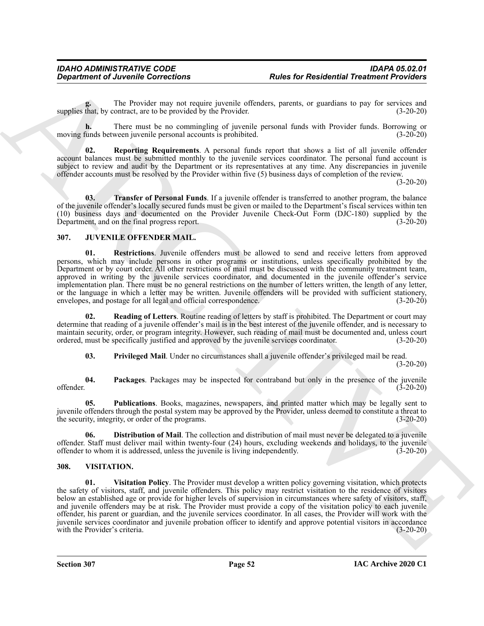**g.** The Provider may not require juvenile offenders, parents, or guardians to pay for services and supplies that, by contract, are to be provided by the Provider. (3-20-20)

**h.** There must be no commingling of juvenile personal funds with Provider funds. Borrowing or moving funds between juvenile personal accounts is prohibited. (3-20-20)

<span id="page-51-9"></span>**02. Reporting Requirements**. A personal funds report that shows a list of all juvenile offender account balances must be submitted monthly to the juvenile services coordinator. The personal fund account is subject to review and audit by the Department or its representatives at any time. Any discrepancies in juvenile offender accounts must be resolved by the Provider within five (5) business days of completion of the review.

(3-20-20)

<span id="page-51-10"></span>**03. Transfer of Personal Funds**. If a juvenile offender is transferred to another program, the balance of the juvenile offender's locally secured funds must be given or mailed to the Department's fiscal services within ten (10) business days and documented on the Provider Juvenile Check-Out Form (DJC-180) supplied by the Department, and on the final progress report.

#### <span id="page-51-2"></span><span id="page-51-0"></span>**307. JUVENILE OFFENDER MAIL.**

<span id="page-51-8"></span>**01. Restrictions**. Juvenile offenders must be allowed to send and receive letters from approved persons, which may include persons in other programs or institutions, unless specifically prohibited by the Department or by court order. All other restrictions of mail must be discussed with the community treatment team, approved in writing by the juvenile services coordinator, and documented in the juvenile offender's service implementation plan. There must be no general restrictions on the number of letters written, the length of any letter, or the language in which a letter may be written. Juvenile offenders will be provided with sufficient stationery, envelopes, and postage for all legal and official correspondence. (3-20-20)

**02. Reading of Letters**. Routine reading of letters by staff is prohibited. The Department or court may determine that reading of a juvenile offender's mail is in the best interest of the juvenile offender, and is necessary to maintain security, order, or program integrity. However, such reading of mail must be documented and, unless court ordered, must be specifically justified and approved by the juvenile services coordinator. (3-20-20)

<span id="page-51-7"></span><span id="page-51-6"></span><span id="page-51-5"></span><span id="page-51-4"></span>**03. Privileged Mail**. Under no circumstances shall a juvenile offender's privileged mail be read. (3-20-20)

**04.** Packages. Packages may be inspected for contraband but only in the presence of the juvenile offender. (3-20-20) offender. (3-20-20)

**05. Publications**. Books, magazines, newspapers, and printed matter which may be legally sent to juvenile offenders through the postal system may be approved by the Provider, unless deemed to constitute a threat to the security, integrity, or order of the programs. (3-20-20)

<span id="page-51-3"></span>**06. Distribution of Mail**. The collection and distribution of mail must never be delegated to a juvenile offender. Staff must deliver mail within twenty-four (24) hours, excluding weekends and holidays, to the juvenile offender to whom it is addressed, unless the juvenile is living independently. (3-20-20) offender to whom it is addressed, unless the juvenile is living independently.

#### <span id="page-51-12"></span><span id="page-51-11"></span><span id="page-51-1"></span>**308. VISITATION.**

**Considered of Ancientale Connections**<br>
The fact Residential Treatment Provider and<br>
The Provider and the provider and the property invitade spectral personal intels with resolution paper are responsible to the provider a **01. Visitation Policy**. The Provider must develop a written policy governing visitation, which protects the safety of visitors, staff, and juvenile offenders. This policy may restrict visitation to the residence of visitors below an established age or provide for higher levels of supervision in circumstances where safety of visitors, staff, and juvenile offenders may be at risk. The Provider must provide a copy of the visitation policy to each juvenile offender, his parent or guardian, and the juvenile services coordinator. In all cases, the Provider will work with the juvenile services coordinator and juvenile probation officer to identify and approve potential visitors in accordance with the Provider's criteria. (3-20-20)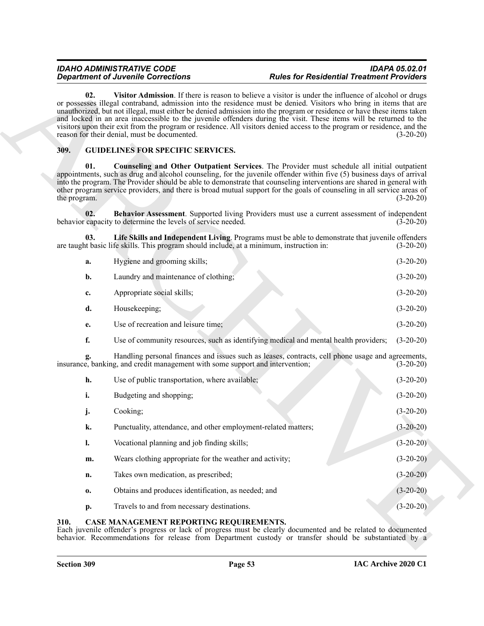### <span id="page-52-7"></span><span id="page-52-6"></span><span id="page-52-5"></span><span id="page-52-4"></span><span id="page-52-3"></span><span id="page-52-0"></span>**309. GUIDELINES FOR SPECIFIC SERVICES.**

| 02.                 | Visitor Admission. If there is reason to believe a visitor is under the influence of alcohol or drugs<br>or possesses illegal contraband, admission into the residence must be denied. Visitors who bring in items that are<br>unauthorized, but not illegal, must either be denied admission into the program or residence or have these items taken<br>and locked in an area inaccessible to the juvenile offenders during the visit. These items will be returned to the<br>visitors upon their exit from the program or residence. All visitors denied access to the program or residence, and the<br>reason for their denial, must be documented. | $(3-20-20)$ |
|---------------------|--------------------------------------------------------------------------------------------------------------------------------------------------------------------------------------------------------------------------------------------------------------------------------------------------------------------------------------------------------------------------------------------------------------------------------------------------------------------------------------------------------------------------------------------------------------------------------------------------------------------------------------------------------|-------------|
| 309.                | <b>GUIDELINES FOR SPECIFIC SERVICES.</b>                                                                                                                                                                                                                                                                                                                                                                                                                                                                                                                                                                                                               |             |
| 01.<br>the program. | <b>Counseling and Other Outpatient Services.</b> The Provider must schedule all initial outpatient<br>appointments, such as drug and alcohol counseling, for the juvenile offender within five (5) business days of arrival<br>into the program. The Provider should be able to demonstrate that counseling interventions are shared in general with<br>other program service providers, and there is broad mutual support for the goals of counseling in all service areas of                                                                                                                                                                         | $(3-20-20)$ |
| 02.                 | Behavior Assessment. Supported living Providers must use a current assessment of independent<br>behavior capacity to determine the levels of service needed.                                                                                                                                                                                                                                                                                                                                                                                                                                                                                           | $(3-20-20)$ |
| 03.                 | Life Skills and Independent Living. Programs must be able to demonstrate that juvenile offenders<br>are taught basic life skills. This program should include, at a minimum, instruction in:                                                                                                                                                                                                                                                                                                                                                                                                                                                           | $(3-20-20)$ |
| a.                  | Hygiene and grooming skills;                                                                                                                                                                                                                                                                                                                                                                                                                                                                                                                                                                                                                           | $(3-20-20)$ |
| b.                  | Laundry and maintenance of clothing;                                                                                                                                                                                                                                                                                                                                                                                                                                                                                                                                                                                                                   | $(3-20-20)$ |
| c.                  | Appropriate social skills;                                                                                                                                                                                                                                                                                                                                                                                                                                                                                                                                                                                                                             | $(3-20-20)$ |
| d.                  | Housekeeping;                                                                                                                                                                                                                                                                                                                                                                                                                                                                                                                                                                                                                                          | $(3-20-20)$ |
| е.                  | Use of recreation and leisure time;                                                                                                                                                                                                                                                                                                                                                                                                                                                                                                                                                                                                                    | $(3-20-20)$ |
| f.                  | Use of community resources, such as identifying medical and mental health providers;                                                                                                                                                                                                                                                                                                                                                                                                                                                                                                                                                                   | $(3-20-20)$ |
|                     | Handling personal finances and issues such as leases, contracts, cell phone usage and agreements,<br>insurance, banking, and credit management with some support and intervention;                                                                                                                                                                                                                                                                                                                                                                                                                                                                     | $(3-20-20)$ |
| h.                  | Use of public transportation, where available;                                                                                                                                                                                                                                                                                                                                                                                                                                                                                                                                                                                                         | $(3-20-20)$ |
| i.                  | Budgeting and shopping;                                                                                                                                                                                                                                                                                                                                                                                                                                                                                                                                                                                                                                | $(3-20-20)$ |
| j.                  | Cooking;                                                                                                                                                                                                                                                                                                                                                                                                                                                                                                                                                                                                                                               | $(3-20-20)$ |
| ĸ.                  | Punctuality, attendance, and other employment-related matters;                                                                                                                                                                                                                                                                                                                                                                                                                                                                                                                                                                                         | $(3-20-20)$ |
| $\mathbf{l}$ .      | Vocational planning and job finding skills;                                                                                                                                                                                                                                                                                                                                                                                                                                                                                                                                                                                                            | $(3-20-20)$ |
| m.                  | Wears clothing appropriate for the weather and activity;                                                                                                                                                                                                                                                                                                                                                                                                                                                                                                                                                                                               | $(3-20-20)$ |
| n.                  | Takes own medication, as prescribed;                                                                                                                                                                                                                                                                                                                                                                                                                                                                                                                                                                                                                   | $(3-20-20)$ |
| 0.                  | Obtains and produces identification, as needed; and                                                                                                                                                                                                                                                                                                                                                                                                                                                                                                                                                                                                    | $(3-20-20)$ |
| p.                  | Travels to and from necessary destinations.                                                                                                                                                                                                                                                                                                                                                                                                                                                                                                                                                                                                            | $(3-20-20)$ |

### <span id="page-52-2"></span><span id="page-52-1"></span>**310. CASE MANAGEMENT REPORTING REQUIREMENTS.**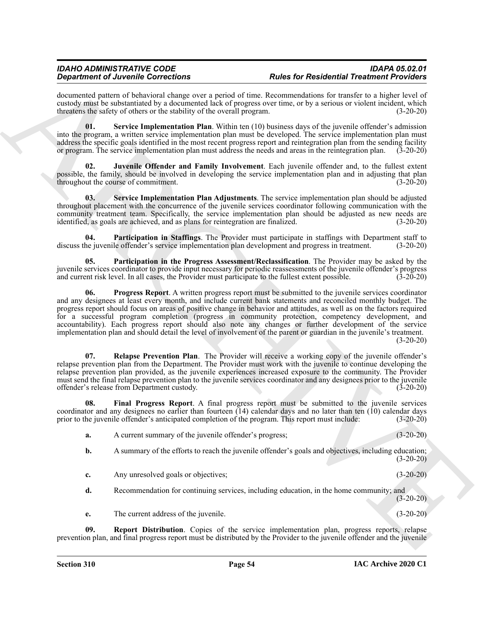<span id="page-53-7"></span><span id="page-53-6"></span><span id="page-53-5"></span><span id="page-53-4"></span><span id="page-53-3"></span><span id="page-53-2"></span><span id="page-53-1"></span><span id="page-53-0"></span>

|     | <b>Department of Juvenile Corrections</b>                                                           | <b>Rules for Residential Treatment Providers</b>                                                                                                                                                                                                                                                                                                                                                                                                                                                                                                                                                                                                                                                |             |
|-----|-----------------------------------------------------------------------------------------------------|-------------------------------------------------------------------------------------------------------------------------------------------------------------------------------------------------------------------------------------------------------------------------------------------------------------------------------------------------------------------------------------------------------------------------------------------------------------------------------------------------------------------------------------------------------------------------------------------------------------------------------------------------------------------------------------------------|-------------|
|     | threatens the safety of others or the stability of the overall program.                             | documented pattern of behavioral change over a period of time. Recommendations for transfer to a higher level of<br>custody must be substantiated by a documented lack of progress over time, or by a serious or violent incident, which                                                                                                                                                                                                                                                                                                                                                                                                                                                        | $(3-20-20)$ |
| 01. |                                                                                                     | Service Implementation Plan. Within ten (10) business days of the juvenile offender's admission<br>into the program, a written service implementation plan must be developed. The service implementation plan must<br>address the specific goals identified in the most recent progress report and reintegration plan from the sending facility<br>or program. The service implementation plan must address the needs and areas in the reintegration plan.                                                                                                                                                                                                                                      | $(3-20-20)$ |
| 02. | throughout the course of commitment.                                                                | Juvenile Offender and Family Involvement. Each juvenile offender and, to the fullest extent<br>possible, the family, should be involved in developing the service implementation plan and in adjusting that plan                                                                                                                                                                                                                                                                                                                                                                                                                                                                                | $(3-20-20)$ |
| 03. | identified, as goals are achieved, and as plans for reintegration are finalized.                    | Service Implementation Plan Adjustments. The service implementation plan should be adjusted<br>throughout placement with the concurrence of the juvenile services coordinator following communication with the<br>community treatment team. Specifically, the service implementation plan should be adjusted as new needs are                                                                                                                                                                                                                                                                                                                                                                   | $(3-20-20)$ |
| 04. |                                                                                                     | Participation in Staffings. The Provider must participate in staffings with Department staff to<br>discuss the juvenile offender's service implementation plan development and progress in treatment.                                                                                                                                                                                                                                                                                                                                                                                                                                                                                           | $(3-20-20)$ |
| 05. | and current risk level. In all cases, the Provider must participate to the fullest extent possible. | Participation in the Progress Assessment/Reclassification. The Provider may be asked by the<br>juvenile services coordinator to provide input necessary for periodic reassessments of the juvenile offender's progress                                                                                                                                                                                                                                                                                                                                                                                                                                                                          | $(3-20-20)$ |
| 06. |                                                                                                     | <b>Progress Report.</b> A written progress report must be submitted to the juvenile services coordinator<br>and any designees at least every month, and include current bank statements and reconciled monthly budget. The<br>progress report should focus on areas of positive change in behavior and attitudes, as well as on the factors required<br>for a successful program completion (progress in community protection, competency development, and<br>accountability). Each progress report should also note any changes or further development of the service<br>implementation plan and should detail the level of involvement of the parent or guardian in the juvenile's treatment. | $(3-20-20)$ |
| 07. | offender's release from Department custody.                                                         | <b>Relapse Prevention Plan.</b> The Provider will receive a working copy of the juvenile offender's<br>relapse prevention plan from the Department. The Provider must work with the juvenile to continue developing the<br>relapse prevention plan provided, as the juvenile experiences increased exposure to the community. The Provider<br>must send the final relapse prevention plan to the juvenile services coordinator and any designees prior to the juvenile                                                                                                                                                                                                                          | $(3-20-20)$ |
| 08. |                                                                                                     | Final Progress Report. A final progress report must be submitted to the juvenile services<br>coordinator and any designees no earlier than fourteen (14) calendar days and no later than ten (10) calendar days<br>prior to the juvenile offender's anticipated completion of the program. This report must include:                                                                                                                                                                                                                                                                                                                                                                            | $(3-20-20)$ |
| a.  | A current summary of the juvenile offender's progress;                                              |                                                                                                                                                                                                                                                                                                                                                                                                                                                                                                                                                                                                                                                                                                 | $(3-20-20)$ |
| b.  |                                                                                                     | A summary of the efforts to reach the juvenile offender's goals and objectives, including education;                                                                                                                                                                                                                                                                                                                                                                                                                                                                                                                                                                                            | $(3-20-20)$ |
| c.  | Any unresolved goals or objectives;                                                                 |                                                                                                                                                                                                                                                                                                                                                                                                                                                                                                                                                                                                                                                                                                 | $(3-20-20)$ |
| d.  |                                                                                                     | Recommendation for continuing services, including education, in the home community; and                                                                                                                                                                                                                                                                                                                                                                                                                                                                                                                                                                                                         | $(3-20-20)$ |
| e.  | The current address of the juvenile.                                                                |                                                                                                                                                                                                                                                                                                                                                                                                                                                                                                                                                                                                                                                                                                 | $(3-20-20)$ |
|     |                                                                                                     |                                                                                                                                                                                                                                                                                                                                                                                                                                                                                                                                                                                                                                                                                                 |             |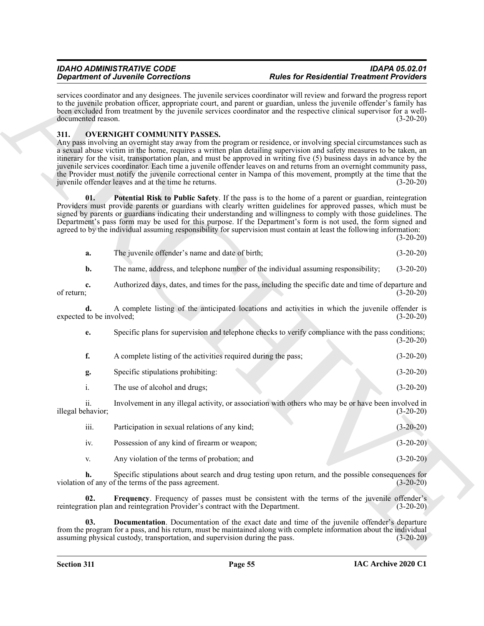#### <span id="page-54-4"></span><span id="page-54-3"></span><span id="page-54-2"></span><span id="page-54-1"></span><span id="page-54-0"></span>**311. OVERNIGHT COMMUNITY PASSES.**

|                                | <b>Department of Juvenile Corrections</b>                                                  | <b>Rules for Residential Treatment Providers</b>                                                                                                                                                                                                                                                                                                                                                                                                                                                                                                                                                                    |             |
|--------------------------------|--------------------------------------------------------------------------------------------|---------------------------------------------------------------------------------------------------------------------------------------------------------------------------------------------------------------------------------------------------------------------------------------------------------------------------------------------------------------------------------------------------------------------------------------------------------------------------------------------------------------------------------------------------------------------------------------------------------------------|-------------|
| documented reason.             |                                                                                            | services coordinator and any designees. The juvenile services coordinator will review and forward the progress report<br>to the juvenile probation officer, appropriate court, and parent or guardian, unless the juvenile offender's family has<br>been excluded from treatment by the juvenile services coordinator and the respective clinical supervisor for a well-                                                                                                                                                                                                                                            | $(3-20-20)$ |
| 311.                           | <b>OVERNIGHT COMMUNITY PASSES.</b><br>juvenile offender leaves and at the time he returns. | Any pass involving an overnight stay away from the program or residence, or involving special circumstances such as<br>a sexual abuse victim in the home, requires a written plan detailing supervision and safety measures to be taken, an<br>itinerary for the visit, transportation plan, and must be approved in writing five (5) business days in advance by the<br>juvenile services coordinator. Each time a juvenile offender leaves on and returns from an overnight community pass,<br>the Provider must notify the juvenile correctional center in Nampa of this movement, promptly at the time that the | $(3-20-20)$ |
| 01.                            |                                                                                            | Potential Risk to Public Safety. If the pass is to the home of a parent or guardian, reintegration<br>Providers must provide parents or guardians with clearly written guidelines for approved passes, which must be<br>signed by parents or guardians indicating their understanding and willingness to comply with those guidelines. The<br>Department's pass form may be used for this purpose. If the Department's form is not used, the form signed and<br>agreed to by the individual assuming responsibility for supervision must contain at least the following information:                                | $(3-20-20)$ |
| a.                             | The juvenile offender's name and date of birth;                                            |                                                                                                                                                                                                                                                                                                                                                                                                                                                                                                                                                                                                                     | $(3-20-20)$ |
| b.                             |                                                                                            | The name, address, and telephone number of the individual assuming responsibility;                                                                                                                                                                                                                                                                                                                                                                                                                                                                                                                                  | $(3-20-20)$ |
| c.<br>of return;               |                                                                                            | Authorized days, dates, and times for the pass, including the specific date and time of departure and                                                                                                                                                                                                                                                                                                                                                                                                                                                                                                               | $(3-20-20)$ |
| d.<br>expected to be involved; |                                                                                            | A complete listing of the anticipated locations and activities in which the juvenile offender is                                                                                                                                                                                                                                                                                                                                                                                                                                                                                                                    | $(3-20-20)$ |
| е.                             |                                                                                            | Specific plans for supervision and telephone checks to verify compliance with the pass conditions;                                                                                                                                                                                                                                                                                                                                                                                                                                                                                                                  | $(3-20-20)$ |
| f.                             | A complete listing of the activities required during the pass;                             |                                                                                                                                                                                                                                                                                                                                                                                                                                                                                                                                                                                                                     | $(3-20-20)$ |
| g.                             | Specific stipulations prohibiting:                                                         |                                                                                                                                                                                                                                                                                                                                                                                                                                                                                                                                                                                                                     | $(3-20-20)$ |
| i.                             | The use of alcohol and drugs;                                                              |                                                                                                                                                                                                                                                                                                                                                                                                                                                                                                                                                                                                                     | $(3-20-20)$ |
| ii.<br>illegal behavior;       |                                                                                            | Involvement in any illegal activity, or association with others who may be or have been involved in                                                                                                                                                                                                                                                                                                                                                                                                                                                                                                                 | $(3-20-20)$ |
| iii.                           | Participation in sexual relations of any kind;                                             |                                                                                                                                                                                                                                                                                                                                                                                                                                                                                                                                                                                                                     | $(3-20-20)$ |
| iv.                            | Possession of any kind of firearm or weapon;                                               |                                                                                                                                                                                                                                                                                                                                                                                                                                                                                                                                                                                                                     | $(3-20-20)$ |
| V.                             | Any violation of the terms of probation; and                                               |                                                                                                                                                                                                                                                                                                                                                                                                                                                                                                                                                                                                                     | $(3-20-20)$ |
| h.                             | violation of any of the terms of the pass agreement.                                       | Specific stipulations about search and drug testing upon return, and the possible consequences for                                                                                                                                                                                                                                                                                                                                                                                                                                                                                                                  | $(3-20-20)$ |
| 02.                            | reintegration plan and reintegration Provider's contract with the Department.              | Frequency. Frequency of passes must be consistent with the terms of the juvenile offender's                                                                                                                                                                                                                                                                                                                                                                                                                                                                                                                         | $(3-20-20)$ |
| 03.                            | assuming physical custody, transportation, and supervision during the pass.                | <b>Documentation</b> . Documentation of the exact date and time of the juvenile offender's departure<br>from the program for a pass, and his return, must be maintained along with complete information about the individual                                                                                                                                                                                                                                                                                                                                                                                        | $(3-20-20)$ |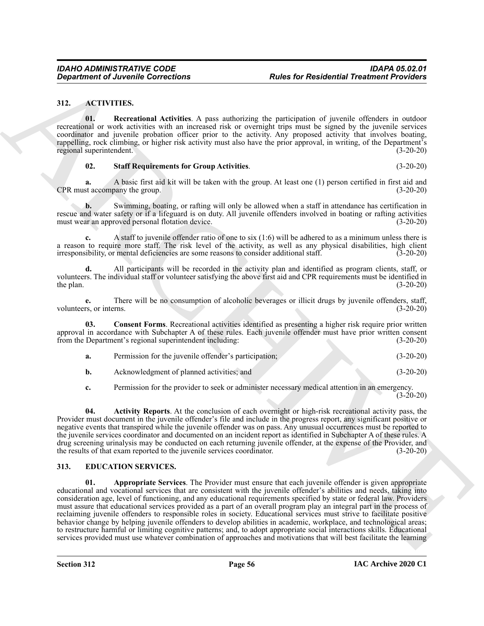#### <span id="page-55-2"></span><span id="page-55-0"></span>**312. ACTIVITIES.**

<span id="page-55-5"></span>**01. Recreational Activities**. A pass authorizing the participation of juvenile offenders in outdoor recreational or work activities with an increased risk or overnight trips must be signed by the juvenile services coordinator and juvenile probation officer prior to the activity. Any proposed activity that involves boating, rappelling, rock climbing, or higher risk activity must also have the prior approval, in writing, of the Department's regional superintendent. (3-20-20)

#### <span id="page-55-6"></span>**02. Staff Requirements for Group Activities**. (3-20-20)

**a.** A basic first aid kit will be taken with the group. At least one (1) person certified in first aid and st accompany the group. CPR must accompany the group.

**b.** Swimming, boating, or rafting will only be allowed when a staff in attendance has certification in rescue and water safety or if a lifeguard is on duty. All juvenile offenders involved in boating or rafting activities must wear an approved personal flotation device. must wear an approved personal flotation device.

**c.** A staff to juvenile offender ratio of one to six (1:6) will be adhered to as a minimum unless there is a reason to require more staff. The risk level of the activity, as well as any physical disabilities, high client irresponsibility, or mental deficiencies are some reasons to consider additional staff. (3-20-20) irresponsibility, or mental deficiencies are some reasons to consider additional staff.

**d.** All participants will be recorded in the activity plan and identified as program clients, staff, or volunteers. The individual staff or volunteer satisfying the above first aid and CPR requirements must be identified in the plan.  $(3-20-20)$ 

**e.** There will be no consumption of alcoholic beverages or illicit drugs by juvenile offenders, staff, volunteers, or interns. (3-20-20)

**03. Consent Forms**. Recreational activities identified as presenting a higher risk require prior written approval in accordance with Subchapter A of these rules. Each juvenile offender must have prior written consent from the Department's regional superintendent including: (3-20-20)

<span id="page-55-4"></span>

| Permission for the juvenile offender's participation; | $(3-20-20)$ |
|-------------------------------------------------------|-------------|
|                                                       |             |

**b.** Acknowledgment of planned activities; and (3-20-20)

<span id="page-55-3"></span>**c.** Permission for the provider to seek or administer necessary medical attention in an emergency.

(3-20-20)

**04. Activity Reports**. At the conclusion of each overnight or high-risk recreational activity pass, the Provider must document in the juvenile offender's file and include in the progress report, any significant positive or negative events that transpired while the juvenile offender was on pass. Any unusual occurrences must be reported to the juvenile services coordinator and documented on an incident report as identified in Subchapter A of these rules. A drug screening urinalysis may be conducted on each returning juvenile offender, at the expense of the Provider, and the results of that exam reported to the juvenile services coordinator. (3-20-20) the results of that exam reported to the juvenile services coordinator.

#### <span id="page-55-8"></span><span id="page-55-7"></span><span id="page-55-1"></span>**313. EDUCATION SERVICES.**

**Conservation of Annexine Connections**<br>
312. ACTIVITIES: Conservation and Revision Associates the particular of the state of the state of the state of the state of the state of the state of the state of the state of the s **01. Appropriate Services**. The Provider must ensure that each juvenile offender is given appropriate educational and vocational services that are consistent with the juvenile offender's abilities and needs, taking into consideration age, level of functioning, and any educational requirements specified by state or federal law. Providers must assure that educational services provided as a part of an overall program play an integral part in the process of reclaiming juvenile offenders to responsible roles in society. Educational services must strive to facilitate positive behavior change by helping juvenile offenders to develop abilities in academic, workplace, and technological areas; to restructure harmful or limiting cognitive patterns; and, to adopt appropriate social interactions skills. Educational services provided must use whatever combination of approaches and motivations that will best facilitate the learning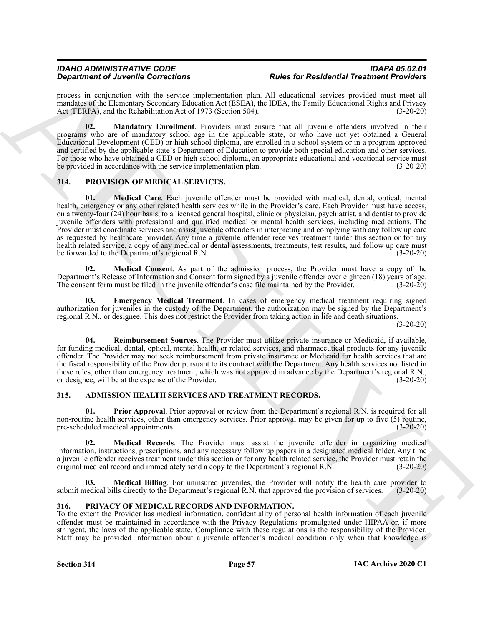process in conjunction with the service implementation plan. All educational services provided must meet all mandates of the Elementary Secondary Education Act (ESEA), the IDEA, the Family Educational Rights and Privacy Act (FERPA), and the Rehabilitation Act of 1973 (Section 504). (3-20-20)

<span id="page-56-7"></span>**02. Mandatory Enrollment**. Providers must ensure that all juvenile offenders involved in their programs who are of mandatory school age in the applicable state, or who have not yet obtained a General Educational Development (GED) or high school diploma, are enrolled in a school system or in a program approved and certified by the applicable state's Department of Education to provide both special education and other services. For those who have obtained a GED or high school diploma, an appropriate educational and vocational service must be provided in accordance with the service implementation plan. (3-20-20)

### <span id="page-56-11"></span><span id="page-56-9"></span><span id="page-56-0"></span>**314. PROVISION OF MEDICAL SERVICES.**

**Strainer of Zerosinko Concertions 19. Photos** for *Photos* for *Photos* for *Concerting* and *R Concerting* and *R Concerting* and *R Concerting* and *R Concerting* and *Concerting* and *Concerting* and *Concer* **01. Medical Care**. Each juvenile offender must be provided with medical, dental, optical, mental health, emergency or any other related health services while in the Provider's care. Each Provider must have access, on a twenty-four (24) hour basis, to a licensed general hospital, clinic or physician, psychiatrist, and dentist to provide juvenile offenders with professional and qualified medical or mental health services, including medications. The Provider must coordinate services and assist juvenile offenders in interpreting and complying with any follow up care as requested by healthcare provider. Any time a juvenile offender receives treatment under this section or for any health related service, a copy of any medical or dental assessments, treatments, test results, and follow up care must be forwarded to the Department's regional R.N. (3-20-20)

<span id="page-56-12"></span>**02. Medical Consent**. As part of the admission process, the Provider must have a copy of the Department's Release of Information and Consent form signed by a juvenile offender over eighteen (18) years of age.<br>The consent form must be filed in the invenile offender's case file maintained by the Provider. (3-20-20) The consent form must be filed in the juvenile offender's case file maintained by the Provider.

<span id="page-56-10"></span>**03. Emergency Medical Treatment**. In cases of emergency medical treatment requiring signed authorization for juveniles in the custody of the Department, the authorization may be signed by the Department's regional R.N., or designee. This does not restrict the Provider from taking action in life and death situations.

(3-20-20)

<span id="page-56-13"></span>**04. Reimbursement Sources**. The Provider must utilize private insurance or Medicaid, if available, for funding medical, dental, optical, mental health, or related services, and pharmaceutical products for any juvenile offender. The Provider may not seek reimbursement from private insurance or Medicaid for health services that are the fiscal responsibility of the Provider pursuant to its contract with the Department. Any health services not listed in these rules, other than emergency treatment, which was not approved in advance by the Department's regional R.N., or designee, will be at the expense of the Provider. (3-20-20) or designee, will be at the expense of the Provider.

#### <span id="page-56-3"></span><span id="page-56-1"></span>**315. ADMISSION HEALTH SERVICES AND TREATMENT RECORDS.**

<span id="page-56-6"></span>**Prior Approval.** Prior approval or review from the Department's regional R.N. is required for all non-routine health services, other than emergency services. Prior approval may be given for up to five (5) routine, pre-scheduled medical appointments. (3-20-20)

<span id="page-56-5"></span>**02. Medical Records**. The Provider must assist the juvenile offender in organizing medical information, instructions, prescriptions, and any necessary follow up papers in a designated medical folder. Any time a juvenile offender receives treatment under this section or for any health related service, the Provider must retain the original medical record and immediately send a copy to the Department's regional R.N. (3-20-20)

<span id="page-56-4"></span>**03. Medical Billing**. For uninsured juveniles, the Provider will notify the health care provider to submit medical bills directly to the Department's regional R.N. that approved the provision of services. (3-20-20)

### <span id="page-56-8"></span><span id="page-56-2"></span>**316. PRIVACY OF MEDICAL RECORDS AND INFORMATION.**

To the extent the Provider has medical information, confidentiality of personal health information of each juvenile offender must be maintained in accordance with the Privacy Regulations promulgated under HIPAA or, if more stringent, the laws of the applicable state. Compliance with these regulations is the responsibility of the Provider. Staff may be provided information about a juvenile offender's medical condition only when that knowledge is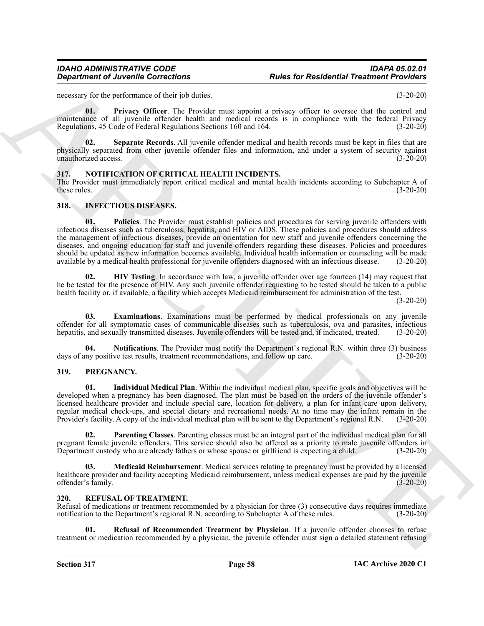#### *IDAHO ADMINISTRATIVE CODE IDAPA 05.02.01 Rules for Residential Treatment Providers*

necessary for the performance of their job duties. (3-20-20)

<span id="page-57-14"></span>**01. Privacy Officer**. The Provider must appoint a privacy officer to oversee that the control and maintenance of all juvenile offender health and medical records is in compliance with the federal Privacy Regulations, 45 Code of Federal Regulations Sections 160 and 164. (3-20-20)

<span id="page-57-15"></span>**02. Separate Records**. All juvenile offender medical and health records must be kept in files that are physically separated from other juvenile offender files and information, and under a system of security against unauthorized access. (3-20-20)

#### <span id="page-57-9"></span><span id="page-57-0"></span>**317. NOTIFICATION OF CRITICAL HEALTH INCIDENTS.**

The Provider must immediately report critical medical and mental health incidents according to Subchapter A of these rules. (3-20-20) these rules.  $(3-20-20)$ 

#### <span id="page-57-8"></span><span id="page-57-4"></span><span id="page-57-1"></span>**318. INFECTIOUS DISEASES.**

**Department of Anvenile Corrections**<br>
Responsible corrections<br>
Acts the probability of the basis of the state of the state of the state of the state of the state of the state of the state of the state of the state of the **01. Policies**. The Provider must establish policies and procedures for serving juvenile offenders with infectious diseases such as tuberculosis, hepatitis, and HIV or AIDS. These policies and procedures should address the management of infectious diseases, provide an orientation for new staff and juvenile offenders concerning the diseases, and ongoing education for staff and juvenile offenders regarding these diseases. Policies and procedures should be updated as new information becomes available. Individual health information or counseling will be made<br>available by a medical health professional for juvenile offenders diagnosed with an infectious disease. (3-20 available by a medical health professional for juvenile offenders diagnosed with an infectious disease.

<span id="page-57-6"></span>**02. HIV Testing**. In accordance with law, a juvenile offender over age fourteen (14) may request that he be tested for the presence of HIV. Any such juvenile offender requesting to be tested should be taken to a public health facility or, if available, a facility which accepts Medicaid reimbursement for administration of the test.

(3-20-20)

<span id="page-57-5"></span>**03. Examinations**. Examinations must be performed by medical professionals on any juvenile offender for all symptomatic cases of communicable diseases such as tuberculosis, ova and parasites, infectious hepatitis, and sexually transmitted diseases. Juvenile offenders will be tested and, if indicated, treated. (3-20-20)

<span id="page-57-7"></span>**Notifications**. The Provider must notify the Department's regional R.N. within three (3) business days of any positive test results, treatment recommendations, and follow up care. (3-20-20)

#### <span id="page-57-10"></span><span id="page-57-2"></span>**319. PREGNANCY.**

<span id="page-57-11"></span>**01. Individual Medical Plan**. Within the individual medical plan, specific goals and objectives will be developed when a pregnancy has been diagnosed. The plan must be based on the orders of the juvenile offender's licensed healthcare provider and include special care, location for delivery, a plan for infant care upon delivery, regular medical check-ups, and special dietary and recreational needs. At no time may the infant remain in the Provider's facility. A copy of the individual medical plan will be sent to the Department's regional R.N. (3-20-20)

<span id="page-57-13"></span>**02. Parenting Classes**. Parenting classes must be an integral part of the individual medical plan for all pregnant female juvenile offenders. This service should also be offered as a priority to male juvenile offenders in<br>Department custody who are already fathers or whose spouse or girlfriend is expecting a child. (3-20-20) Department custody who are already fathers or whose spouse or girlfriend is expecting a child.

<span id="page-57-12"></span>**03. Medicaid Reimbursement**. Medical services relating to pregnancy must be provided by a licensed healthcare provider and facility accepting Medicaid reimbursement, unless medical expenses are paid by the juvenile<br>offender's family. (3-20-20) offender's family.

#### <span id="page-57-16"></span><span id="page-57-3"></span>**320. REFUSAL OF TREATMENT.**

Refusal of medications or treatment recommended by a physician for three (3) consecutive days requires immediate notification to the Department's regional R.N. according to Subchapter A of these rules. (3-20-20) notification to the Department's regional R.N. according to Subchapter A of these rules.

<span id="page-57-17"></span>**01. Refusal of Recommended Treatment by Physician**. If a juvenile offender chooses to refuse treatment or medication recommended by a physician, the juvenile offender must sign a detailed statement refusing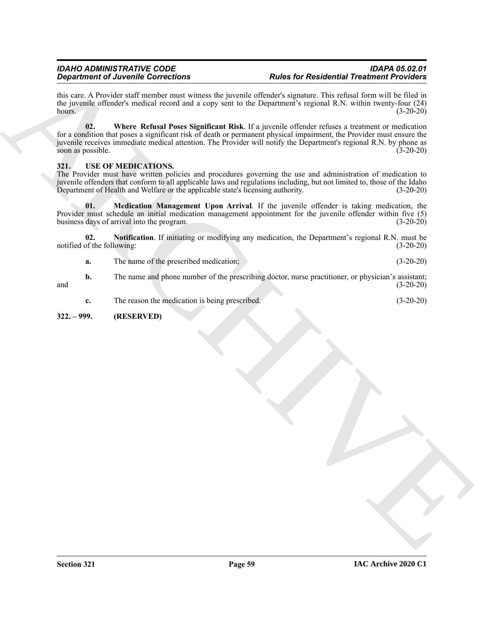<span id="page-58-2"></span>this care. A Provider staff member must witness the juvenile offender's signature. This refusal form will be filed in the juvenile offender's medical record and a copy sent to the Department's regional R.N. within twenty-four (24) hours. (3-20-20)

**Experiment of Juvenile Corrections 4 Excelunity and Experiment of Periodicity and Terminal Constraints (1970)**<br>
ARCHIVES TRIVIAL CONSTRUCTIONS, the state of Periodic Construction (1970) and the state of the state of th **02. Where Refusal Poses Significant Risk**. If a juvenile offender refuses a treatment or medication for a condition that poses a significant risk of death or permanent physical impairment, the Provider must ensure the juvenile receives immediate medical attention. The Provider will notify the Department's regional R.N. by phone as soon as possible. (3-20-20)

### <span id="page-58-3"></span><span id="page-58-0"></span>**321. USE OF MEDICATIONS.**

The Provider must have written policies and procedures governing the use and administration of medication to juvenile offenders that conform to all applicable laws and regulations including, but not limited to, those of the Idaho<br>Department of Health and Welfare or the applicable state's licensing authority. (3-20-20) Department of Health and Welfare or the applicable state's licensing authority.

<span id="page-58-4"></span>**01. Medication Management Upon Arrival**. If the juvenile offender is taking medication, the Provider must schedule an initial medication management appointment for the juvenile offender within five (5) business days of arrival into the program.

**02. Notification**. If initiating or modifying any medication, the Department's regional R.N. must be notified of the following: (3-20-20)

<span id="page-58-5"></span>**a.** The name of the prescribed medication; (3-20-20)

**b.** The name and phone number of the prescribing doctor, nurse practitioner, or physician's assistant; and (3-20-20)

**c.** The reason the medication is being prescribed. (3-20-20)

#### <span id="page-58-1"></span>**322. – 999. (RESERVED)**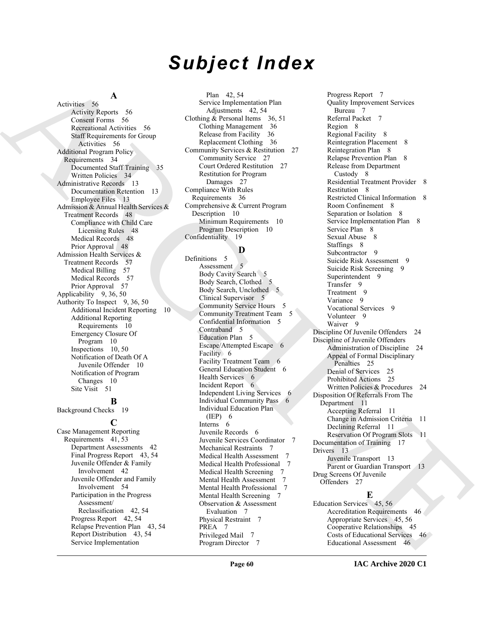## *Subject Index*

#### **A**

Activities 56 Activity Reports 56 Consent Forms 56 Recreational Activities 56 Staff Requirements for Group Activities 56 Additional Program Policy Requirements 34 Documented Staff Training 35 Written Policies 34 Administrative Records 13 Documentation Retention 13 Employee Files 13 Admission & Annual Health Services & Treatment Records 48 Compliance with Child Care Licensing Rules 48 Medical Records 48 Prior Approval 48 Admission Health Services & Treatment Records 57 Medical Billing 57 Medical Records 57 Prior Approval 57 Applicability 9, 36, 50 Authority To Inspect 9, 36, 50 Additional Incident Reporting 10 Additional Reporting Requirements 10 Emergency Closure Of Program 10 Inspections 10, 50 Notification of Death Of A Juvenile Offender 10 Notification of Program Changes 10 Site Visit 51

#### **B**

Background Checks 19

#### **C**

Case Management Reporting Requirements 41, 53 Department Assessments 42 Final Progress Report 43, 54 Juvenile Offender & Family Involvement 42 Juvenile Offender and Family Involvement 54 Participation in the Progress Assessment/ Reclassification 42, 54 Progress Report 42, 54 Relapse Prevention Plan 43, 54 Report Distribution 43, 54 Service Implementation

Plan 42, 54 Service Implementation Plan Adjustments 42, 54 Clothing & Personal Items 36, 51 Clothing Management 36 Release from Facility 36 Replacement Clothing 36 Community Services & Restitution 27 Community Service 27 Court Ordered Restitution 27 Restitution for Program Damages 27 Compliance With Rules Requirements 36 Comprehensive & Current Program Description 10 Minimum Requirements 10 Program Description 10 Confidentiality 19

#### **D**

Definitions 5 Assessment 5 Body Cavity Search 5 Body Search, Clothed 5 Body Search, Unclothed 5 Clinical Supervisor 5 Community Service Hours 5 Community Treatment Team 5 Confidential Information 5 Contraband 5 Education Plan 5 Escape/Attempted Escape 6 Facility 6 Facility Treatment Team 6 General Education Student 6 Health Services 6 Incident Report 6 Independent Living Services 6 Individual Community Pass 6 Individual Education Plan (IEP) 6 Interns 6 Juvenile Records 6 Juvenile Services Coordinator 7 Mechanical Restraints 7 Medical Health Assessment Medical Health Professional 7 Medical Health Screening 7 Mental Health Assessment Mental Health Professional 7 Mental Health Screening 7 Observation & Assessment Evaluation 7 Physical Restraint 7 PREA 7 Privileged Mail 7 Program Director 7

[A](#page-55-6)ctives of Association [C](#page-9-7)ontrol of the Combinement of Control of Combinement of Combinement of Combinement of Combinement of Combinement of Combinement of Combinement of Combinement of Combinement of Combinement of Combine Progress Report 7 Quality Improvement Services Bureau 7 Referral Packet 7 Region 8 Regional Facility 8 Reintegration Placement 8 Reintegration Plan 8 Relapse Prevention Plan 8 Release from Department Custody 8 Residential Treatment Provider 8 Restitution 8 Restricted Clinical Information 8 Room Confinement 8 Separation or Isolation 8 Service Implementation Plan 8 Service Plan 8 Sexual Abuse 8 Staffings 8 Subcontractor 9 Suicide Risk Assessment 9 Suicide Risk Screening 9 Superintendent 9 Transfer 9 Treatment 9 Variance 9 Vocational Services 9 Volunteer 9 Waiver<sub>9</sub> Discipline Of Juvenile Offenders 24 Discipline of Juvenile Offenders Administration of Discipline 24 Appeal of Formal Disciplinary Penalties 25 Denial of Services 25 Prohibited Actions 25 Written Policies & Procedures 24 Disposition Of Referrals From The Department 11 Accepting Referral 11 Change in Admission Criteria 11 Declining Referral 11 Reservation Of Program Slots 11 Documentation of Training 17 Drivers 13 Juvenile Transport 13 Parent or Guardian Transport 13 Drug Screens Of Juvenile Offenders 27

### **E**

Education Services 45, 56 Accreditation Requirements 46 Appropriate Services 45, 56 Cooperative Relationships 45 Costs of Educational Services 46 Educational Assessment 46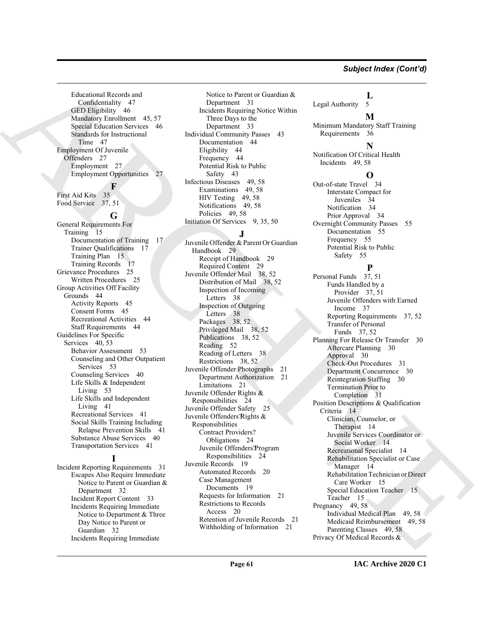#### *Subject Index (Cont'd)*

Educational Records and Confidentiality 47 GED Eligibility 46 Mandatory Enrollment 45, 57 Special Education Services 46 Standards for Instructional Time 47 Employment Of Juvenile Offenders 27 Employment 27 Employment Opportunities 27

### **F**

First Aid Kits 35 Food Service 37, 51

#### **G**

General Requirements For Training 15 Documentation of Training 17 Trainer Qualifications 17 Training Plan 15 Training Records 17 Grievance Procedures 25 Written Procedures 25 Group Activities Off Facility Grounds 44 Activity Reports 45 Consent Forms 45 Recreational Activities 44 Staff Requirements 44 Guidelines For Specific Services 40, 53 Behavior Assessment 53 Counseling and Other Outpatient Services 53 Counseling Services 40 Life Skills & Independent Living 53 Life Skills and Independent Living 41 Recreational Services 41 Social Skills Training Including Relapse Prevention Skills 41 Substance Abuse Services 40 Transportation Services 41

#### **I**

Incident Reporting Requirements 31 Escapes Also Require Immediate Notice to Parent or Guardian & Department 32 Incident Report Content 33 Incidents Requiring Immediate Notice to Department & Three Day Notice to Parent or Guardian 32 Incidents Requiring Immediate

Notice to Parent or Guardian & Department 31 Incidents Requiring Notice Within Three Days to the Department 33 Individual Community Passes 43 Documentation 44 Eligibility 44 Frequency 44 Potential Risk to Public Safety 43 Infectious Diseases 49, 58 Examinations 49, 58 HIV Testing 49, 58 Notifications 49, 58 Policies 49, 58 Initiation Of Services 9, 35, 50

#### **J**

[A](#page-46-1)[R](#page-26-10)[C](#page-28-2)[H](#page-37-4)[IV](#page-30-4)[E](#page-13-6) Juvenile Offender & Parent Or Guardian Handbook 29 Receipt of Handbook 29 Required Content 29 Juvenile Offender Mail 38, 52 Distribution of Mail 38, 52 Inspection of Incoming Letters 38 Inspection of Outgoing Letters 38 Packages 38, 52 Privileged Mail 38, 52 Publications 38, 52 Reading 52 Reading of Letters 38 Restrictions 38, 52 Juvenile Offender Photographs 21 Department Authorization 21 Limitations 21 Juvenile Offender Rights & Responsibilities 24 Juvenile Offender Safety 25 Juvenile Offenders? Rights & Responsibilities Contract Providers? Obligations 24 Juvenile Offenders? Program Responsibilities 24 Juvenile Records 19 Automated Records 20 Case Management Documents 19 Requests for Information 21 Restrictions to Records Access 20 Retention of Juvenile Records 21 Withholding of Information 21

**L** Legal Authority 5

#### **M**

Minimum Mandatory Staff Training Requirements 36

### **N**

Notification Of Critical Health Incidents 49, 58

#### **O**

Out-of-state Travel 34 Interstate Compact for Juveniles 34 Notification 34 Prior Approval 34 Overnight Community Passes 55 Documentation 55 Frequency 55 Potential Risk to Public Safety 55

### **P**

Personal Funds 37, 51 Funds Handled by a Provider 37, 51 Juvenile Offenders with Earned Income 37 Reporting Requirements 37, 52 Transfer of Personal Funds 37, 52 Planning For Release Or Transfer 30 Aftercare Planning 30 Approval 30 Check-Out Procedures 31 Department Concurrence 30 Reintegration Staffing 30 Termination Prior to Completion 31 Position Descriptions & Qualification Criteria 14 Clinician, Counselor, or Therapist 14 Juvenile Services Coordinator or Social Worker 14 Recreational Specialist 14 Rehabilitation Specialist or Case Manager 14 Rehabilitation Technician or Direct Care Worker 15 Special Education Teacher 15 Teacher 15 Pregnancy 49, 58 Individual Medical Plan 49, 58 Medicaid Reimbursement 49, 58 Parenting Classes 49, 58 Privacy Of Medical Records &